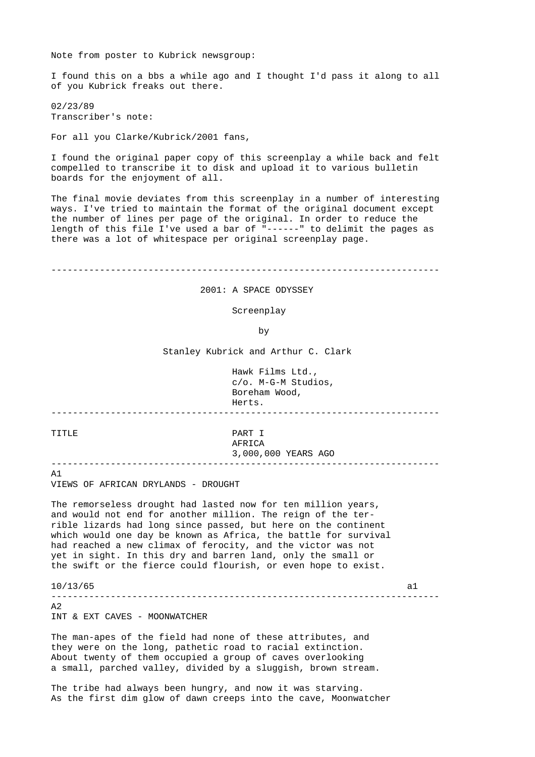Note from poster to Kubrick newsgroup:

I found this on a bbs a while ago and I thought I'd pass it along to all of you Kubrick freaks out there.

02/23/89 Transcriber's note:

For all you Clarke/Kubrick/2001 fans,

I found the original paper copy of this screenplay a while back and felt compelled to transcribe it to disk and upload it to various bulletin boards for the enjoyment of all.

The final movie deviates from this screenplay in a number of interesting ways. I've tried to maintain the format of the original document except the number of lines per page of the original. In order to reduce the length of this file I've used a bar of "------" to delimit the pages as there was a lot of whitespace per original screenplay page.

------------------------------------------------------------------------

2001: A SPACE ODYSSEY

Screenplay

by

Stanley Kubrick and Arthur C. Clark

 Hawk Films Ltd., c/o. M-G-M Studios, Boreham Wood, Herts.

------------------------------------------------------------------------

TITLE PART I AFRICA 3,000,000 YEARS AGO

------------------------------------------------------------------------ A1

VIEWS OF AFRICAN DRYLANDS - DROUGHT

The remorseless drought had lasted now for ten million years, and would not end for another million. The reign of the terrible lizards had long since passed, but here on the continent which would one day be known as Africa, the battle for survival had reached a new climax of ferocity, and the victor was not yet in sight. In this dry and barren land, only the small or the swift or the fierce could flourish, or even hope to exist.

 $10/13/65$  a1

------------------------------------------------------------------------

 $A2$ 

INT & EXT CAVES - MOONWATCHER

The man-apes of the field had none of these attributes, and they were on the long, pathetic road to racial extinction. About twenty of them occupied a group of caves overlooking a small, parched valley, divided by a sluggish, brown stream.

The tribe had always been hungry, and now it was starving. As the first dim glow of dawn creeps into the cave, Moonwatcher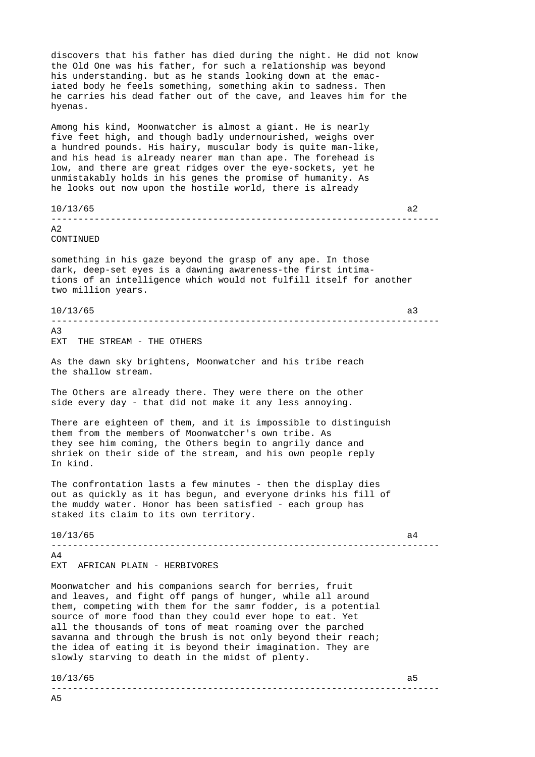discovers that his father has died during the night. He did not know the Old One was his father, for such a relationship was beyond his understanding. but as he stands looking down at the emaciated body he feels something, something akin to sadness. Then he carries his dead father out of the cave, and leaves him for the hyenas. Among his kind, Moonwatcher is almost a giant. He is nearly five feet high, and though badly undernourished, weighs over a hundred pounds. His hairy, muscular body is quite man-like, and his head is already nearer man than ape. The forehead is low, and there are great ridges over the eye-sockets, yet he unmistakably holds in his genes the promise of humanity. As he looks out now upon the hostile world, there is already 10/13/65 a2 ------------------------------------------------------------------------ A2 CONTINUED something in his gaze beyond the grasp of any ape. In those dark, deep-set eyes is a dawning awareness-the first intimations of an intelligence which would not fulfill itself for another two million years.  $10/13/65$  a3 ------------------------------------------------------------------------  $A3$ EXT THE STREAM - THE OTHERS As the dawn sky brightens, Moonwatcher and his tribe reach the shallow stream. The Others are already there. They were there on the other side every day - that did not make it any less annoying. There are eighteen of them, and it is impossible to distinguish them from the members of Moonwatcher's own tribe. As they see him coming, the Others begin to angrily dance and shriek on their side of the stream, and his own people reply In kind. The confrontation lasts a few minutes - then the display dies out as quickly as it has begun, and everyone drinks his fill of the muddy water. Honor has been satisfied - each group has staked its claim to its own territory.  $10/13/65$  a and a set of  $\sim$  and a set of  $\sim$  and  $\sim$  and  $\sim$  and  $\sim$  and  $\sim$  and  $\sim$  and  $\sim$  and  $\sim$  and  $\sim$  and  $\sim$  and  $\sim$  and  $\sim$  and  $\sim$  and  $\sim$  and  $\sim$  and  $\sim$  and  $\sim$  and  $\sim$  and  $\sim$  and  $\sim$  a ------------------------------------------------------------------------ A4 EXT AFRICAN PLAIN - HERBIVORES Moonwatcher and his companions search for berries, fruit and leaves, and fight off pangs of hunger, while all around them, competing with them for the samr fodder, is a potential source of more food than they could ever hope to eat. Yet all the thousands of tons of meat roaming over the parched savanna and through the brush is not only beyond their reach; the idea of eating it is beyond their imagination. They are slowly starving to death in the midst of plenty.  $10/13/65$  as a set of  $\sim$  and  $\sim$  and  $\sim$  and  $\sim$  and  $\sim$  and  $\sim$  and  $\sim$  and  $\sim$  and  $\sim$  and  $\sim$  and  $\sim$  and  $\sim$  and  $\sim$  and  $\sim$  and  $\sim$  and  $\sim$  and  $\sim$  and  $\sim$  and  $\sim$  and  $\sim$  and  $\sim$  and  $\sim$  and ------------------------------------------------------------------------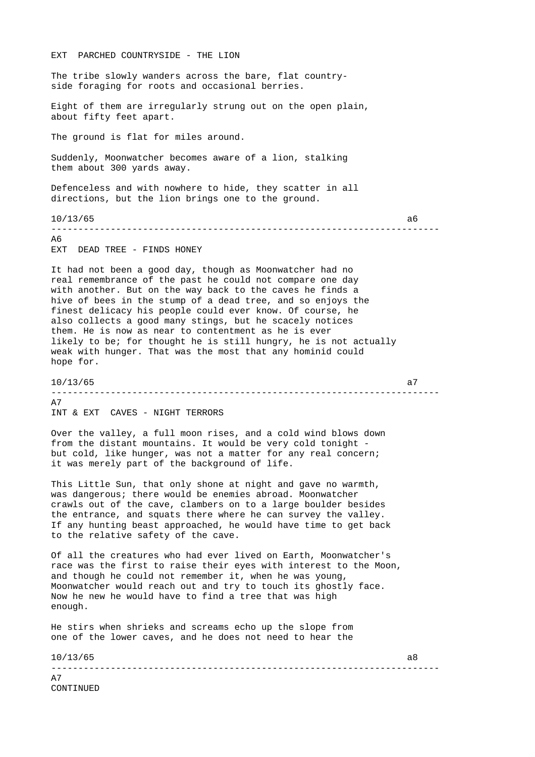EXT PARCHED COUNTRYSIDE - THE LION The tribe slowly wanders across the bare, flat countryside foraging for roots and occasional berries. Eight of them are irregularly strung out on the open plain, about fifty feet apart. The ground is flat for miles around. Suddenly, Moonwatcher becomes aware of a lion, stalking them about 300 yards away. Defenceless and with nowhere to hide, they scatter in all directions, but the lion brings one to the ground.  $10/13/65$  a6 ------------------------------------------------------------------------ A6 EXT DEAD TREE - FINDS HONEY It had not been a good day, though as Moonwatcher had no real remembrance of the past he could not compare one day with another. But on the way back to the caves he finds a hive of bees in the stump of a dead tree, and so enjoys the finest delicacy his people could ever know. Of course, he also collects a good many stings, but he scacely notices them. He is now as near to contentment as he is ever likely to be; for thought he is still hungry, he is not actually weak with hunger. That was the most that any hominid could hope for.  $10/13/65$  a $7$ ------------------------------------------------------------------------ A7 INT & EXT CAVES - NIGHT TERRORS Over the valley, a full moon rises, and a cold wind blows down from the distant mountains. It would be very cold tonight but cold, like hunger, was not a matter for any real concern; it was merely part of the background of life. This Little Sun, that only shone at night and gave no warmth, was dangerous; there would be enemies abroad. Moonwatcher crawls out of the cave, clambers on to a large boulder besides the entrance, and squats there where he can survey the valley. If any hunting beast approached, he would have time to get back to the relative safety of the cave. Of all the creatures who had ever lived on Earth, Moonwatcher's race was the first to raise their eyes with interest to the Moon, and though he could not remember it, when he was young, Moonwatcher would reach out and try to touch its ghostly face. Now he new he would have to find a tree that was high enough. He stirs when shrieks and screams echo up the slope from one of the lower caves, and he does not need to hear the  $10/13/65$  as a set of  $\sim$  and  $\sim$  and  $\sim$  and  $\sim$  and  $\sim$  and  $\sim$  and  $\sim$  and  $\sim$  and  $\sim$  and  $\sim$  and  $\sim$  and  $\sim$  and  $\sim$  and  $\sim$  and  $\sim$  and  $\sim$  and  $\sim$  and  $\sim$  and  $\sim$  and  $\sim$  and  $\sim$  and  $\sim$  and ------------------------------------------------------------------------ A7 CONTINUED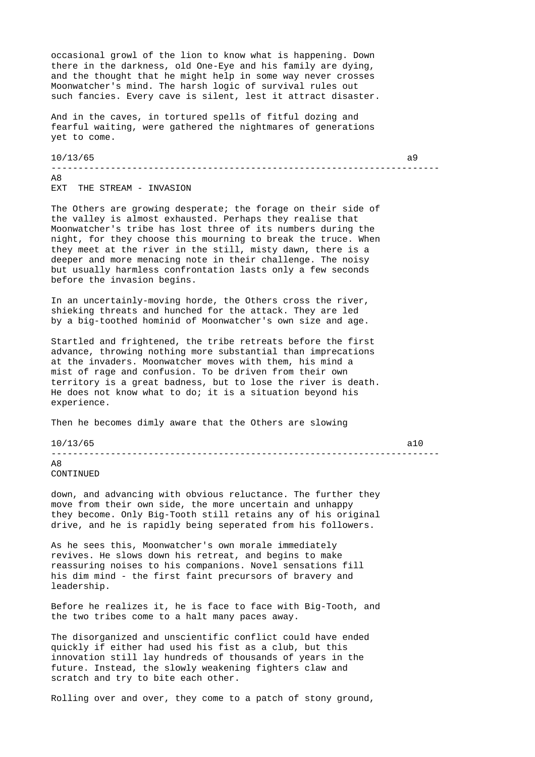occasional growl of the lion to know what is happening. Down there in the darkness, old One-Eye and his family are dying, and the thought that he might help in some way never crosses Moonwatcher's mind. The harsh logic of survival rules out such fancies. Every cave is silent, lest it attract disaster.

And in the caves, in tortured spells of fitful dozing and fearful waiting, were gathered the nightmares of generations yet to come.

 $10/13/65$  a9 ------------------------------------------------------------------------ A8 EXT THE STREAM - INVASION

The Others are growing desperate; the forage on their side of the valley is almost exhausted. Perhaps they realise that Moonwatcher's tribe has lost three of its numbers during the night, for they choose this mourning to break the truce. When they meet at the river in the still, misty dawn, there is a deeper and more menacing note in their challenge. The noisy but usually harmless confrontation lasts only a few seconds before the invasion begins.

In an uncertainly-moving horde, the Others cross the river, shieking threats and hunched for the attack. They are led by a big-toothed hominid of Moonwatcher's own size and age.

Startled and frightened, the tribe retreats before the first advance, throwing nothing more substantial than imprecations at the invaders. Moonwatcher moves with them, his mind a mist of rage and confusion. To be driven from their own territory is a great badness, but to lose the river is death. He does not know what to do; it is a situation beyond his experience.

Then he becomes dimly aware that the Others are slowing

10/13/65 a10

------------------------------------------------------------------------

A8

CONTINUED

down, and advancing with obvious reluctance. The further they move from their own side, the more uncertain and unhappy they become. Only Big-Tooth still retains any of his original drive, and he is rapidly being seperated from his followers.

As he sees this, Moonwatcher's own morale immediately revives. He slows down his retreat, and begins to make reassuring noises to his companions. Novel sensations fill his dim mind - the first faint precursors of bravery and leadership.

Before he realizes it, he is face to face with Big-Tooth, and the two tribes come to a halt many paces away.

The disorganized and unscientific conflict could have ended quickly if either had used his fist as a club, but this innovation still lay hundreds of thousands of years in the future. Instead, the slowly weakening fighters claw and scratch and try to bite each other.

Rolling over and over, they come to a patch of stony ground,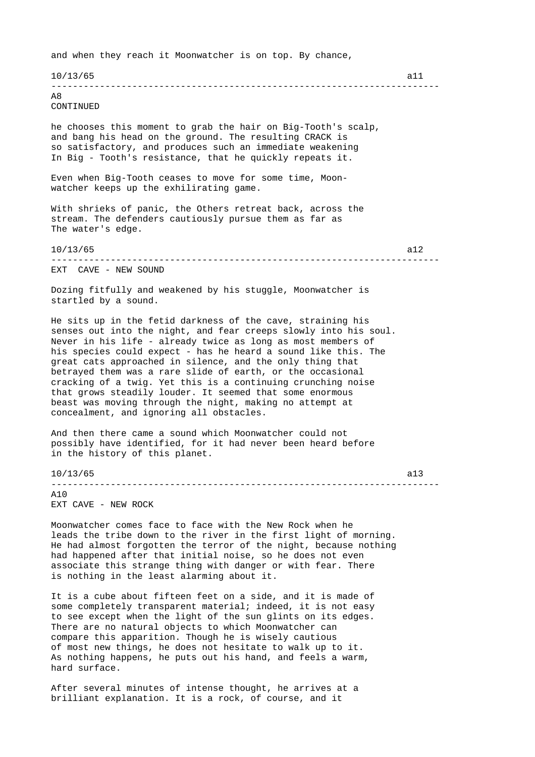and when they reach it Moonwatcher is on top. By chance, 10/13/65 a11 ------------------------------------------------------------------------  $\Delta$ 8 **CONTINUED** he chooses this moment to grab the hair on Big-Tooth's scalp, and bang his head on the ground. The resulting CRACK is so satisfactory, and produces such an immediate weakening In Big - Tooth's resistance, that he quickly repeats it. Even when Big-Tooth ceases to move for some time, Moonwatcher keeps up the exhilirating game. With shrieks of panic, the Others retreat back, across the stream. The defenders cautiously pursue them as far as The water's edge. 10/13/65 a12 ------------------------------------------------------------------------ EXT CAVE - NEW SOUND Dozing fitfully and weakened by his stuggle, Moonwatcher is startled by a sound. He sits up in the fetid darkness of the cave, straining his senses out into the night, and fear creeps slowly into his soul. Never in his life - already twice as long as most members of his species could expect - has he heard a sound like this. The great cats approached in silence, and the only thing that betrayed them was a rare slide of earth, or the occasional cracking of a twig. Yet this is a continuing crunching noise that grows steadily louder. It seemed that some enormous beast was moving through the night, making no attempt at concealment, and ignoring all obstacles. And then there came a sound which Moonwatcher could not possibly have identified, for it had never been heard before in the history of this planet. 10/13/65 a13 ------------------------------------------------------------------------ A10 EXT CAVE - NEW ROCK Moonwatcher comes face to face with the New Rock when he leads the tribe down to the river in the first light of morning. He had almost forgotten the terror of the night, because nothing had happened after that initial noise, so he does not even associate this strange thing with danger or with fear. There is nothing in the least alarming about it. It is a cube about fifteen feet on a side, and it is made of some completely transparent material; indeed, it is not easy to see except when the light of the sun glints on its edges.

There are no natural objects to which Moonwatcher can compare this apparition. Though he is wisely cautious of most new things, he does not hesitate to walk up to it. As nothing happens, he puts out his hand, and feels a warm, hard surface.

After several minutes of intense thought, he arrives at a brilliant explanation. It is a rock, of course, and it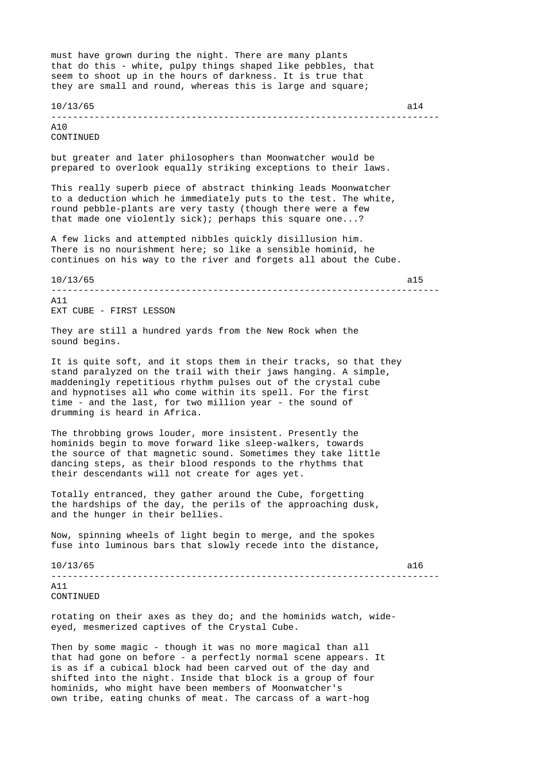must have grown during the night. There are many plants that do this - white, pulpy things shaped like pebbles, that seem to shoot up in the hours of darkness. It is true that they are small and round, whereas this is large and square; 10/13/65 a14 ------------------------------------------------------------------------ A10 CONTINUED but greater and later philosophers than Moonwatcher would be prepared to overlook equally striking exceptions to their laws. This really superb piece of abstract thinking leads Moonwatcher to a deduction which he immediately puts to the test. The white, round pebble-plants are very tasty (though there were a few that made one violently sick); perhaps this square one...? A few licks and attempted nibbles quickly disillusion him. There is no nourishment here; so like a sensible hominid, he continues on his way to the river and forgets all about the Cube. 10/13/65 a15 ------------------------------------------------------------------------ A11 EXT CUBE - FIRST LESSON They are still a hundred yards from the New Rock when the sound begins. It is quite soft, and it stops them in their tracks, so that they stand paralyzed on the trail with their jaws hanging. A simple, maddeningly repetitious rhythm pulses out of the crystal cube and hypnotises all who come within its spell. For the first time - and the last, for two million year - the sound of drumming is heard in Africa. The throbbing grows louder, more insistent. Presently the hominids begin to move forward like sleep-walkers, towards the source of that magnetic sound. Sometimes they take little dancing steps, as their blood responds to the rhythms that their descendants will not create for ages yet. Totally entranced, they gather around the Cube, forgetting the hardships of the day, the perils of the approaching dusk, and the hunger in their bellies. Now, spinning wheels of light begin to merge, and the spokes fuse into luminous bars that slowly recede into the distance, 10/13/65 a16 ------------------------------------------------------------------------ A11 CONTINUED rotating on their axes as they do; and the hominids watch, wideeyed, mesmerized captives of the Crystal Cube. Then by some magic - though it was no more magical than all that had gone on before - a perfectly normal scene appears. It is as if a cubical block had been carved out of the day and shifted into the night. Inside that block is a group of four hominids, who might have been members of Moonwatcher's

own tribe, eating chunks of meat. The carcass of a wart-hog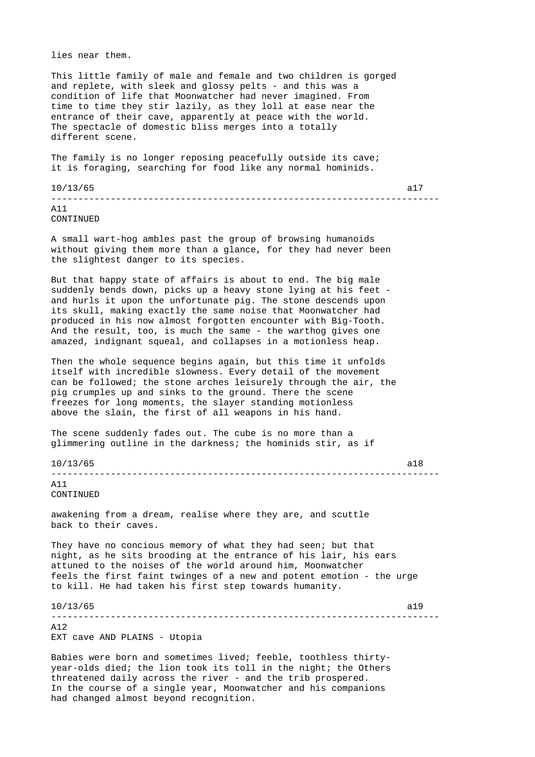lies near them.

This little family of male and female and two children is gorged and replete, with sleek and glossy pelts - and this was a condition of life that Moonwatcher had never imagined. From time to time they stir lazily, as they loll at ease near the entrance of their cave, apparently at peace with the world. The spectacle of domestic bliss merges into a totally different scene.

The family is no longer reposing peacefully outside its cave; it is foraging, searching for food like any normal hominids.

10/13/65 a17 ------------------------------------------------------------------------ A11 CONTINUED

A small wart-hog ambles past the group of browsing humanoids without giving them more than a glance, for they had never been the slightest danger to its species.

But that happy state of affairs is about to end. The big male suddenly bends down, picks up a heavy stone lying at his feet and hurls it upon the unfortunate pig. The stone descends upon its skull, making exactly the same noise that Moonwatcher had produced in his now almost forgotten encounter with Big-Tooth. And the result, too, is much the same - the warthog gives one amazed, indignant squeal, and collapses in a motionless heap.

Then the whole sequence begins again, but this time it unfolds itself with incredible slowness. Every detail of the movement can be followed; the stone arches leisurely through the air, the pig crumples up and sinks to the ground. There the scene freezes for long moments, the slayer standing motionless above the slain, the first of all weapons in his hand.

The scene suddenly fades out. The cube is no more than a glimmering outline in the darkness; the hominids stir, as if

10/13/65 a18 ------------------------------------------------------------------------

A11

CONTINUED

awakening from a dream, realise where they are, and scuttle back to their caves.

They have no concious memory of what they had seen; but that night, as he sits brooding at the entrance of his lair, his ears attuned to the noises of the world around him, Moonwatcher feels the first faint twinges of a new and potent emotion - the urge to kill. He had taken his first step towards humanity.

10/13/65 a19

------------------------------------------------------------------------ A12 EXT cave AND PLAINS - Utopia

Babies were born and sometimes lived; feeble, toothless thirtyyear-olds died; the lion took its toll in the night; the Others threatened daily across the river - and the trib prospered. In the course of a single year, Moonwatcher and his companions had changed almost beyond recognition.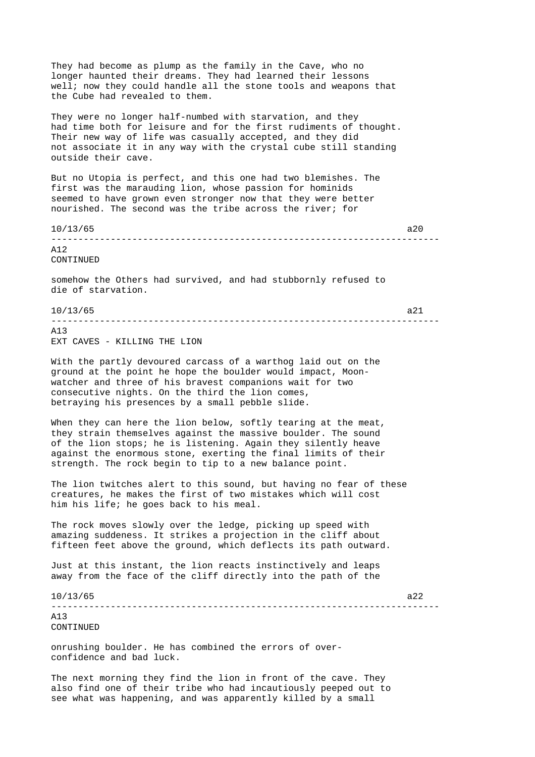They had become as plump as the family in the Cave, who no longer haunted their dreams. They had learned their lessons well; now they could handle all the stone tools and weapons that the Cube had revealed to them. They were no longer half-numbed with starvation, and they had time both for leisure and for the first rudiments of thought. Their new way of life was casually accepted, and they did not associate it in any way with the crystal cube still standing outside their cave. But no Utopia is perfect, and this one had two blemishes. The first was the marauding lion, whose passion for hominids seemed to have grown even stronger now that they were better nourished. The second was the tribe across the river; for 10/13/65 a20 ------------------------------------------------------------------------ A12 CONTINUED somehow the Others had survived, and had stubbornly refused to die of starvation. 10/13/65 a21 ------------------------------------------------------------------------ A13 EXT CAVES - KILLING THE LION With the partly devoured carcass of a warthog laid out on the ground at the point he hope the boulder would impact, Moonwatcher and three of his bravest companions wait for two consecutive nights. On the third the lion comes, betraying his presences by a small pebble slide. When they can here the lion below, softly tearing at the meat, they strain themselves against the massive boulder. The sound of the lion stops; he is listening. Again they silently heave against the enormous stone, exerting the final limits of their strength. The rock begin to tip to a new balance point. The lion twitches alert to this sound, but having no fear of these creatures, he makes the first of two mistakes which will cost him his life; he goes back to his meal. The rock moves slowly over the ledge, picking up speed with amazing suddeness. It strikes a projection in the cliff about fifteen feet above the ground, which deflects its path outward. Just at this instant, the lion reacts instinctively and leaps away from the face of the cliff directly into the path of the 10/13/65 a22 ------------------------------------------------------------------------ A13 CONTINUED onrushing boulder. He has combined the errors of overconfidence and bad luck.

The next morning they find the lion in front of the cave. They also find one of their tribe who had incautiously peeped out to see what was happening, and was apparently killed by a small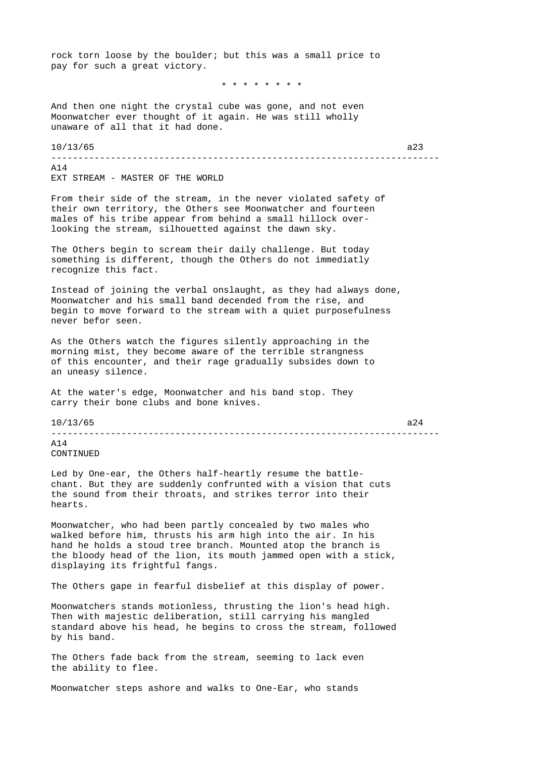rock torn loose by the boulder; but this was a small price to pay for such a great victory.

\* \* \* \* \* \* \* \*

And then one night the crystal cube was gone, and not even Moonwatcher ever thought of it again. He was still wholly unaware of all that it had done.

10/13/65 a23 ------------------------------------------------------------------------  $A14$ EXT STREAM - MASTER OF THE WORLD

From their side of the stream, in the never violated safety of their own territory, the Others see Moonwatcher and fourteen males of his tribe appear from behind a small hillock overlooking the stream, silhouetted against the dawn sky.

The Others begin to scream their daily challenge. But today something is different, though the Others do not immediatly recognize this fact.

Instead of joining the verbal onslaught, as they had always done, Moonwatcher and his small band decended from the rise, and begin to move forward to the stream with a quiet purposefulness never befor seen.

As the Others watch the figures silently approaching in the morning mist, they become aware of the terrible strangness of this encounter, and their rage gradually subsides down to an uneasy silence.

At the water's edge, Moonwatcher and his band stop. They carry their bone clubs and bone knives.

10/13/65 a24 ------------------------------------------------------------------------ A14

CONTINUED

Led by One-ear, the Others half-heartly resume the battlechant. But they are suddenly confrunted with a vision that cuts the sound from their throats, and strikes terror into their hearts.

Moonwatcher, who had been partly concealed by two males who walked before him, thrusts his arm high into the air. In his hand he holds a stoud tree branch. Mounted atop the branch is the bloody head of the lion, its mouth jammed open with a stick, displaying its frightful fangs.

The Others gape in fearful disbelief at this display of power.

Moonwatchers stands motionless, thrusting the lion's head high. Then with majestic deliberation, still carrying his mangled standard above his head, he begins to cross the stream, followed by his band.

The Others fade back from the stream, seeming to lack even the ability to flee.

Moonwatcher steps ashore and walks to One-Ear, who stands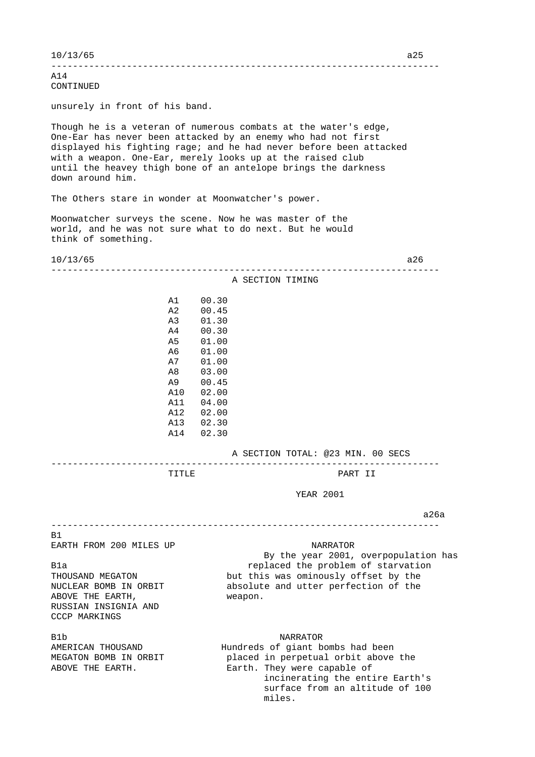| 10/13/65                                                                                                                                              |                                                                                                                                                                                                                                                                                                                                        | a25  |
|-------------------------------------------------------------------------------------------------------------------------------------------------------|----------------------------------------------------------------------------------------------------------------------------------------------------------------------------------------------------------------------------------------------------------------------------------------------------------------------------------------|------|
| A14<br>CONTINUED                                                                                                                                      |                                                                                                                                                                                                                                                                                                                                        |      |
| unsurely in front of his band.                                                                                                                        |                                                                                                                                                                                                                                                                                                                                        |      |
| down around him.                                                                                                                                      | Though he is a veteran of numerous combats at the water's edge,<br>One-Ear has never been attacked by an enemy who had not first<br>displayed his fighting rage; and he had never before been attacked<br>with a weapon. One-Ear, merely looks up at the raised club<br>until the heavey thigh bone of an antelope brings the darkness |      |
| The Others stare in wonder at Moonwatcher's power.                                                                                                    |                                                                                                                                                                                                                                                                                                                                        |      |
| think of something.                                                                                                                                   | Moonwatcher surveys the scene. Now he was master of the<br>world, and he was not sure what to do next. But he would                                                                                                                                                                                                                    |      |
| 10/13/65                                                                                                                                              |                                                                                                                                                                                                                                                                                                                                        | a26  |
|                                                                                                                                                       | A SECTION TIMING                                                                                                                                                                                                                                                                                                                       |      |
| A1<br>A2<br>A3<br>A4<br>A5<br>A6<br>A7<br>A8<br>A9<br>A10<br>A11<br>A12<br>A13<br>A14                                                                 | 00.30<br>00.45<br>01.30<br>00.30<br>01.00<br>01.00<br>01.00<br>03.00<br>00.45<br>02.00<br>04.00<br>02.00<br>02.30<br>02.30                                                                                                                                                                                                             |      |
|                                                                                                                                                       | A SECTION TOTAL: @23 MIN. 00 SECS                                                                                                                                                                                                                                                                                                      |      |
| <b>TITLE</b>                                                                                                                                          | PART II                                                                                                                                                                                                                                                                                                                                |      |
|                                                                                                                                                       | <b>YEAR 2001</b>                                                                                                                                                                                                                                                                                                                       |      |
|                                                                                                                                                       |                                                                                                                                                                                                                                                                                                                                        | a26a |
| B1<br>EARTH FROM 200 MILES UP<br>B1a<br>THOUSAND MEGATON<br>NUCLEAR BOMB IN ORBIT<br>ABOVE THE EARTH,<br>RUSSIAN INSIGNIA AND<br><b>CCCP MARKINGS</b> | <b>NARRATOR</b><br>By the year 2001, overpopulation has<br>replaced the problem of starvation<br>but this was ominously offset by the<br>absolute and utter perfection of the<br>weapon.                                                                                                                                               |      |
| B1b<br>AMERICAN THOUSAND<br>MEGATON BOMB IN ORBIT<br>ABOVE THE EARTH.                                                                                 | <b>NARRATOR</b><br>Hundreds of giant bombs had been<br>placed in perpetual orbit above the<br>Earth. They were capable of<br>incinerating the entire Earth's<br>surface from an altitude of 100<br>miles.                                                                                                                              |      |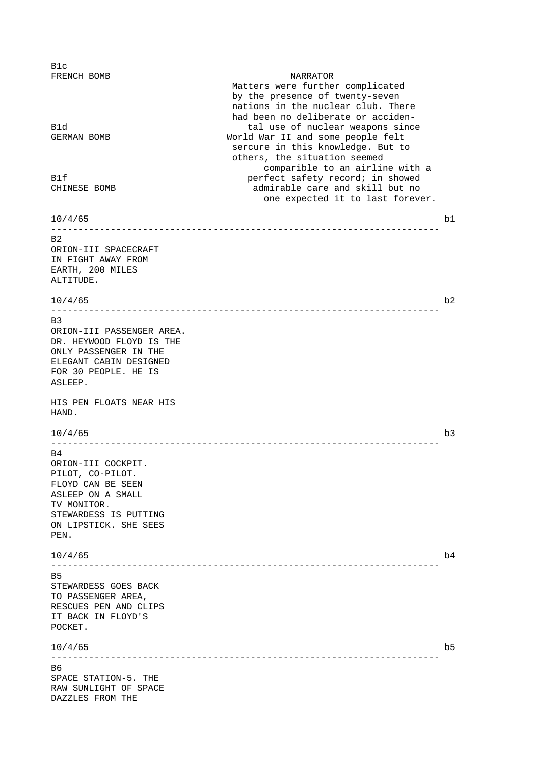B1c FRENCH BOMB NARRATOR Matters were further complicated by the presence of twenty-seven nations in the nuclear club. There had been no deliberate or acciden-B1d tal use of nuclear weapons since World War II and some people felt sercure in this knowledge. But to others, the situation seemed comparible to an airline with a B1f **B1f** perfect safety record; in showed CHINESE BOMB admirable care and skill but no one expected it to last forever. 10/4/65 b1 ------------------------------------------------------------------------ B2 ORION-III SPACECRAFT IN FIGHT AWAY FROM EARTH, 200 MILES ALTITUDE. 10/4/65 b2 ------------------------------------------------------------------------ B<sub>3</sub> ORION-III PASSENGER AREA. DR. HEYWOOD FLOYD IS THE ONLY PASSENGER IN THE ELEGANT CABIN DESIGNED FOR 30 PEOPLE. HE IS ASLEEP. HIS PEN FLOATS NEAR HIS HAND.  $10/4/65$  b3 ------------------------------------------------------------------------  $B4$ ORION-III COCKPIT. PILOT, CO-PILOT. FLOYD CAN BE SEEN ASLEEP ON A SMALL TV MONITOR. STEWARDESS IS PUTTING ON LIPSTICK. SHE SEES PEN. 10/4/65 b4 ------------------------------------------------------------------------ B5 STEWARDESS GOES BACK TO PASSENGER AREA, RESCUES PEN AND CLIPS IT BACK IN FLOYD'S POCKET. 10/4/65 b5 ------------------------------------------------------------------------ B6 SPACE STATION-5. THE RAW SUNLIGHT OF SPACE DAZZLES FROM THE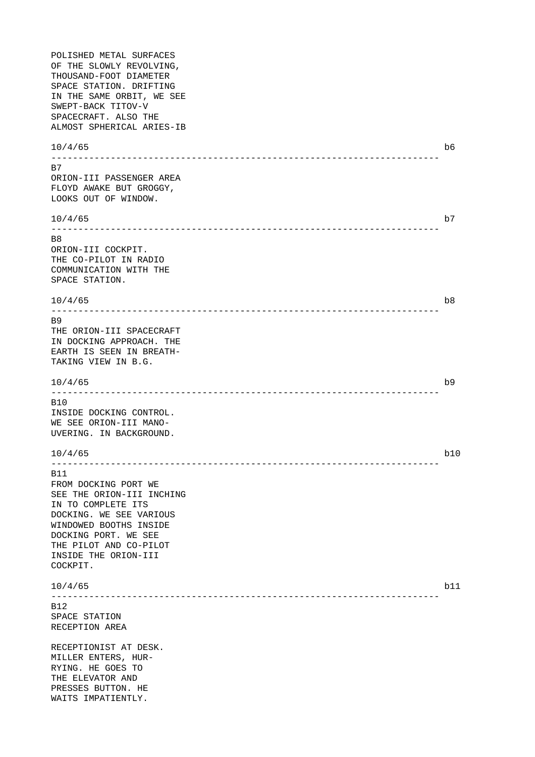POLISHED METAL SURFACES OF THE SLOWLY REVOLVING, THOUSAND-FOOT DIAMETER SPACE STATION. DRIFTING IN THE SAME ORBIT, WE SEE SWEPT-BACK TITOV-V SPACECRAFT. ALSO THE ALMOST SPHERICAL ARIES-IB 10/4/65 b6 ------------------------------------------------------------------------ **B7** ORION-III PASSENGER AREA FLOYD AWAKE BUT GROGGY, LOOKS OUT OF WINDOW. 10/4/65 b7 ------------------------------------------------------------------------ B8 ORION-III COCKPIT. THE CO-PILOT IN RADIO COMMUNICATION WITH THE SPACE STATION. 10/4/65 b8 ------------------------------------------------------------------------ R<sub>9</sub> THE ORION-III SPACECRAFT IN DOCKING APPROACH. THE EARTH IS SEEN IN BREATH-TAKING VIEW IN B.G. 10/4/65 b9 ------------------------------------------------------------------------ B10 INSIDE DOCKING CONTROL. WE SEE ORION-III MANO-UVERING. IN BACKGROUND. 10/4/65 b10 ------------------------------------------------------------------------ B11 FROM DOCKING PORT WE SEE THE ORION-III INCHING IN TO COMPLETE ITS DOCKING. WE SEE VARIOUS WINDOWED BOOTHS INSIDE DOCKING PORT. WE SEE THE PILOT AND CO-PILOT INSIDE THE ORION-III COCKPIT. 10/4/65 b11 ------------------------------------------------------------------------ R<sub>12</sub> SPACE STATION RECEPTION AREA RECEPTIONIST AT DESK. MILLER ENTERS, HUR-RYING. HE GOES TO THE ELEVATOR AND PRESSES BUTTON. HE WAITS IMPATIENTLY.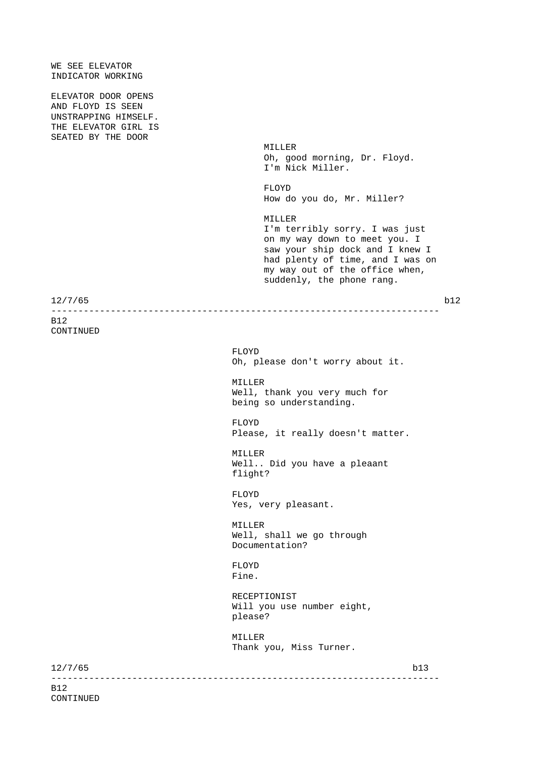| 12/7/65                                                                                  | b13                                                                                                                                                                                                             |     |
|------------------------------------------------------------------------------------------|-----------------------------------------------------------------------------------------------------------------------------------------------------------------------------------------------------------------|-----|
|                                                                                          | MILLER<br>Thank you, Miss Turner.                                                                                                                                                                               |     |
|                                                                                          | RECEPTIONIST<br>Will you use number eight,<br>please?                                                                                                                                                           |     |
|                                                                                          | <b>FLOYD</b><br>Fine.                                                                                                                                                                                           |     |
|                                                                                          | MILLER<br>Well, shall we go through<br>Documentation?                                                                                                                                                           |     |
|                                                                                          | <b>FLOYD</b><br>Yes, very pleasant.                                                                                                                                                                             |     |
|                                                                                          | MILLER<br>Well Did you have a pleaant<br>flight?                                                                                                                                                                |     |
|                                                                                          | FLOYD<br>Please, it really doesn't matter.                                                                                                                                                                      |     |
|                                                                                          | MILLER<br>Well, thank you very much for<br>being so understanding.                                                                                                                                              |     |
|                                                                                          | <b>FLOYD</b><br>Oh, please don't worry about it.                                                                                                                                                                |     |
| <b>B12</b><br>CONTINUED                                                                  |                                                                                                                                                                                                                 |     |
| 12/7/65                                                                                  |                                                                                                                                                                                                                 | b12 |
|                                                                                          | MILLER<br>I'm terribly sorry. I was just<br>on my way down to meet you. I<br>saw your ship dock and I knew I<br>had plenty of time, and I was on<br>my way out of the office when,<br>suddenly, the phone rang. |     |
|                                                                                          | <b>FLOYD</b><br>How do you do, Mr. Miller?                                                                                                                                                                      |     |
| SEATED BY THE DOOR                                                                       | MILLER<br>Oh, good morning, Dr. Floyd.<br>I'm Nick Miller.                                                                                                                                                      |     |
| ELEVATOR DOOR OPENS<br>AND FLOYD IS SEEN<br>UNSTRAPPING HIMSELF.<br>THE ELEVATOR GIRL IS |                                                                                                                                                                                                                 |     |
| WE SEE ELEVATOR<br>INDICATOR WORKING                                                     |                                                                                                                                                                                                                 |     |

## CONTINUED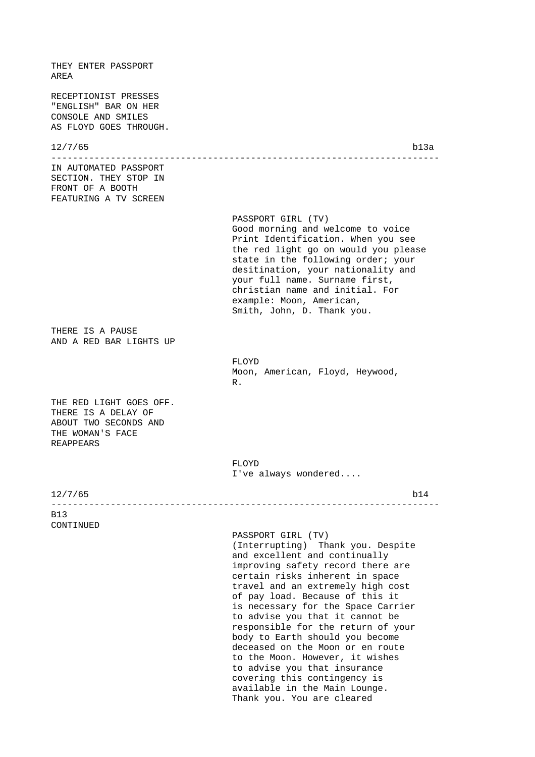THEY ENTER PASSPORT AREA RECEPTIONIST PRESSES "ENGLISH" BAR ON HER CONSOLE AND SMILES AS FLOYD GOES THROUGH. 12/7/65 b13a ------------------------------------------------------------------------ IN AUTOMATED PASSPORT SECTION. THEY STOP IN FRONT OF A BOOTH FEATURING A TV SCREEN PASSPORT GIRL (TV) Good morning and welcome to voice Print Identification. When you see the red light go on would you please state in the following order; your desitination, your nationality and your full name. Surname first, christian name and initial. For example: Moon, American, Smith, John, D. Thank you. THERE IS A PAUSE AND A RED BAR LIGHTS UP FLOYD Moon, American, Floyd, Heywood, R. THE RED LIGHT GOES OFF. THERE IS A DELAY OF ABOUT TWO SECONDS AND THE WOMAN'S FACE REAPPEARS FLOYD I've always wondered.... 12/7/65 b14 ------------------------------------------------------------------------ B13 CONTINUED PASSPORT GIRL (TV) (Interrupting) Thank you. Despite and excellent and continually improving safety record there are certain risks inherent in space travel and an extremely high cost of pay load. Because of this it is necessary for the Space Carrier to advise you that it cannot be responsible for the return of your body to Earth should you become deceased on the Moon or en route to the Moon. However, it wishes to advise you that insurance covering this contingency is available in the Main Lounge.

Thank you. You are cleared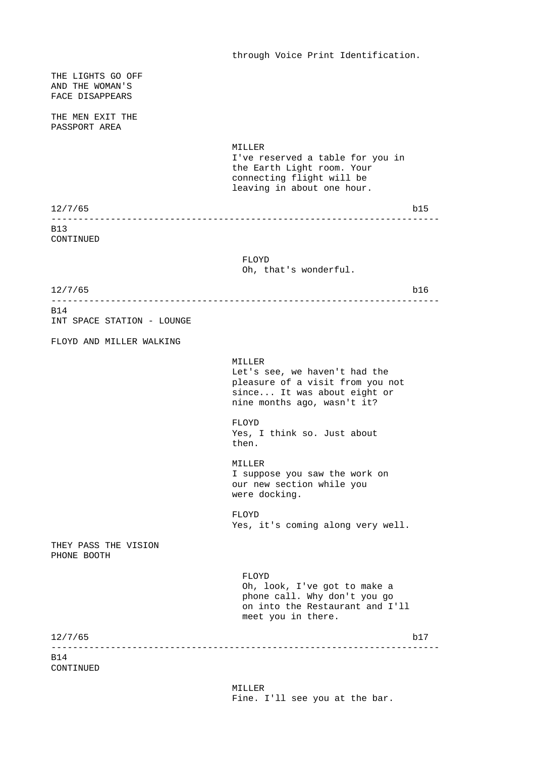THE LIGHTS GO OFF AND THE WOMAN'S FACE DISAPPEARS THE MEN EXIT THE PASSPORT AREA MILLER I've reserved a table for you in the Earth Light room. Your connecting flight will be leaving in about one hour. 12/7/65 b15 ------------------------------------------------------------------------ B13 CONTINUED FLOYD Oh, that's wonderful. 12/7/65 b16 ------------------------------------------------------------------------ B14 INT SPACE STATION - LOUNGE FLOYD AND MILLER WALKING MILLER Let's see, we haven't had the pleasure of a visit from you not since... It was about eight or nine months ago, wasn't it? FLOYD Yes, I think so. Just about then. MILLER I suppose you saw the work on our new section while you were docking. FLOYD Yes, it's coming along very well. THEY PASS THE VISION PHONE BOOTH FLOYD Oh, look, I've got to make a phone call. Why don't you go on into the Restaurant and I'll meet you in there. 12/7/65 b17 ------------------------------------------------------------------------ B14 CONTINUED

> MILLER Fine. I'll see you at the bar.

through Voice Print Identification.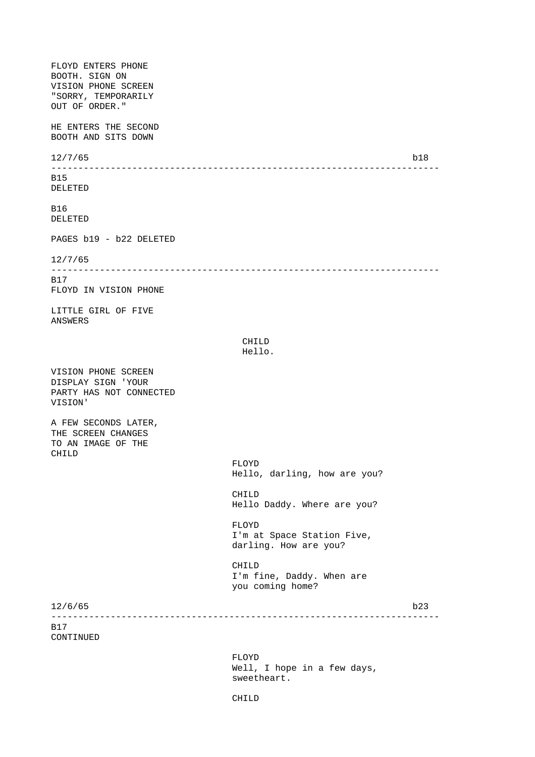FLOYD ENTERS PHONE BOOTH. SIGN ON VISION PHONE SCREEN "SORRY, TEMPORARILY OUT OF ORDER." HE ENTERS THE SECOND BOOTH AND SITS DOWN 12/7/65 b18 ------------------------------------------------------------------------ B15 DELETED B16 DELETED PAGES b19 - b22 DELETED 12/7/65 ------------------------------------------------------------------------ B17 FLOYD IN VISION PHONE LITTLE GIRL OF FIVE ANSWERS CHILD Hello. VISION PHONE SCREEN DISPLAY SIGN 'YOUR PARTY HAS NOT CONNECTED VISION' A FEW SECONDS LATER, THE SCREEN CHANGES TO AN IMAGE OF THE CHILD FLOYD Hello, darling, how are you? CHILD Hello Daddy. Where are you? FLOYD I'm at Space Station Five, darling. How are you? CHILD I'm fine, Daddy. When are you coming home?  $12/6/65$  b23 ------------------------------------------------------------------------ B17 CONTINUED FLOYD

 Well, I hope in a few days, sweetheart.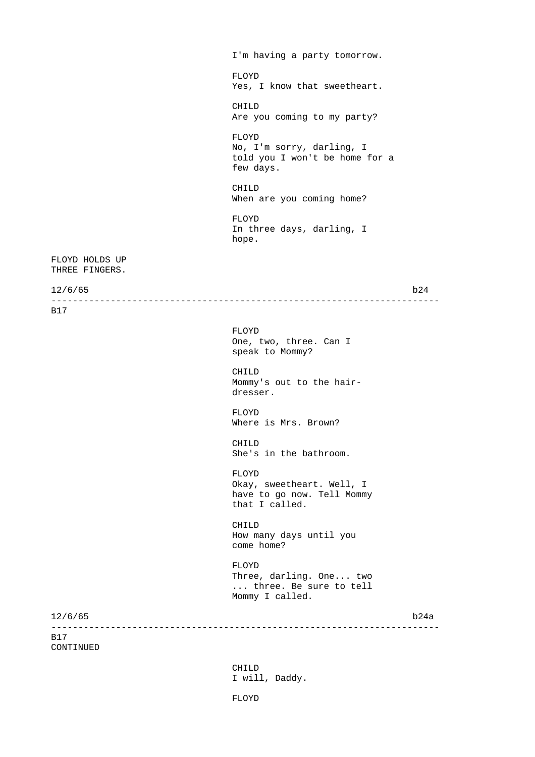I'm having a party tomorrow. FLOYD Yes, I know that sweetheart. **CHILD**  Are you coming to my party? FLOYD No, I'm sorry, darling, I told you I won't be home for a few days. CHILD When are you coming home? FLOYD In three days, darling, I hope. FLOYD HOLDS UP THREE FINGERS. 12/6/65 b24 ------------------------------------------------------------------------ B17 FLOYD One, two, three. Can I speak to Mommy? CHILD Mommy's out to the hair dresser. FLOYD Where is Mrs. Brown? CHILD She's in the bathroom. FLOYD Okay, sweetheart. Well, I have to go now. Tell Mommy that I called. CHILD How many days until you come home? FLOYD Three, darling. One... two ... three. Be sure to tell Mommy I called. 12/6/65 b24a ------------------------------------------------------------------------ B17 CONTINUED CHILD I will, Daddy.

FLOYD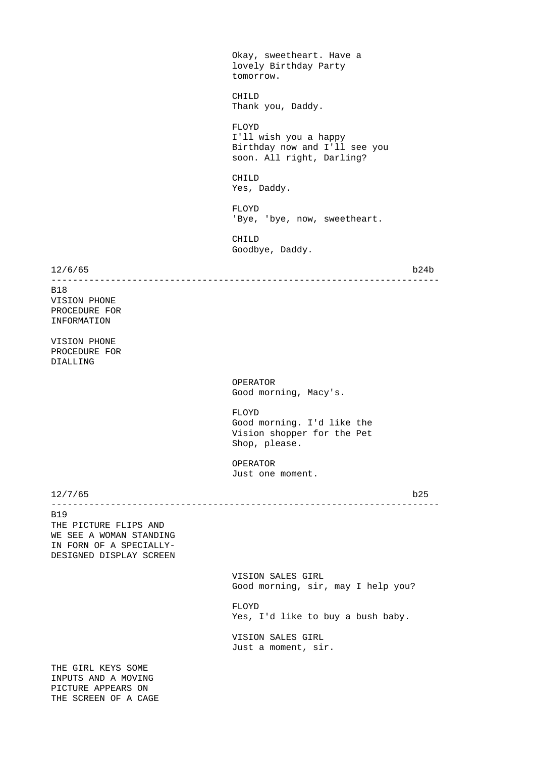Okay, sweetheart. Have a lovely Birthday Party tomorrow. **CHILD**  Thank you, Daddy. FLOYD I'll wish you a happy Birthday now and I'll see you soon. All right, Darling? CHILD Yes, Daddy. FLOYD 'Bye, 'bye, now, sweetheart. CHILD Goodbye, Daddy. 12/6/65 b24b ------------------------------------------------------------------------ B18 VISION PHONE PROCEDURE FOR INFORMATION VISION PHONE PROCEDURE FOR DIALLING OPERATOR Good morning, Macy's. FLOYD Good morning. I'd like the Vision shopper for the Pet Shop, please. OPERATOR Just one moment. 12/7/65 b25 ------------------------------------------------------------------------ B19 THE PICTURE FLIPS AND WE SEE A WOMAN STANDING IN FORN OF A SPECIALLY-DESIGNED DISPLAY SCREEN VISION SALES GIRL Good morning, sir, may I help you? FLOYD Yes, I'd like to buy a bush baby. VISION SALES GIRL Just a moment, sir. THE GIRL KEYS SOME INPUTS AND A MOVING PICTURE APPEARS ON THE SCREEN OF A CAGE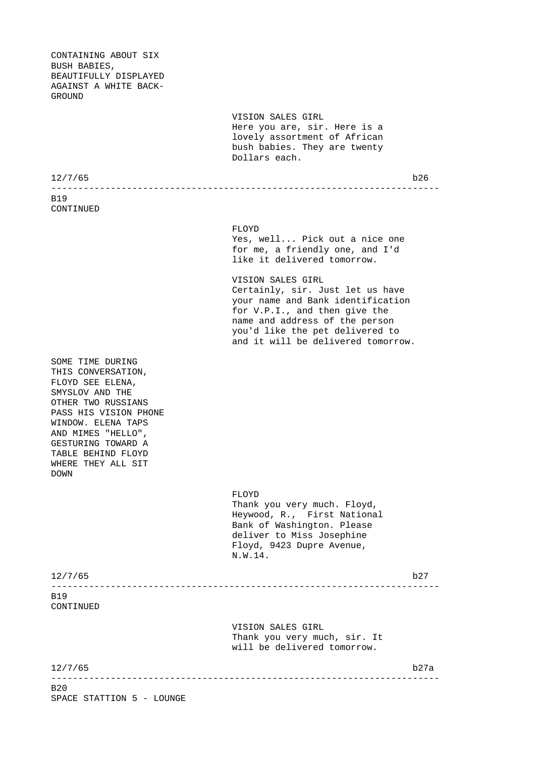CONTAINING ABOUT SIX BUSH BABIES, BEAUTIFULLY DISPLAYED AGAINST A WHITE BACK-GROUND VISION SALES GIRL Here you are, sir. Here is a lovely assortment of African bush babies. They are twenty Dollars each.  $12/7/65$  b26 ------------------------------------------------------------------------ B19 CONTINUED FLOYD Yes, well... Pick out a nice one for me, a friendly one, and I'd like it delivered tomorrow. VISION SALES GIRL Certainly, sir. Just let us have your name and Bank identification for V.P.I., and then give the name and address of the person you'd like the pet delivered to and it will be delivered tomorrow. SOME TIME DURING THIS CONVERSATION, FLOYD SEE ELENA, SMYSLOV AND THE OTHER TWO RUSSIANS PASS HIS VISION PHONE WINDOW. ELENA TAPS AND MIMES "HELLO", GESTURING TOWARD A TABLE BEHIND FLOYD WHERE THEY ALL SIT DOWN FLOYD Thank you very much. Floyd, Heywood, R., First National Bank of Washington. Please deliver to Miss Josephine Floyd, 9423 Dupre Avenue, N.W.14. 12/7/65 b27 ------------------------------------------------------------------------ B19 **CONTINUED**  VISION SALES GIRL Thank you very much, sir. It will be delivered tomorrow. 12/7/65 b27a ------------------------------------------------------------------------ **B20** SPACE STATTION 5 - LOUNGE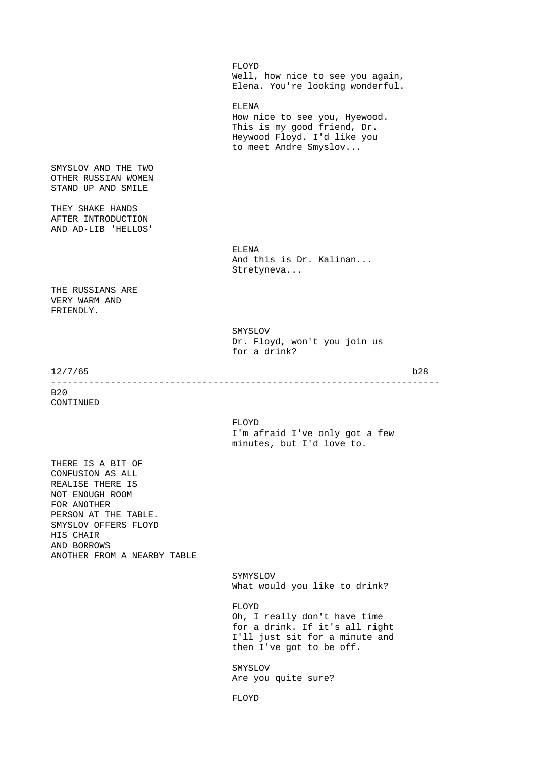FLOYD Well, how nice to see you again, Elena. You're looking wonderful. **FLENA**  How nice to see you, Hyewood. This is my good friend, Dr. Heywood Floyd. I'd like you to meet Andre Smyslov... SMYSLOV AND THE TWO OTHER RUSSIAN WOMEN STAND UP AND SMILE THEY SHAKE HANDS AFTER INTRODUCTION AND AD-LIB 'HELLOS' ELENA And this is Dr. Kalinan... Stretyneva... THE RUSSIANS ARE VERY WARM AND FRIENDLY. SMYSLOV Dr. Floyd, won't you join us for a drink? 12/7/65 b28 ------------------------------------------------------------------------ B20 CONTINUED FLOYD I'm afraid I've only got a few minutes, but I'd love to. THERE IS A BIT OF CONFUSION AS ALL REALISE THERE IS NOT ENOUGH ROOM FOR ANOTHER PERSON AT THE TABLE. SMYSLOV OFFERS FLOYD HIS CHAIR AND BORROWS ANOTHER FROM A NEARBY TABLE **SYMYSLOV**  What would you like to drink? FLOYD Oh, I really don't have time for a drink. If it's all right I'll just sit for a minute and then I've got to be off. **SMYSLOV**  Are you quite sure? FLOYD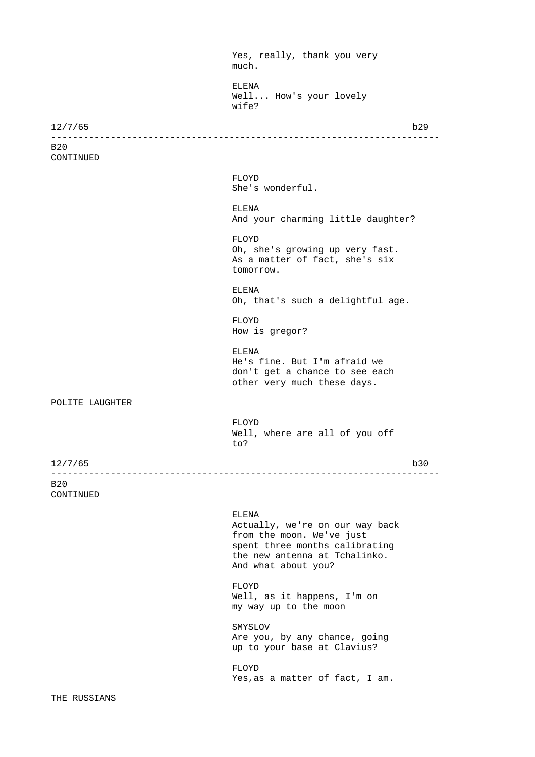Yes, really, thank you very much. ELENA Well... How's your lovely wife? 12/7/65 b29 ------------------------------------------------------------------------ **B20** CONTINUED FLOYD She's wonderful. ELENA And your charming little daughter? FLOYD Oh, she's growing up very fast. As a matter of fact, she's six tomorrow. ELENA Oh, that's such a delightful age. FLOYD How is gregor? ELENA He's fine. But I'm afraid we don't get a chance to see each other very much these days. POLITE LAUGHTER FLOYD Well, where are all of you off to?  $12/7/65$  b30 ------------------------------------------------------------------------ B20 CONTINUED ELENA Actually, we're on our way back from the moon. We've just spent three months calibrating the new antenna at Tchalinko. And what about you? FLOYD Well, as it happens, I'm on my way up to the moon **SMYSLOV**  Are you, by any chance, going up to your base at Clavius? FLOYD Yes,as a matter of fact, I am.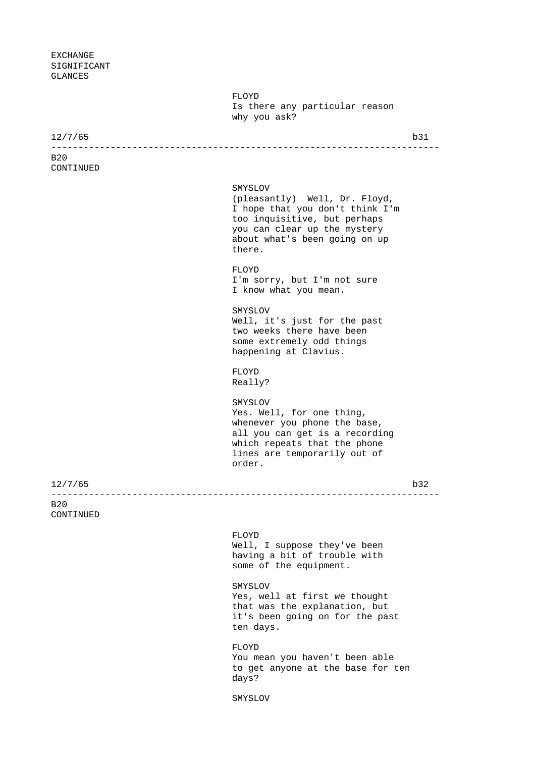EXCHANGE SIGNIFICANT GLANCES

|                         | <b>FLOYD</b><br>Is there any particular reason<br>why you ask?                                                                                                                                |
|-------------------------|-----------------------------------------------------------------------------------------------------------------------------------------------------------------------------------------------|
| 12/7/65                 | b31                                                                                                                                                                                           |
| B20<br>CONTINUED        |                                                                                                                                                                                               |
|                         | <b>SMYSLOV</b><br>(pleasantly) Well, Dr. Floyd,<br>I hope that you don't think I'm<br>too inquisitive, but perhaps<br>you can clear up the mystery<br>about what's been going on up<br>there. |
|                         | FLOYD<br>I'm sorry, but I'm not sure<br>I know what you mean.                                                                                                                                 |
|                         | <b>SMYSLOV</b><br>Well, it's just for the past<br>two weeks there have been<br>some extremely odd things<br>happening at Clavius.                                                             |
|                         | FLOYD<br>Really?                                                                                                                                                                              |
|                         | <b>SMYSLOV</b><br>Yes. Well, for one thing,<br>whenever you phone the base,<br>all you can get is a recording<br>which repeats that the phone<br>lines are temporarily out of<br>order.       |
| 12/7/65                 | b32                                                                                                                                                                                           |
| <b>B20</b><br>CONTINUED |                                                                                                                                                                                               |
|                         | <b>FLOYD</b><br>Well, I suppose they've been<br>having a bit of trouble with<br>some of the equipment.                                                                                        |
|                         | <b>SMYSLOV</b><br>Yes, well at first we thought<br>that was the explanation, but<br>it's been going on for the past<br>ten days.                                                              |
|                         | <b>FLOYD</b><br>You mean you haven't been able<br>to get anyone at the base for ten<br>days?                                                                                                  |
|                         | SMYSLOV                                                                                                                                                                                       |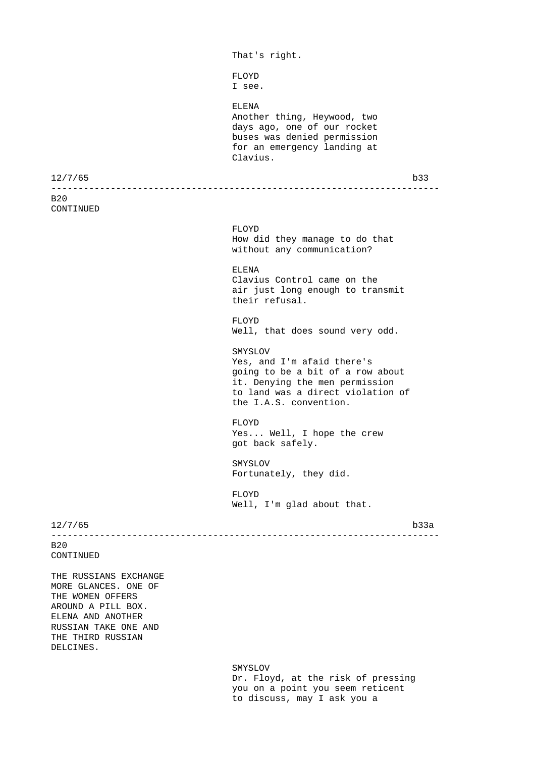That's right. FLOYD I see. ELENA Another thing, Heywood, two days ago, one of our rocket buses was denied permission for an emergency landing at Clavius. 12/7/65 b33 ------------------------------------------------------------------------ B20 CONTINUED FLOYD How did they manage to do that without any communication? ELENA Clavius Control came on the air just long enough to transmit their refusal. FLOYD Well, that does sound very odd. **SMYSLOV**  Yes, and I'm afaid there's going to be a bit of a row about it. Denying the men permission to land was a direct violation of the I.A.S. convention. FLOYD Yes... Well, I hope the crew got back safely. **SMYSLOV**  Fortunately, they did. FLOYD Well, I'm glad about that. 12/7/65 b33a ------------------------------------------------------------------------ B20 CONTINUED THE RUSSIANS EXCHANGE MORE GLANCES. ONE OF THE WOMEN OFFERS AROUND A PILL BOX. ELENA AND ANOTHER RUSSIAN TAKE ONE AND THE THIRD RUSSIAN DELCINES. **SMYSLOV**  Dr. Floyd, at the risk of pressing you on a point you seem reticent to discuss, may I ask you a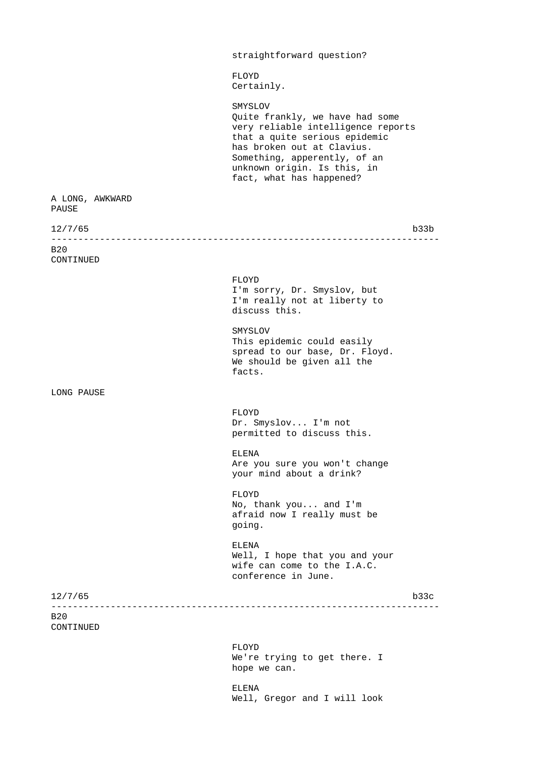straightforward question? FLOYD Certainly. SMYSLOV Quite frankly, we have had some very reliable intelligence reports that a quite serious epidemic has broken out at Clavius. Something, apperently, of an unknown origin. Is this, in fact, what has happened? A LONG, AWKWARD PAUSE 12/7/65 b33b ------------------------------------------------------------------------ B20 CONTINUED FLOYD I'm sorry, Dr. Smyslov, but I'm really not at liberty to discuss this. SMYSLOV This epidemic could easily spread to our base, Dr. Floyd. We should be given all the facts. LONG PAUSE FLOYD Dr. Smyslov... I'm not permitted to discuss this. ELENA Are you sure you won't change your mind about a drink? FLOYD No, thank you... and I'm afraid now I really must be going. ELENA Well, I hope that you and your wife can come to the I.A.C. conference in June. 12/7/65 b33c ------------------------------------------------------------------------ **B20** CONTINUED FLOYD We're trying to get there. I hope we can. ELENA Well, Gregor and I will look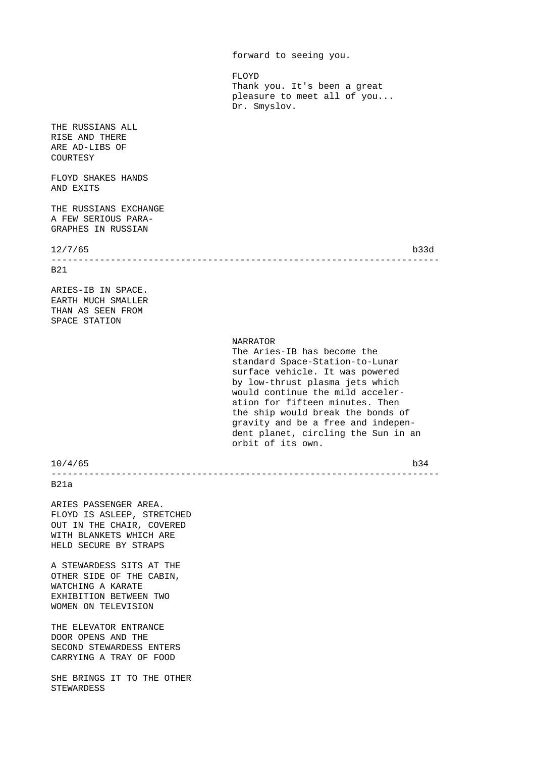forward to seeing you.

 FLOYD Thank you. It's been a great pleasure to meet all of you... Dr. Smyslov.

THE RUSSIANS ALL RISE AND THERE ARE AD-LIBS OF **COURTESY** FLOYD SHAKES HANDS AND EXITS THE RUSSIANS EXCHANGE A FEW SERIOUS PARA-GRAPHES IN RUSSIAN 12/7/65 b33d ------------------------------------------------------------------------ B21 ARIES-IB IN SPACE. EARTH MUCH SMALLER THAN AS SEEN FROM SPACE STATION NARRATOR The Aries-IB has become the standard Space-Station-to-Lunar surface vehicle. It was powered by low-thrust plasma jets which would continue the mild acceler ation for fifteen minutes. Then the ship would break the bonds of gravity and be a free and indepen dent planet, circling the Sun in an orbit of its own. 10/4/65 b34 ------------------------------------------------------------------------ B21a ARIES PASSENGER AREA. FLOYD IS ASLEEP, STRETCHED OUT IN THE CHAIR, COVERED WITH BLANKETS WHICH ARE HELD SECURE BY STRAPS A STEWARDESS SITS AT THE OTHER SIDE OF THE CABIN, WATCHING A KARATE EXHIBITION BETWEEN TWO WOMEN ON TELEVISION THE ELEVATOR ENTRANCE DOOR OPENS AND THE SECOND STEWARDESS ENTERS CARRYING A TRAY OF FOOD SHE BRINGS IT TO THE OTHER **STEWARDESS**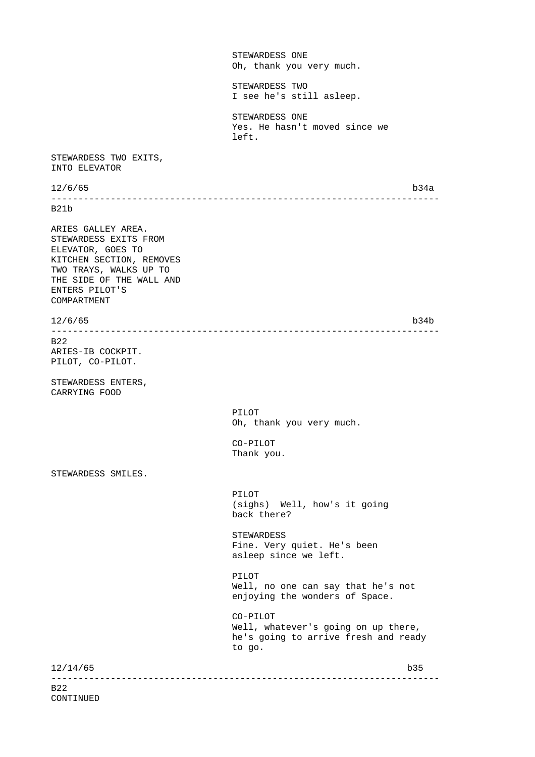STEWARDESS ONE Oh, thank you very much. STEWARDESS TWO I see he's still asleep. STEWARDESS ONE Yes. He hasn't moved since we left. STEWARDESS TWO EXITS, INTO ELEVATOR 12/6/65 b34a ------------------------------------------------------------------------ B21b ARIES GALLEY AREA. STEWARDESS EXITS FROM ELEVATOR, GOES TO KITCHEN SECTION, REMOVES TWO TRAYS, WALKS UP TO THE SIDE OF THE WALL AND ENTERS PILOT'S COMPARTMENT 12/6/65 b34b ------------------------------------------------------------------------ B22 ARIES-IB COCKPIT. PILOT, CO-PILOT. STEWARDESS ENTERS, CARRYING FOOD PILOT Oh, thank you very much. CO-PILOT Thank you. STEWARDESS SMILES. PILOT (sighs) Well, how's it going back there? **STEWARDESS**  Fine. Very quiet. He's been asleep since we left. PILOT Well, no one can say that he's not enjoying the wonders of Space. CO-PILOT Well, whatever's going on up there, he's going to arrive fresh and ready to go.  $12/14/65$  b35 ------------------------------------------------------------------------ **B22** CONTINUED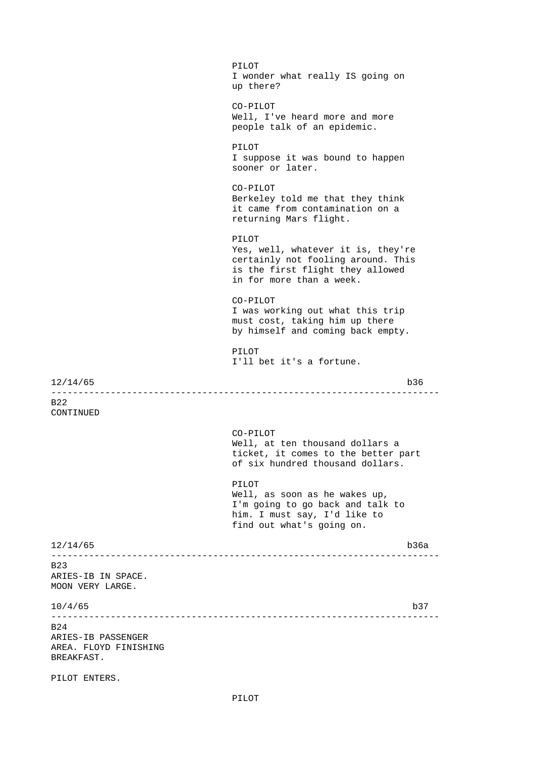PILOT I wonder what really IS going on up there? CO-PILOT Well, I've heard more and more people talk of an epidemic. PILOT I suppose it was bound to happen sooner or later. CO-PILOT Berkeley told me that they think it came from contamination on a returning Mars flight. PILOT Yes, well, whatever it is, they're certainly not fooling around. This is the first flight they allowed in for more than a week. CO-PILOT I was working out what this trip must cost, taking him up there by himself and coming back empty. PTI<sub>OT</sub> I'll bet it's a fortune.  $12/14/65$  b36 ------------------------------------------------------------------------ B22 CONTINUED CO-PILOT Well, at ten thousand dollars a ticket, it comes to the better part of six hundred thousand dollars. PILOT Well, as soon as he wakes up, I'm going to go back and talk to him. I must say, I'd like to find out what's going on. 12/14/65 b36a ------------------------------------------------------------------------ B23 ARIES-IB IN SPACE. MOON VERY LARGE. 10/4/65 b37 ------------------------------------------------------------------------  $R24$ ARIES-IB PASSENGER AREA. FLOYD FINISHING BREAKFAST. PILOT ENTERS.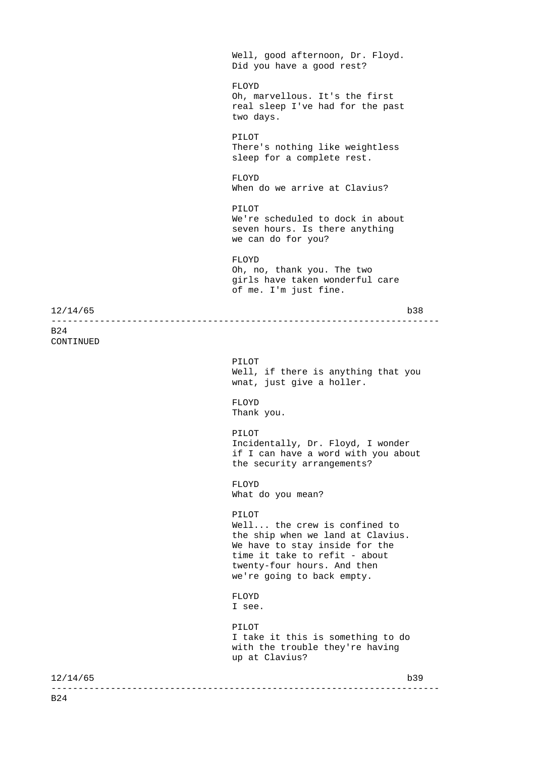Well, good afternoon, Dr. Floyd. Did you have a good rest? FLOYD Oh, marvellous. It's the first real sleep I've had for the past two days. PILOT There's nothing like weightless sleep for a complete rest. FLOYD When do we arrive at Clavius? PILOT We're scheduled to dock in about seven hours. Is there anything we can do for you? FLOYD Oh, no, thank you. The two girls have taken wonderful care of me. I'm just fine.  $12/14/65$  b38 ------------------------------------------------------------------------ B24 CONTINUED PILOT Well, if there is anything that you wnat, just give a holler. FLOYD Thank you. PILOT Incidentally, Dr. Floyd, I wonder if I can have a word with you about the security arrangements? FLOYD What do you mean? PILOT Well... the crew is confined to the ship when we land at Clavius. We have to stay inside for the time it take to refit - about twenty-four hours. And then we're going to back empty. FLOYD I see. PILOT I take it this is something to do with the trouble they're having up at Clavius?  $12/14/65$  b39 ------------------------------------------------------------------------ B24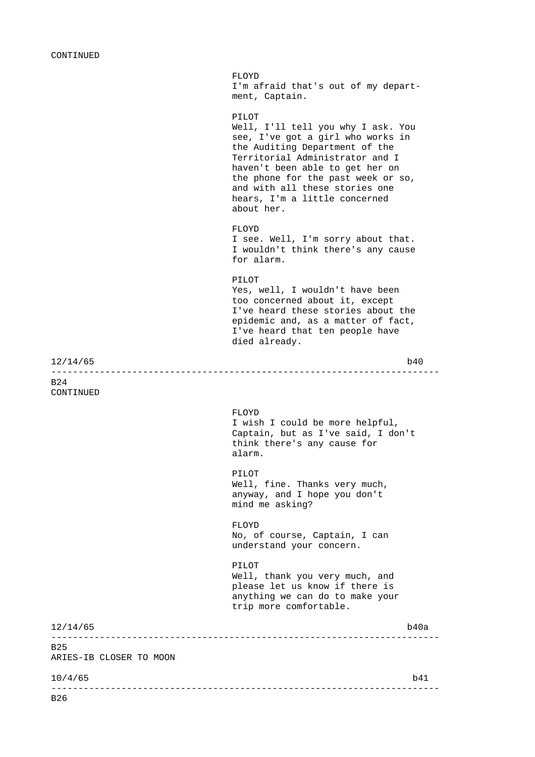## CONTINUED

| B26.                           |                                                                                                                                                                                                                                                                                                                 |
|--------------------------------|-----------------------------------------------------------------------------------------------------------------------------------------------------------------------------------------------------------------------------------------------------------------------------------------------------------------|
| 10/4/65                        | b41                                                                                                                                                                                                                                                                                                             |
| B25<br>ARIES-IB CLOSER TO MOON |                                                                                                                                                                                                                                                                                                                 |
| 12/14/65                       | b40a                                                                                                                                                                                                                                                                                                            |
|                                | PILOT<br>Well, thank you very much, and<br>please let us know if there is<br>anything we can do to make your<br>trip more comfortable.                                                                                                                                                                          |
|                                | FLOYD<br>No, of course, Captain, I can<br>understand your concern.                                                                                                                                                                                                                                              |
|                                | PILOT<br>Well, fine. Thanks very much,<br>anyway, and I hope you don't<br>mind me asking?                                                                                                                                                                                                                       |
|                                | <b>FLOYD</b><br>I wish I could be more helpful,<br>Captain, but as I've said, I don't<br>think there's any cause for<br>alarm.                                                                                                                                                                                  |
| B24<br>CONTINUED               |                                                                                                                                                                                                                                                                                                                 |
| 12/14/65                       | b40                                                                                                                                                                                                                                                                                                             |
|                                | PILOT<br>Yes, well, I wouldn't have been<br>too concerned about it, except<br>I've heard these stories about the<br>epidemic and, as a matter of fact,<br>I've heard that ten people have<br>died already.                                                                                                      |
|                                | <b>FLOYD</b><br>I see. Well, I'm sorry about that.<br>I wouldn't think there's any cause<br>for alarm.                                                                                                                                                                                                          |
|                                | PILOT<br>Well, I'll tell you why I ask. You<br>see, I've got a girl who works in<br>the Auditing Department of the<br>Territorial Administrator and I<br>haven't been able to get her on<br>the phone for the past week or so,<br>and with all these stories one<br>hears, I'm a little concerned<br>about her. |
|                                | FLOYD<br>I'm afraid that's out of my depart-<br>ment, Captain.                                                                                                                                                                                                                                                  |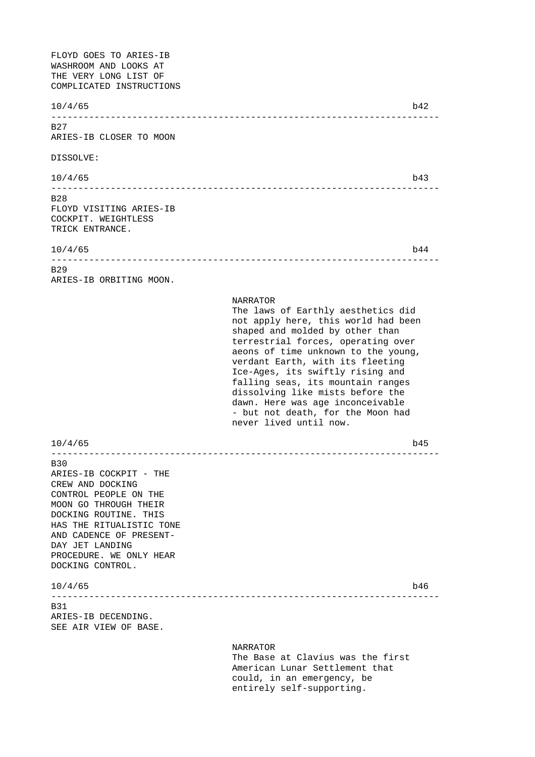FLOYD GOES TO ARIES-IB WASHROOM AND LOOKS AT THE VERY LONG LIST OF COMPLICATED INSTRUCTIONS 10/4/65 b42 ------------------------------------------------------------------------ **B27** ARIES-IB CLOSER TO MOON DISSOLVE: 10/4/65 b43 ------------------------------------------------------------------------ B28 FLOYD VISITING ARIES-IB COCKPIT. WEIGHTLESS TRICK ENTRANCE. 10/4/65 b44 ------------------------------------------------------------------------ B29 ARIES-IB ORBITING MOON. NARRATOR The laws of Earthly aesthetics did not apply here, this world had been shaped and molded by other than terrestrial forces, operating over aeons of time unknown to the young, verdant Earth, with its fleeting Ice-Ages, its swiftly rising and falling seas, its mountain ranges dissolving like mists before the dawn. Here was age inconceivable - but not death, for the Moon had never lived until now. 10/4/65 b45 ------------------------------------------------------------------------ B30 ARIES-IB COCKPIT - THE CREW AND DOCKING CONTROL PEOPLE ON THE MOON GO THROUGH THEIR DOCKING ROUTINE. THIS HAS THE RITUALISTIC TONE AND CADENCE OF PRESENT-DAY JET LANDING PROCEDURE. WE ONLY HEAR DOCKING CONTROL. 10/4/65 b46 ------------------------------------------------------------------------ B31 ARIES-IB DECENDING. SEE AIR VIEW OF BASE. NARRATOR The Base at Clavius was the first American Lunar Settlement that could, in an emergency, be entirely self-supporting.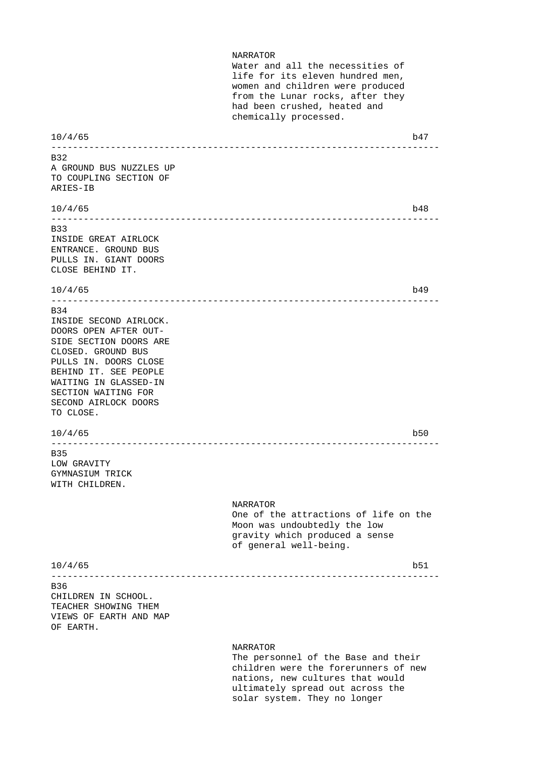NARRATOR Water and all the necessities of life for its eleven hundred men, women and children were produced from the Lunar rocks, after they had been crushed, heated and chemically processed. 10/4/65 b47 ------------------------------------------------------------------------ R32 A GROUND BUS NUZZLES UP TO COUPLING SECTION OF ARIES-IB 10/4/65 b48 ------------------------------------------------------------------------ B33 INSIDE GREAT AIRLOCK ENTRANCE. GROUND BUS PULLS IN. GIANT DOORS CLOSE BEHIND IT. 10/4/65 b49 ------------------------------------------------------------------------ B34 INSIDE SECOND AIRLOCK. DOORS OPEN AFTER OUT-SIDE SECTION DOORS ARE CLOSED. GROUND BUS PULLS IN. DOORS CLOSE BEHIND IT. SEE PEOPLE WAITING IN GLASSED-IN SECTION WAITING FOR SECOND AIRLOCK DOORS TO CLOSE. 10/4/65 b50 ------------------------------------------------------------------------ B35 LOW GRAVITY GYMNASIUM TRICK WITH CHILDREN. NARRATOR One of the attractions of life on the Moon was undoubtedly the low gravity which produced a sense of general well-being. 10/4/65 b51 ------------------------------------------------------------------------ B36 CHILDREN IN SCHOOL. TEACHER SHOWING THEM VIEWS OF EARTH AND MAP OF EARTH. NARRATOR The personnel of the Base and their children were the forerunners of new nations, new cultures that would ultimately spread out across the

solar system. They no longer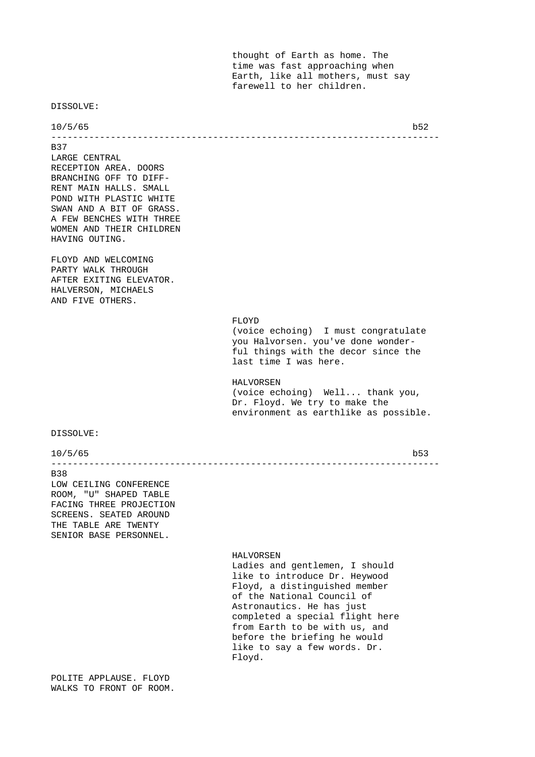thought of Earth as home. The time was fast approaching when Earth, like all mothers, must say farewell to her children.

DISSOLVE:

| 10/5/65                                                                                                                                                                                                                            | b52                                                                                                                                                                                                                                                                                                                           |
|------------------------------------------------------------------------------------------------------------------------------------------------------------------------------------------------------------------------------------|-------------------------------------------------------------------------------------------------------------------------------------------------------------------------------------------------------------------------------------------------------------------------------------------------------------------------------|
| B37<br>LARGE CENTRAL<br>RECEPTION AREA. DOORS<br>BRANCHING OFF TO DIFF-<br>RENT MAIN HALLS. SMALL<br>POND WITH PLASTIC WHITE<br>SWAN AND A BIT OF GRASS.<br>A FEW BENCHES WITH THREE<br>WOMEN AND THEIR CHILDREN<br>HAVING OUTING. |                                                                                                                                                                                                                                                                                                                               |
| FLOYD AND WELCOMING<br>PARTY WALK THROUGH<br>AFTER EXITING ELEVATOR.<br>HALVERSON, MICHAELS<br>AND FIVE OTHERS.                                                                                                                    |                                                                                                                                                                                                                                                                                                                               |
|                                                                                                                                                                                                                                    | <b>FLOYD</b><br>(voice echoing) I must congratulate<br>you Halvorsen. you've done wonder-<br>ful things with the decor since the<br>last time I was here.                                                                                                                                                                     |
|                                                                                                                                                                                                                                    | <b>HALVORSEN</b><br>(voice echoing) Well thank you,<br>Dr. Floyd. We try to make the<br>environment as earthlike as possible.                                                                                                                                                                                                 |
| DISSOLVE:                                                                                                                                                                                                                          |                                                                                                                                                                                                                                                                                                                               |
| 10/5/65                                                                                                                                                                                                                            | b53                                                                                                                                                                                                                                                                                                                           |
| B38<br>LOW CEILING CONFERENCE<br>ROOM, "U" SHAPED TABLE<br>FACING THREE PROJECTION<br>SCREENS, SEATED AROUND<br>THE TABLE ARE TWENTY<br>SENIOR BASE PERSONNEL.                                                                     |                                                                                                                                                                                                                                                                                                                               |
|                                                                                                                                                                                                                                    | <b>HALVORSEN</b><br>Ladies and gentlemen, I should<br>like to introduce Dr. Heywood<br>Floyd, a distinguished member<br>of the National Council of<br>Astronautics. He has just<br>completed a special flight here<br>from Earth to be with us, and<br>before the briefing he would<br>like to say a few words. Dr.<br>Floyd. |
| POLITE APPLAUSE. FLOYD<br>WALKS TO FRONT OF ROOM.                                                                                                                                                                                  |                                                                                                                                                                                                                                                                                                                               |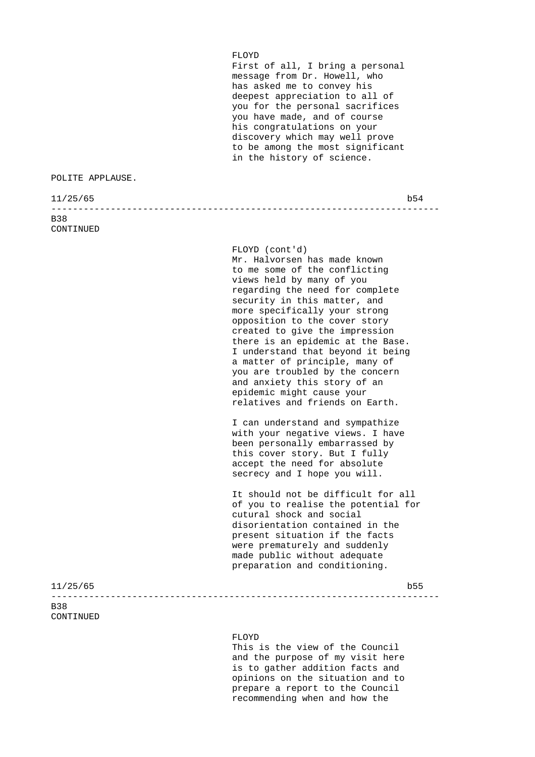|                  | <b>FLOYD</b><br>First of all, I bring a personal<br>message from Dr. Howell, who<br>has asked me to convey his<br>deepest appreciation to all of<br>you for the personal sacrifices<br>you have made, and of course<br>his congratulations on your<br>discovery which may well prove<br>to be among the most significant<br>in the history of science.                                                                                                                                                                                                                                                                                                                                                                                                                             |
|------------------|------------------------------------------------------------------------------------------------------------------------------------------------------------------------------------------------------------------------------------------------------------------------------------------------------------------------------------------------------------------------------------------------------------------------------------------------------------------------------------------------------------------------------------------------------------------------------------------------------------------------------------------------------------------------------------------------------------------------------------------------------------------------------------|
| POLITE APPLAUSE. |                                                                                                                                                                                                                                                                                                                                                                                                                                                                                                                                                                                                                                                                                                                                                                                    |
| 11/25/65         | b54                                                                                                                                                                                                                                                                                                                                                                                                                                                                                                                                                                                                                                                                                                                                                                                |
| B38<br>CONTINUED |                                                                                                                                                                                                                                                                                                                                                                                                                                                                                                                                                                                                                                                                                                                                                                                    |
|                  | FLOYD (cont'd)<br>Mr. Halvorsen has made known<br>to me some of the conflicting<br>views held by many of you<br>regarding the need for complete<br>security in this matter, and<br>more specifically your strong<br>opposition to the cover story<br>created to give the impression<br>there is an epidemic at the Base.<br>I understand that beyond it being<br>a matter of principle, many of<br>you are troubled by the concern<br>and anxiety this story of an<br>epidemic might cause your<br>relatives and friends on Earth.<br>I can understand and sympathize<br>with your negative views. I have<br>been personally embarrassed by<br>this cover story. But I fully<br>accept the need for absolute<br>secrecy and I hope you will.<br>It should not be difficult for all |
|                  | of you to realise the potential for<br>cutural shock and social<br>disorientation contained in the<br>present situation if the facts<br>were prematurely and suddenly<br>made public without adequate<br>preparation and conditioning.                                                                                                                                                                                                                                                                                                                                                                                                                                                                                                                                             |
| 11/25/65         | b55<br>- - - - - - - - - - - - - - - - -                                                                                                                                                                                                                                                                                                                                                                                                                                                                                                                                                                                                                                                                                                                                           |
| B38<br>CONTINUED |                                                                                                                                                                                                                                                                                                                                                                                                                                                                                                                                                                                                                                                                                                                                                                                    |
|                  | <b>FLOYD</b><br>This is the view of the Council<br>and the purpose of my visit here<br>is to gather addition facts and<br>opinions on the situation and to                                                                                                                                                                                                                                                                                                                                                                                                                                                                                                                                                                                                                         |

 prepare a report to the Council recommending when and how the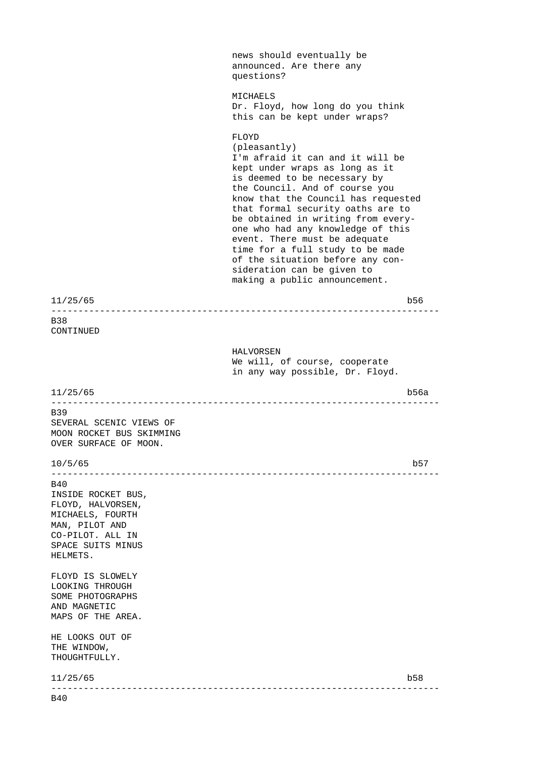news should eventually be announced. Are there any questions? MICHAELS Dr. Floyd, how long do you think this can be kept under wraps? FLOYD (pleasantly) I'm afraid it can and it will be kept under wraps as long as it is deemed to be necessary by the Council. And of course you know that the Council has requested that formal security oaths are to be obtained in writing from every one who had any knowledge of this event. There must be adequate time for a full study to be made of the situation before any con sideration can be given to making a public announcement.  $11/25/65$  b56 ------------------------------------------------------------------------ B38 **CONTINUED**  HALVORSEN We will, of course, cooperate in any way possible, Dr. Floyd. 11/25/65 b56a ------------------------------------------------------------------------ B39 SEVERAL SCENIC VIEWS OF MOON ROCKET BUS SKIMMING OVER SURFACE OF MOON. 10/5/65 b57 ------------------------------------------------------------------------ B40 INSIDE ROCKET BUS, FLOYD, HALVORSEN, MICHAELS, FOURTH MAN, PILOT AND CO-PILOT. ALL IN SPACE SUITS MINUS HELMETS. FLOYD IS SLOWELY LOOKING THROUGH SOME PHOTOGRAPHS AND MAGNETIC MAPS OF THE AREA. HE LOOKS OUT OF THE WINDOW, THOUGHTFULLY. 11/25/65 b58 ------------------------------------------------------------------------ B40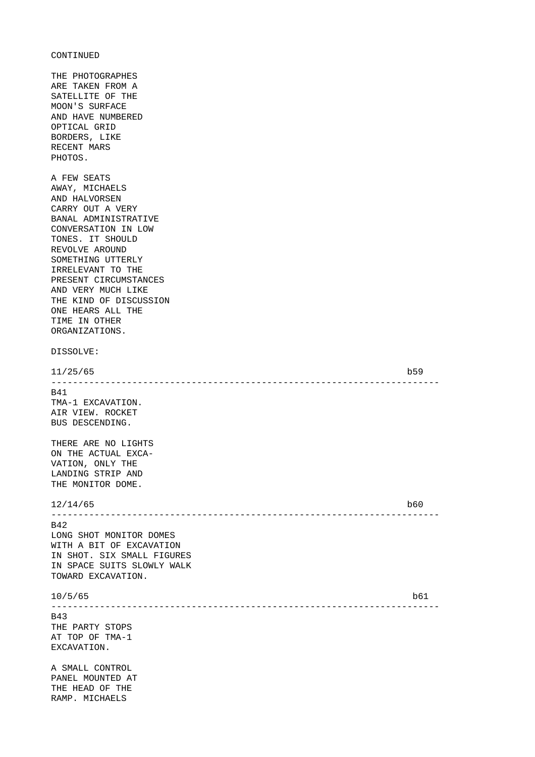## CONTINUED

THE PHOTOGRAPHES ARE TAKEN FROM A SATELLITE OF THE MOON'S SURFACE AND HAVE NUMBERED OPTICAL GRID BORDERS, LIKE RECENT MARS PHOTOS. A FEW SEATS AWAY, MICHAELS AND HALVORSEN CARRY OUT A VERY BANAL ADMINISTRATIVE CONVERSATION IN LOW TONES. IT SHOULD REVOLVE AROUND SOMETHING UTTERLY IRRELEVANT TO THE PRESENT CIRCUMSTANCES AND VERY MUCH LIKE THE KIND OF DISCUSSION ONE HEARS ALL THE TIME IN OTHER ORGANIZATIONS. DISSOLVE: 11/25/65 b59 ------------------------------------------------------------------------ B41 TMA-1 EXCAVATION. AIR VIEW. ROCKET BUS DESCENDING. THERE ARE NO LIGHTS ON THE ACTUAL EXCA-VATION, ONLY THE LANDING STRIP AND THE MONITOR DOME. 12/14/65 b60 ------------------------------------------------------------------------ B42 LONG SHOT MONITOR DOMES WITH A BIT OF EXCAVATION IN SHOT. SIX SMALL FIGURES IN SPACE SUITS SLOWLY WALK TOWARD EXCAVATION. 10/5/65 b61 ------------------------------------------------------------------------  $B43$ THE PARTY STOPS AT TOP OF TMA-1 EXCAVATION. A SMALL CONTROL PANEL MOUNTED AT THE HEAD OF THE RAMP. MICHAELS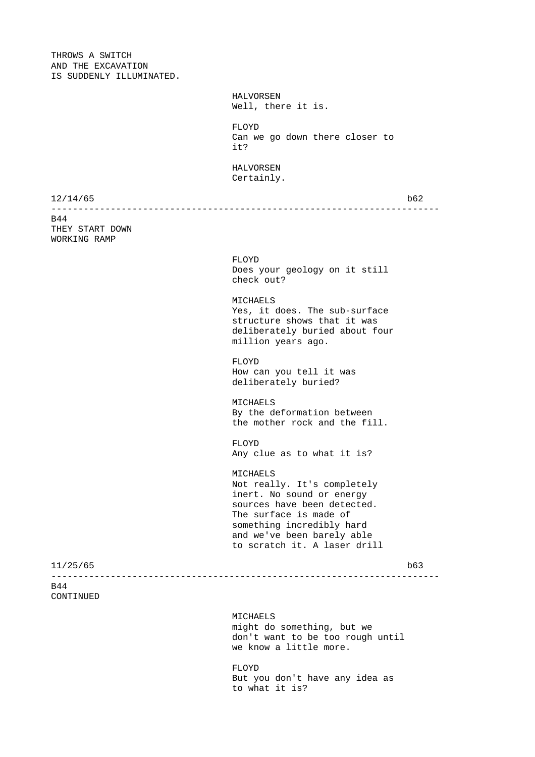THROWS A SWITCH AND THE EXCAVATION IS SUDDENLY ILLUMINATED.

B44

B44

 HALVORSEN Well, there it is. FLOYD Can we go down there closer to it? HALVORSEN Certainly. 12/14/65 b62 ------------------------------------------------------------------------ THEY START DOWN WORKING RAMP FLOYD Does your geology on it still check out? MICHAELS Yes, it does. The sub-surface structure shows that it was deliberately buried about four million years ago. FLOYD How can you tell it was deliberately buried? MICHAELS By the deformation between the mother rock and the fill. FLOYD Any clue as to what it is? MICHAELS Not really. It's completely inert. No sound or energy sources have been detected. The surface is made of something incredibly hard and we've been barely able to scratch it. A laser drill 11/25/65 b63 ------------------------------------------------------------------------ CONTINUED MICHAELS might do something, but we don't want to be too rough until we know a little more. FLOYD But you don't have any idea as to what it is?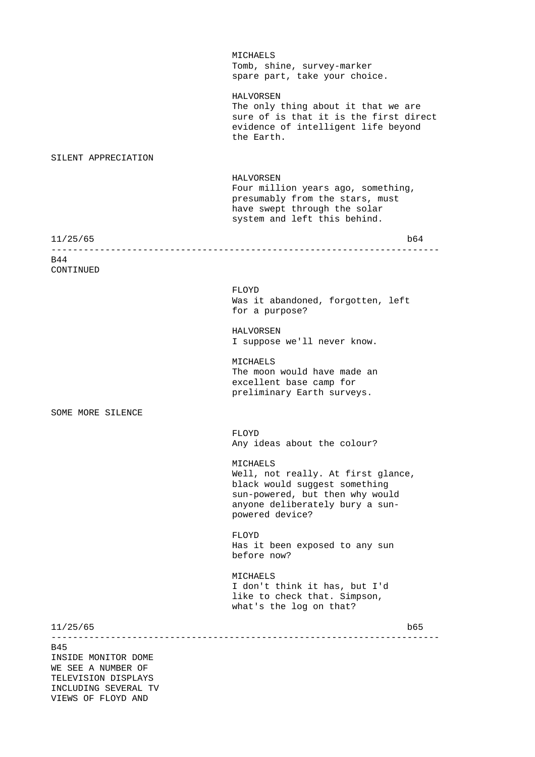MICHAELS Tomb, shine, survey-marker spare part, take your choice. HALVORSEN The only thing about it that we are sure of is that it is the first direct evidence of intelligent life beyond the Earth. SILENT APPRECIATION HALVORSEN Four million years ago, something, presumably from the stars, must have swept through the solar system and left this behind.  $11/25/65$  b64 ------------------------------------------------------------------------ B44 CONTINUED FLOYD Was it abandoned, forgotten, left for a purpose? HALVORSEN I suppose we'll never know. MTCHAELS The moon would have made an excellent base camp for preliminary Earth surveys. SOME MORE SILENCE FLOYD Any ideas about the colour? MICHAELS Well, not really. At first glance, black would suggest something sun-powered, but then why would anyone deliberately bury a sun powered device? FLOYD Has it been exposed to any sun before now? MICHAELS I don't think it has, but I'd like to check that. Simpson, what's the log on that? 11/25/65 b65 ------------------------------------------------------------------------ B45 INSIDE MONITOR DOME WE SEE A NUMBER OF TELEVISION DISPLAYS INCLUDING SEVERAL TV VIEWS OF FLOYD AND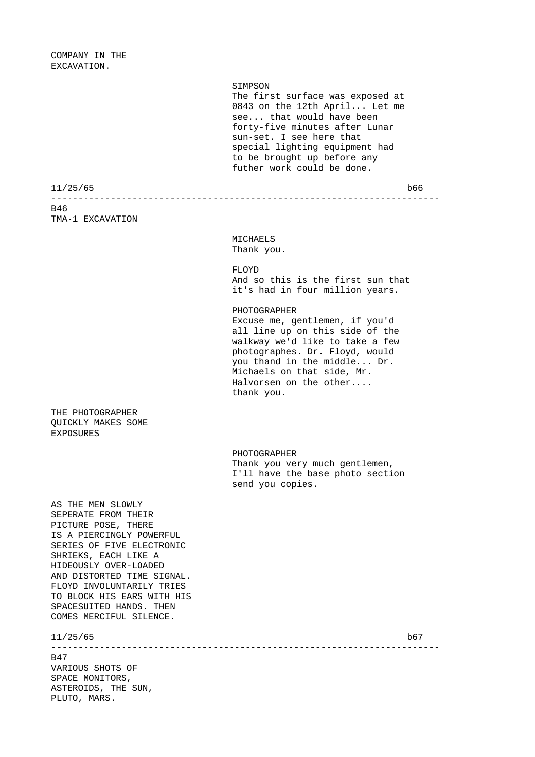# COMPANY IN THE EXCAVATION.

**SIMPSON**  The first surface was exposed at 0843 on the 12th April... Let me see... that would have been forty-five minutes after Lunar sun-set. I see here that special lighting equipment had to be brought up before any futher work could be done. 11/25/65 b66 ------------------------------------------------------------------------ B46 TMA-1 EXCAVATION MICHAELS Thank you. FLOYD And so this is the first sun that it's had in four million years. PHOTOGRAPHER Excuse me, gentlemen, if you'd all line up on this side of the walkway we'd like to take a few photographes. Dr. Floyd, would you thand in the middle... Dr. Michaels on that side, Mr. Halvorsen on the other.... thank you. THE PHOTOGRAPHER QUICKLY MAKES SOME EXPOSURES PHOTOGRAPHER Thank you very much gentlemen, I'll have the base photo section send you copies. AS THE MEN SLOWLY SEPERATE FROM THEIR PICTURE POSE, THERE IS A PIERCINGLY POWERFUL SERIES OF FIVE ELECTRONIC SHRIEKS, EACH LIKE A HIDEOUSLY OVER-LOADED AND DISTORTED TIME SIGNAL. FLOYD INVOLUNTARILY TRIES TO BLOCK HIS EARS WITH HIS SPACESUITED HANDS. THEN COMES MERCIFUL SILENCE. 11/25/65 b67 ------------------------------------------------------------------------ B47 VARIOUS SHOTS OF SPACE MONITORS, ASTEROIDS, THE SUN, PLUTO, MARS.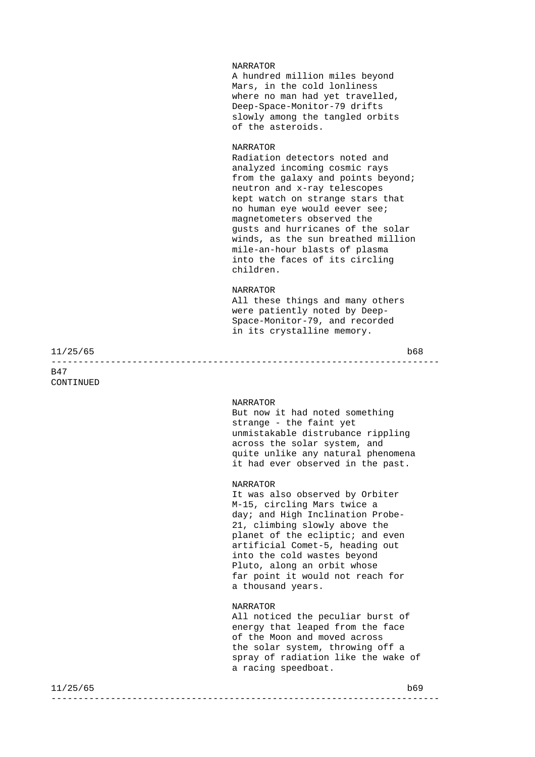### NARRATOR

 A hundred million miles beyond Mars, in the cold lonliness where no man had yet travelled, Deep-Space-Monitor-79 drifts slowly among the tangled orbits of the asteroids.

## NARRATOR

 Radiation detectors noted and analyzed incoming cosmic rays from the galaxy and points beyond; neutron and x-ray telescopes kept watch on strange stars that no human eye would eever see; magnetometers observed the gusts and hurricanes of the solar winds, as the sun breathed million mile-an-hour blasts of plasma into the faces of its circling children.

### NARRATOR

 All these things and many others were patiently noted by Deep- Space-Monitor-79, and recorded in its crystalline memory.

 $11/25/65$  b68 ------------------------------------------------------------------------

# B47 CONTINUED

NARRATOR

 But now it had noted something strange - the faint yet unmistakable distrubance rippling across the solar system, and quite unlike any natural phenomena it had ever observed in the past.

#### NARRATOR

 It was also observed by Orbiter M-15, circling Mars twice a day; and High Inclination Probe- 21, climbing slowly above the planet of the ecliptic; and even artificial Comet-5, heading out into the cold wastes beyond Pluto, along an orbit whose far point it would not reach for a thousand years.

### NARRATOR

 All noticed the peculiar burst of energy that leaped from the face of the Moon and moved across the solar system, throwing off a spray of radiation like the wake of a racing speedboat.

| $\overline{A}$<br>— — <i>—</i> |  |
|--------------------------------|--|
|                                |  |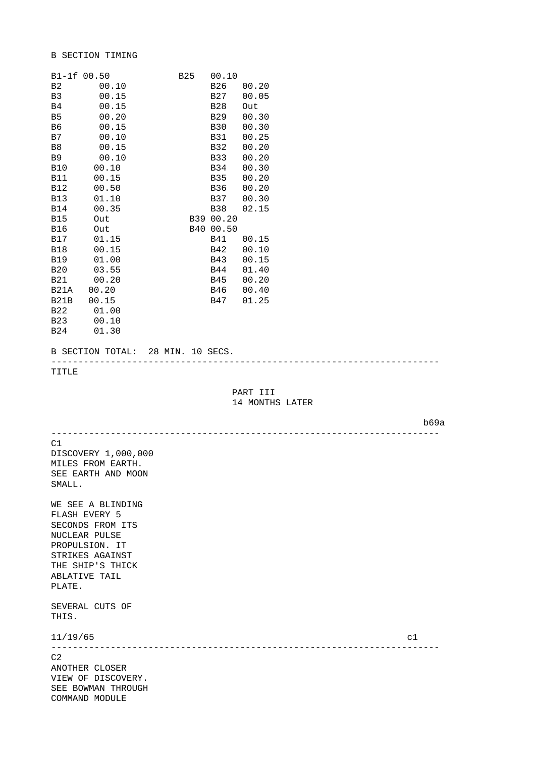# B SECTION TIMING

| B1-1f 00.50              |                                      | <b>B25</b> | 00.10                    |                 |      |
|--------------------------|--------------------------------------|------------|--------------------------|-----------------|------|
| <b>B2</b>                | 00.10                                |            | <b>B26</b>               | 00.20           |      |
| B <sub>3</sub>           | 00.15                                |            | <b>B27</b>               | 00.05           |      |
| B4<br><b>B5</b>          | 00.15<br>00.20                       |            | <b>B28</b><br><b>B29</b> | Out<br>00.30    |      |
| B6                       | 00.15                                |            | <b>B30</b>               | 00.30           |      |
| B7                       | 00.10                                |            | <b>B31</b>               | 00.25           |      |
| B <sub>8</sub>           | 00.15                                |            | <b>B32</b>               | 00.20           |      |
| <b>B9</b>                | 00.10                                |            | <b>B33</b>               | 00.20           |      |
| <b>B10</b>               | 00.10                                |            | <b>B34</b>               | 00.30           |      |
| <b>B11</b>               | 00.15                                |            | <b>B35</b>               | 00.20           |      |
| <b>B12</b>               | 00.50                                |            | <b>B36</b>               | 00.20           |      |
| <b>B13</b>               | 01.10                                |            | <b>B37</b>               | 00.30           |      |
| <b>B14</b><br><b>B15</b> | 00.35                                |            | <b>B38</b><br>B39 00.20  | 02.15           |      |
| <b>B16</b>               | Out<br>Out                           |            | B40 00.50                |                 |      |
| <b>B17</b>               | 01.15                                |            | B41                      | 00.15           |      |
| <b>B18</b>               | 00.15                                |            | <b>B42</b>               | 00.10           |      |
| <b>B19</b>               | 01.00                                |            | <b>B43</b>               | 00.15           |      |
| <b>B20</b>               | 03.55                                |            | <b>B44</b>               | 01.40           |      |
| B21                      | 00.20                                |            | <b>B45</b>               | 00.20           |      |
| <b>B21A</b>              | 00.20                                |            | <b>B46</b>               | 00.40           |      |
| <b>B21B</b>              | 00.15                                |            | B47                      | 01.25           |      |
| <b>B22</b>               | 01.00                                |            |                          |                 |      |
| <b>B23</b><br><b>B24</b> | 00.10<br>01.30                       |            |                          |                 |      |
|                          |                                      |            |                          |                 |      |
|                          | B SECTION TOTAL: 28 MIN. 10 SECS.    |            |                          |                 |      |
| TITLE                    |                                      |            |                          |                 |      |
|                          |                                      |            |                          |                 |      |
|                          |                                      |            |                          | PART III        |      |
|                          |                                      |            |                          | 14 MONTHS LATER |      |
|                          |                                      |            |                          |                 | b69a |
|                          |                                      |            |                          |                 |      |
| C1                       |                                      |            |                          |                 |      |
|                          | DISCOVERY 1,000,000                  |            |                          |                 |      |
|                          | MILES FROM EARTH.                    |            |                          |                 |      |
|                          | SEE EARTH AND MOON                   |            |                          |                 |      |
| SMALL.                   |                                      |            |                          |                 |      |
|                          | WE SEE A BLINDING                    |            |                          |                 |      |
|                          | FLASH EVERY 5                        |            |                          |                 |      |
|                          | SECONDS FROM ITS                     |            |                          |                 |      |
|                          | NUCLEAR PULSE                        |            |                          |                 |      |
|                          | PROPULSION. IT                       |            |                          |                 |      |
|                          | STRIKES AGAINST                      |            |                          |                 |      |
|                          | THE SHIP'S THICK                     |            |                          |                 |      |
|                          | ABLATIVE TAIL                        |            |                          |                 |      |
| PLATE.                   |                                      |            |                          |                 |      |
|                          | SEVERAL CUTS OF                      |            |                          |                 |      |
| THIS.                    |                                      |            |                          |                 |      |
| 11/19/65                 |                                      |            |                          |                 | c1   |
|                          |                                      |            |                          |                 |      |
| C <sub>2</sub>           |                                      |            |                          |                 |      |
|                          | ANOTHER CLOSER<br>VIEW OF DISCOVERY. |            |                          |                 |      |
|                          | SEE BOWMAN THROUGH                   |            |                          |                 |      |
|                          | COMMAND MODULE                       |            |                          |                 |      |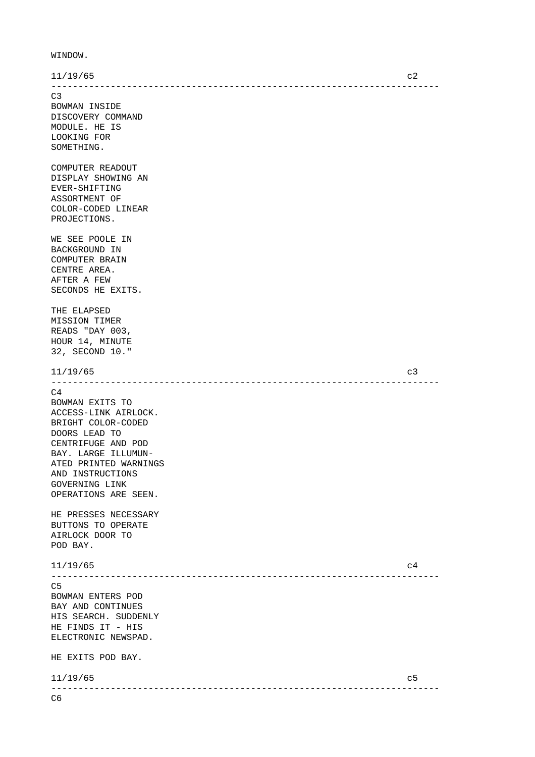WINDOW.

 $11/19/65$  c2 ------------------------------------------------------------------------ C3 BOWMAN INSIDE DISCOVERY COMMAND MODULE. HE IS LOOKING FOR SOMETHING. COMPUTER READOUT DISPLAY SHOWING AN EVER-SHIFTING ASSORTMENT OF COLOR-CODED LINEAR PROJECTIONS. WE SEE POOLE IN BACKGROUND IN COMPUTER BRAIN CENTRE AREA. AFTER A FEW SECONDS HE EXITS. THE ELAPSED MISSION TIMER READS "DAY 003, HOUR 14, MINUTE 32, SECOND 10."  $11/19/65$  c3 ------------------------------------------------------------------------  $C_4$ BOWMAN EXITS TO ACCESS-LINK AIRLOCK. BRIGHT COLOR-CODED DOORS LEAD TO CENTRIFUGE AND POD BAY. LARGE ILLUMUN-ATED PRINTED WARNINGS AND INSTRUCTIONS GOVERNING LINK OPERATIONS ARE SEEN. HE PRESSES NECESSARY BUTTONS TO OPERATE AIRLOCK DOOR TO POD BAY.  $11/19/65$  c<sup>4</sup> ------------------------------------------------------------------------  $C<sub>5</sub>$ BOWMAN ENTERS POD BAY AND CONTINUES HIS SEARCH. SUDDENLY HE FINDS IT - HIS ELECTRONIC NEWSPAD. HE EXITS POD BAY.  $11/19/65$  c5 ------------------------------------------------------------------------ C6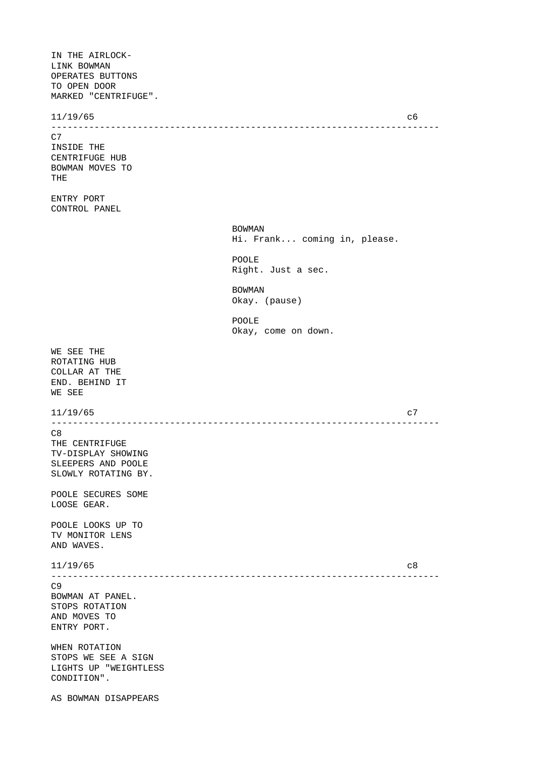IN THE AIRLOCK-LINK BOWMAN OPERATES BUTTONS TO OPEN DOOR MARKED "CENTRIFUGE". 11/19/65 c6 ------------------------------------------------------------------------ C7 INSIDE THE CENTRIFUGE HUB BOWMAN MOVES TO THE ENTRY PORT CONTROL PANEL BOWMAN Hi. Frank... coming in, please. POOLE Right. Just a sec. BOWMAN Okay. (pause) POOLE Okay, come on down. WE SEE THE ROTATING HUB COLLAR AT THE END. BEHIND IT WE SEE 11/19/65 c7 ------------------------------------------------------------------------ C8 THE CENTRIFUGE TV-DISPLAY SHOWING SLEEPERS AND POOLE SLOWLY ROTATING BY. POOLE SECURES SOME LOOSE GEAR. POOLE LOOKS UP TO TV MONITOR LENS AND WAVES.  $11/19/65$  c8 ------------------------------------------------------------------------  $C9$ BOWMAN AT PANEL. STOPS ROTATION AND MOVES TO ENTRY PORT. WHEN ROTATION STOPS WE SEE A SIGN LIGHTS UP "WEIGHTLESS CONDITION". AS BOWMAN DISAPPEARS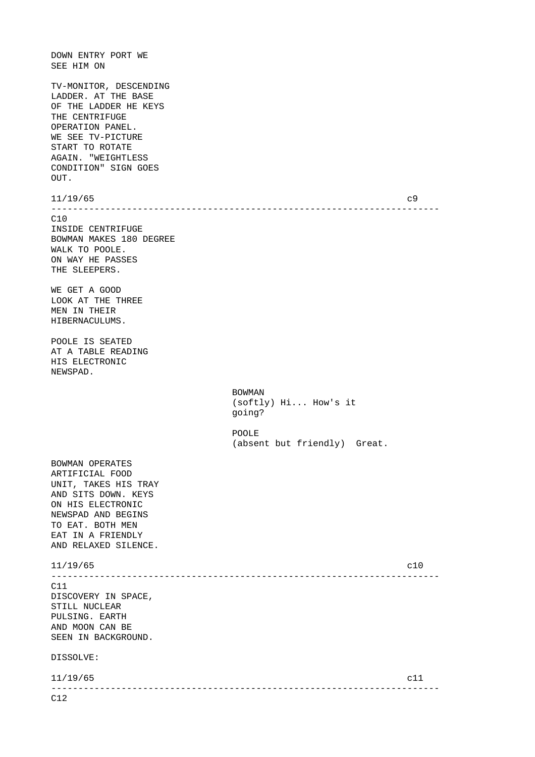DOWN ENTRY PORT WE SEE HIM ON TV-MONITOR, DESCENDING LADDER. AT THE BASE OF THE LADDER HE KEYS THE CENTRIFUGE OPERATION PANEL. WE SEE TV-PICTURE START TO ROTATE AGAIN. "WEIGHTLESS CONDITION" SIGN GOES OUT.  $11/19/65$  c9 ------------------------------------------------------------------------ C10 INSIDE CENTRIFUGE BOWMAN MAKES 180 DEGREE WALK TO POOLE. ON WAY HE PASSES THE SLEEPERS. WE GET A GOOD LOOK AT THE THREE MEN IN THEIR HIBERNACULUMS. POOLE IS SEATED AT A TABLE READING HIS ELECTRONIC NEWSPAD. BOWMAN (softly) Hi... How's it going? POOLE (absent but friendly) Great. BOWMAN OPERATES ARTIFICIAL FOOD UNIT, TAKES HIS TRAY AND SITS DOWN. KEYS ON HIS ELECTRONIC NEWSPAD AND BEGINS TO EAT. BOTH MEN EAT IN A FRIENDLY AND RELAXED SILENCE.  $11/19/65$  c10 ------------------------------------------------------------------------ C11 DISCOVERY IN SPACE, STILL NUCLEAR PULSING. EARTH AND MOON CAN BE SEEN IN BACKGROUND. DISSOLVE: 11/19/65 c11 ------------------------------------------------------------------------ C12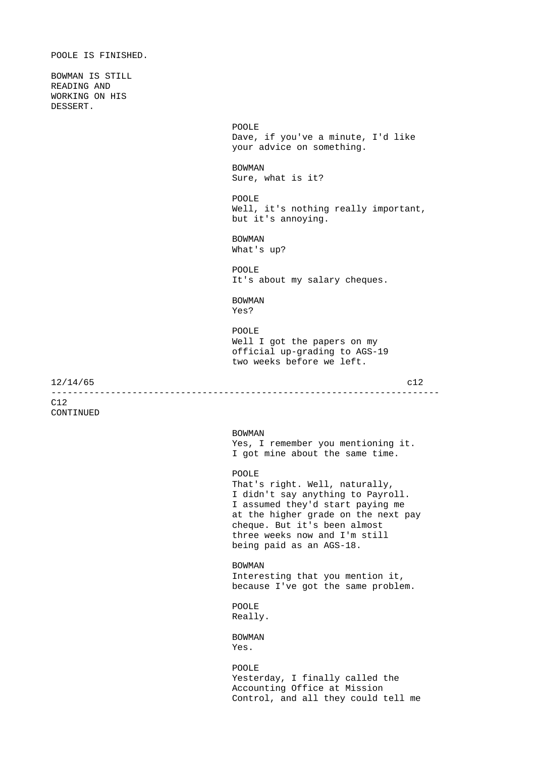BOWMAN IS STILL READING AND WORKING ON HIS DESSERT.

C12

CONTINUED

 POOLE Dave, if you've a minute, I'd like your advice on something. BOWMAN Sure, what is it? POOLE Well, it's nothing really important, but it's annoying. BOWMAN What's up? POOLE It's about my salary cheques. BOWMAN Yes? POOLE Well I got the papers on my official up-grading to AGS-19 two weeks before we left.  $12/14/65$  c12 ------------------------------------------------------------------------ BOWMAN Yes, I remember you mentioning it. I got mine about the same time. POOLE That's right. Well, naturally, I didn't say anything to Payroll. I assumed they'd start paying me at the higher grade on the next pay cheque. But it's been almost three weeks now and I'm still being paid as an AGS-18. BOWMAN Interesting that you mention it, because I've got the same problem. POOLE Really. BOWMAN Yes. POOLE Yesterday, I finally called the Accounting Office at Mission Control, and all they could tell me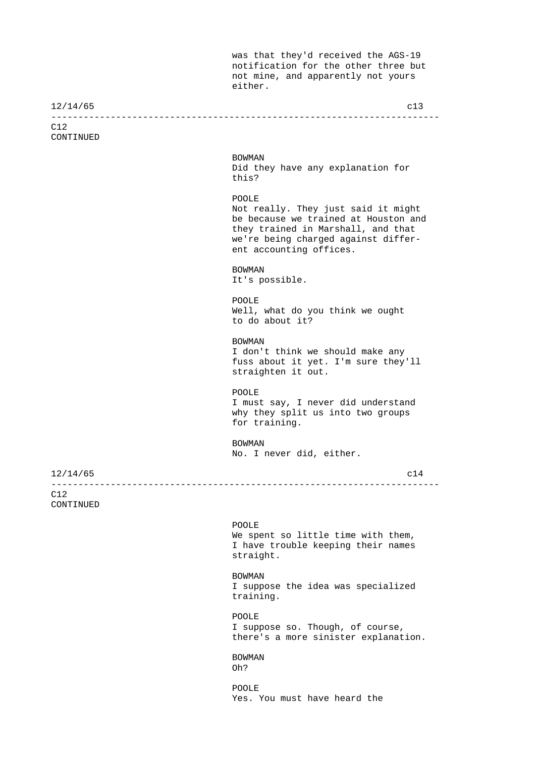was that they'd received the AGS-19 notification for the other three but not mine, and apparently not yours either.  $12/14/65$  c13 ------------------------------------------------------------------------  $C12$ CONTINUED BOWMAN Did they have any explanation for this? POOLE Not really. They just said it might be because we trained at Houston and they trained in Marshall, and that we're being charged against differ ent accounting offices. BOWMAN It's possible. POOLE Well, what do you think we ought to do about it? BOWMAN I don't think we should make any fuss about it yet. I'm sure they'll straighten it out. POOLE I must say, I never did understand why they split us into two groups for training. BOWMAN No. I never did, either.  $12/14/65$  c14 ------------------------------------------------------------------------ C12 CONTINUED POOLE We spent so little time with them, I have trouble keeping their names straight. BOWMAN I suppose the idea was specialized training. POOLE I suppose so. Though, of course, there's a more sinister explanation. BOWMAN Oh? POOLE Yes. You must have heard the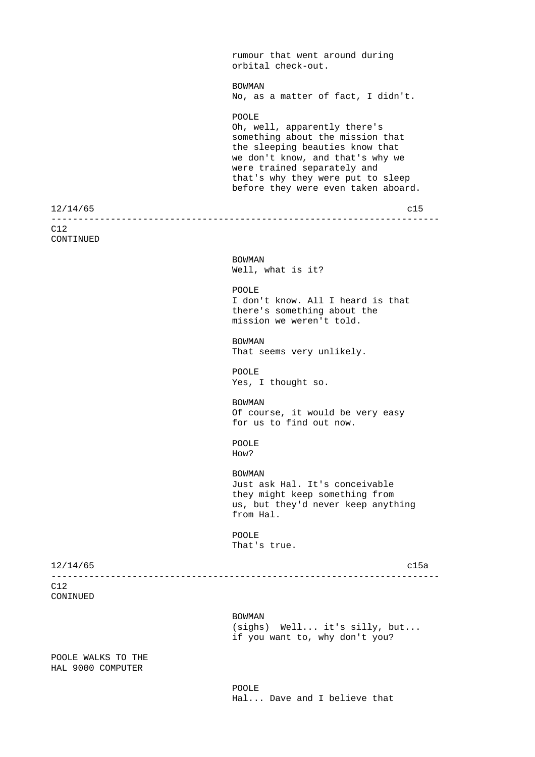rumour that went around during orbital check-out. BOWMAN No, as a matter of fact, I didn't. POOLE Oh, well, apparently there's something about the mission that the sleeping beauties know that we don't know, and that's why we were trained separately and that's why they were put to sleep before they were even taken aboard. 12/14/65 c15 ------------------------------------------------------------------------ C12 CONTINUED BOWMAN Well, what is it? POOLE I don't know. All I heard is that there's something about the mission we weren't told. BOWMAN That seems very unlikely. POOLE Yes, I thought so. BOWMAN Of course, it would be very easy for us to find out now. POOLE How? BOWMAN Just ask Hal. It's conceivable they might keep something from us, but they'd never keep anything from Hal. POOLE That's true. 12/14/65 c15a ------------------------------------------------------------------------  $C12$ CONINUED BOWMAN (sighs) Well... it's silly, but... if you want to, why don't you? POOLE WALKS TO THE HAL 9000 COMPUTER POOLE Hal... Dave and I believe that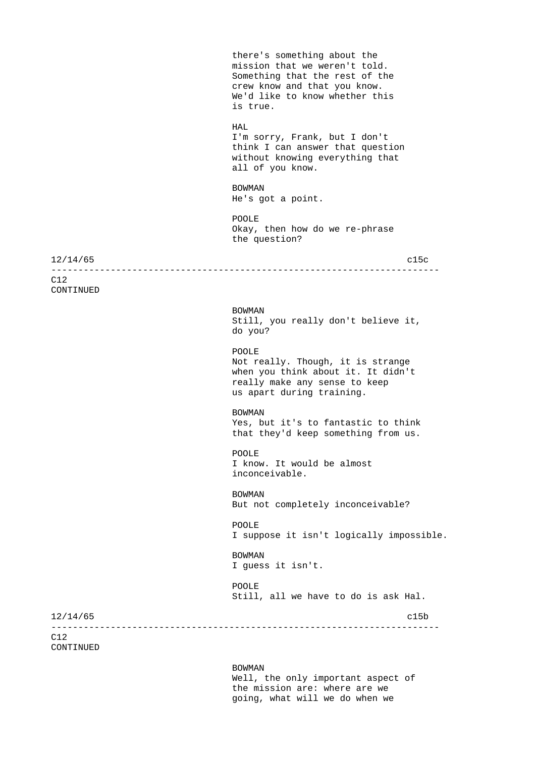|                  | there's something about the<br>mission that we weren't told.<br>Something that the rest of the<br>crew know and that you know.<br>We'd like to know whether this<br>is true. |
|------------------|------------------------------------------------------------------------------------------------------------------------------------------------------------------------------|
|                  | <b>HAL</b><br>I'm sorry, Frank, but I don't<br>think I can answer that question<br>without knowing everything that<br>all of you know.                                       |
|                  | <b>BOWMAN</b><br>He's got a point.                                                                                                                                           |
|                  | <b>POOLE</b><br>Okay, then how do we re-phrase<br>the question?                                                                                                              |
| 12/14/65         | c15c                                                                                                                                                                         |
| C12<br>CONTINUED |                                                                                                                                                                              |
|                  | <b>BOWMAN</b><br>Still, you really don't believe it,<br>do you?                                                                                                              |
|                  | <b>POOLE</b><br>Not really. Though, it is strange<br>when you think about it. It didn't<br>really make any sense to keep<br>us apart during training.                        |
|                  | <b>BOWMAN</b><br>Yes, but it's to fantastic to think<br>that they'd keep something from us.                                                                                  |
|                  | <b>POOLE</b><br>I know. It would be almost<br>inconceivable.                                                                                                                 |
|                  | <b>BOWMAN</b><br>But not completely inconceivable?                                                                                                                           |
|                  | <b>POOLE</b><br>I suppose it isn't logically impossible.                                                                                                                     |
|                  | <b>BOWMAN</b><br>I guess it isn't.                                                                                                                                           |
|                  | <b>POOLE</b><br>Still, all we have to do is ask Hal.                                                                                                                         |
| 12/14/65         | c15b                                                                                                                                                                         |
| C12<br>CONTINUED |                                                                                                                                                                              |
|                  | <b>BOWMAN</b><br>$1011 + b$                                                                                                                                                  |

 Well, the only important aspect of the mission are: where are we going, what will we do when we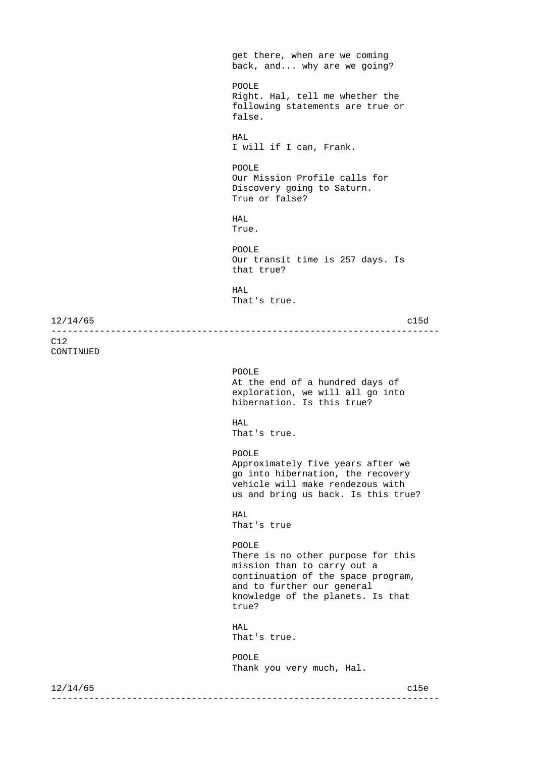get there, when are we coming back, and... why are we going? POOLE Right. Hal, tell me whether the following statements are true or false. HAL I will if I can, Frank. POOLE Our Mission Profile calls for Discovery going to Saturn. True or false? HAL True. POOLE Our transit time is 257 days. Is that true? HAL That's true. 12/14/65 c15d ------------------------------------------------------------------------  $C12$ CONTINUED POOLE At the end of a hundred days of exploration, we will all go into hibernation. Is this true? **HAL**  That's true. POOLE Approximately five years after we go into hibernation, the recovery vehicle will make rendezous with us and bring us back. Is this true? HAL That's true POOLE There is no other purpose for this mission than to carry out a continuation of the space program, and to further our general knowledge of the planets. Is that true? HAL That's true. POOLE Thank you very much, Hal. 12/14/65 c15e ------------------------------------------------------------------------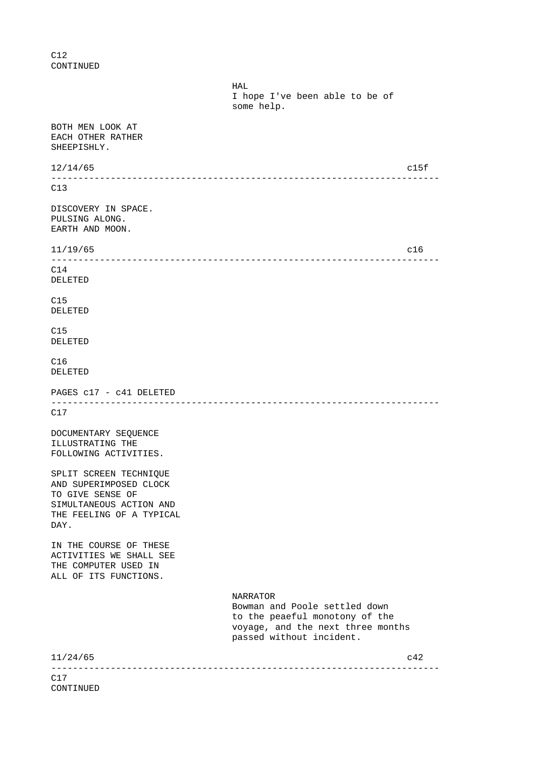C12 CONTINUED

 HAL I hope I've been able to be of some help. BOTH MEN LOOK AT EACH OTHER RATHER SHEEPISHLY. 12/14/65 c15f ------------------------------------------------------------------------ C13 DISCOVERY IN SPACE. PULSING ALONG. EARTH AND MOON. 11/19/65 c16 ------------------------------------------------------------------------ C14 DELETED C15 DELETED C15 DELETED  $C<sub>16</sub>$ DELETED PAGES c17 - c41 DELETED ------------------------------------------------------------------------ C17 DOCUMENTARY SEQUENCE ILLUSTRATING THE FOLLOWING ACTIVITIES. SPLIT SCREEN TECHNIQUE AND SUPERIMPOSED CLOCK TO GIVE SENSE OF SIMULTANEOUS ACTION AND THE FEELING OF A TYPICAL DAY. IN THE COURSE OF THESE ACTIVITIES WE SHALL SEE THE COMPUTER USED IN ALL OF ITS FUNCTIONS. NARRATOR Bowman and Poole settled down to the peaeful monotony of the voyage, and the next three months passed without incident. 11/24/65 c42 ------------------------------------------------------------------------ C17

CONTINUED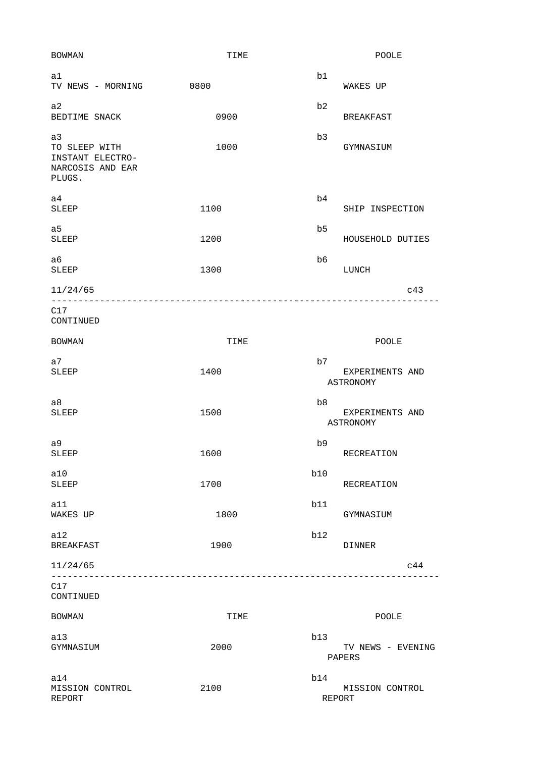| <b>BOWMAN</b>                                                                | <b>TIME</b> | <b>POOLE</b>                                     |
|------------------------------------------------------------------------------|-------------|--------------------------------------------------|
| a1<br>TV NEWS - MORNING                                                      | 0800        | b1<br><b>WAKES UP</b>                            |
| a2<br>BEDTIME SNACK                                                          | 0900        | b <sub>2</sub><br><b>BREAKFAST</b>               |
| a3<br>TO SLEEP WITH<br><b>INSTANT ELECTRO-</b><br>NARCOSIS AND EAR<br>PLUGS. | 1000        | b3<br>GYMNASIUM                                  |
| a4<br><b>SLEEP</b>                                                           | 1100        | b4<br>SHIP INSPECTION                            |
| a5<br><b>SLEEP</b>                                                           | 1200        | b5<br>HOUSEHOLD DUTIES                           |
| a6<br><b>SLEEP</b>                                                           | 1300        | b6<br>LUNCH                                      |
| 11/24/65                                                                     |             | C <sub>43</sub>                                  |
| C17<br>CONTINUED                                                             |             |                                                  |
| <b>BOWMAN</b>                                                                | <b>TIME</b> | <b>POOLE</b>                                     |
| a7<br><b>SLEEP</b>                                                           | 1400        | b7<br><b>EXPERIMENTS AND</b><br><b>ASTRONOMY</b> |
| a8<br><b>SLEEP</b>                                                           | 1500        | b8<br><b>EXPERIMENTS AND</b><br><b>ASTRONOMY</b> |
| a9<br><b>SLEEP</b>                                                           | 1600        | b <sub>9</sub><br>RECREATION                     |
| a10<br><b>SLEEP</b>                                                          | 1700        | b10<br><b>RECREATION</b>                         |
| a11<br><b>WAKES UP</b>                                                       | 1800        | b11<br>GYMNASIUM                                 |
| a12<br><b>BREAKFAST</b>                                                      | 1900        | b12<br><b>DINNER</b>                             |
| 11/24/65                                                                     |             | c44                                              |
| C17<br>CONTINUED                                                             |             |                                                  |
| <b>BOWMAN</b>                                                                | <b>TIME</b> | <b>POOLE</b>                                     |
| a13<br>GYMNASIUM                                                             | 2000        | b13<br>TV NEWS - EVENING<br><b>PAPERS</b>        |
| a14<br>MISSION CONTROL<br><b>REPORT</b>                                      | 2100        | b14<br>MISSION CONTROL<br><b>REPORT</b>          |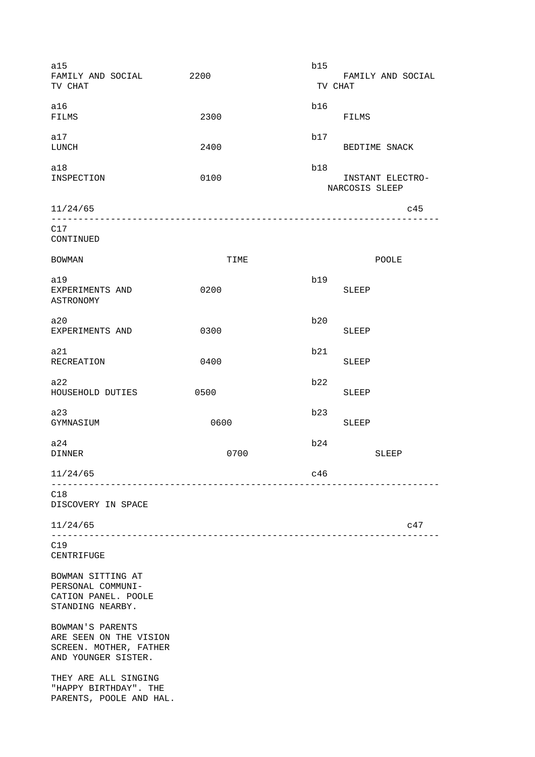| a15<br>FAMILY AND SOCIAL<br>TV CHAT                                                                | 2200                               | b15<br>FAMILY AND SOCIAL<br>TV CHAT              |
|----------------------------------------------------------------------------------------------------|------------------------------------|--------------------------------------------------|
| a16<br><b>FILMS</b>                                                                                | 2300                               | b16<br><b>FILMS</b>                              |
| a17<br>LUNCH                                                                                       | 2400                               | b17<br>BEDTIME SNACK                             |
| a18<br>INSPECTION                                                                                  | 0100                               | b18<br><b>INSTANT ELECTRO-</b><br>NARCOSIS SLEEP |
| 11/24/65                                                                                           | __________________________________ | c45                                              |
| C17<br>CONTINUED                                                                                   |                                    |                                                  |
| <b>BOWMAN</b>                                                                                      | <b>TIME</b>                        | <b>POOLE</b>                                     |
| a19<br><b>EXPERIMENTS AND</b><br><b>ASTRONOMY</b>                                                  | 0200                               | b19<br><b>SLEEP</b>                              |
| a20<br><b>EXPERIMENTS AND</b>                                                                      | 0300                               | <b>b20</b><br><b>SLEEP</b>                       |
| a21<br>RECREATION                                                                                  | 0400                               | b21<br><b>SLEEP</b>                              |
| a22<br>HOUSEHOLD DUTIES                                                                            | 0500                               | b22<br><b>SLEEP</b>                              |
| a23<br>GYMNASIUM                                                                                   | 0600                               | <b>b23</b><br><b>SLEEP</b>                       |
| a24<br><b>DINNER</b>                                                                               | 0700                               | b24<br><b>SLEEP</b>                              |
| 11/24/65                                                                                           | _________________________          | c46                                              |
| C18<br>DISCOVERY IN SPACE                                                                          |                                    |                                                  |
| 11/24/65                                                                                           |                                    | C47                                              |
| C19<br>CENTRIFUGE                                                                                  |                                    |                                                  |
| <b>BOWMAN SITTING AT</b><br>PERSONAL COMMUNI-<br>CATION PANEL. POOLE<br>STANDING NEARBY.           |                                    |                                                  |
| <b>BOWMAN'S PARENTS</b><br>ARE SEEN ON THE VISION<br>SCREEN. MOTHER, FATHER<br>AND YOUNGER SISTER. |                                    |                                                  |
| THEY ARE ALL SINGING<br>"HAPPY BIRTHDAY". THE<br>PARENTS, POOLE AND HAL.                           |                                    |                                                  |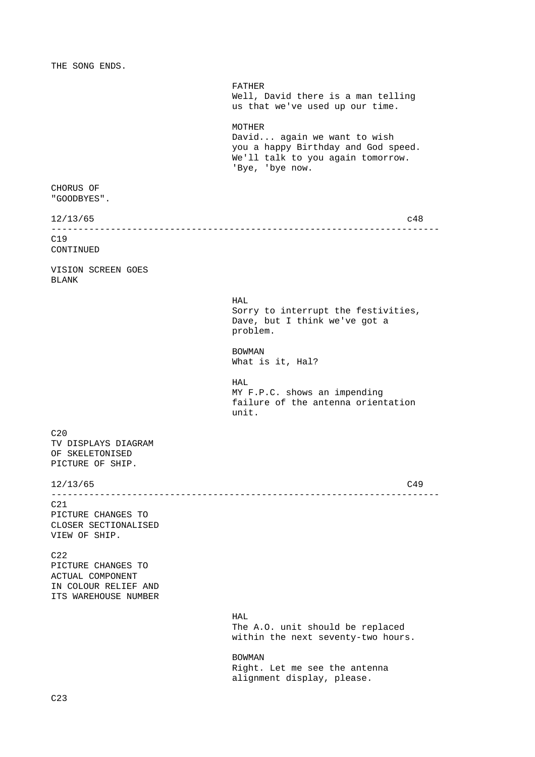FATHER Well, David there is a man telling us that we've used up our time. MOTHER David... again we want to wish you a happy Birthday and God speed. We'll talk to you again tomorrow. 'Bye, 'bye now. CHORUS OF "GOODBYES". 12/13/65 c48 ------------------------------------------------------------------------ C19 CONTINUED VISION SCREEN GOES BLANK HAL Sorry to interrupt the festivities, Dave, but I think we've got a problem. BOWMAN What is it, Hal? HAL MY F.P.C. shows an impending failure of the antenna orientation unit. C20 TV DISPLAYS DIAGRAM OF SKELETONISED PICTURE OF SHIP. 12/13/65 C49 ------------------------------------------------------------------------ C21 PICTURE CHANGES TO CLOSER SECTIONALISED VIEW OF SHIP. C22 PICTURE CHANGES TO ACTUAL COMPONENT IN COLOUR RELIEF AND ITS WAREHOUSE NUMBER HAL The A.O. unit should be replaced within the next seventy-two hours. BOWMAN Right. Let me see the antenna alignment display, please.

THE SONG ENDS.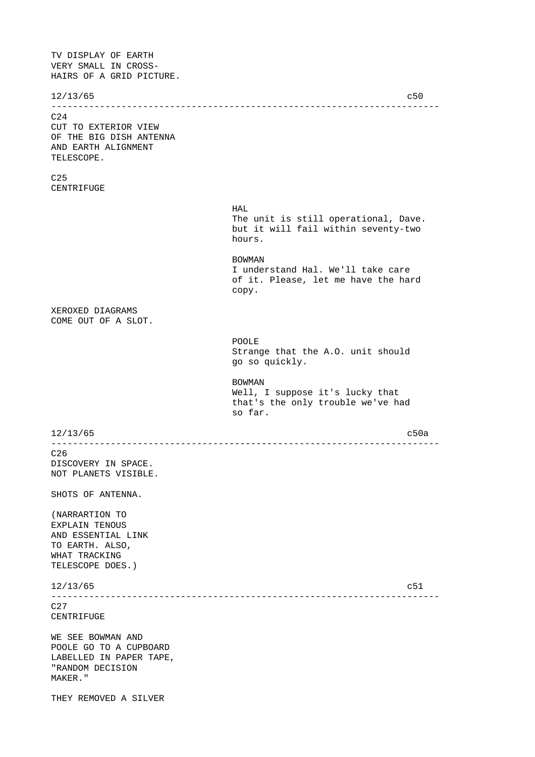TV DISPLAY OF EARTH VERY SMALL IN CROSS-HAIRS OF A GRID PICTURE.  $12/13/65$  c50 ------------------------------------------------------------------------  $C24$ CUT TO EXTERIOR VIEW OF THE BIG DISH ANTENNA AND EARTH ALIGNMENT TELESCOPE. C25 CENTRIFUGE HAL The unit is still operational, Dave. but it will fail within seventy-two hours. BOWMAN I understand Hal. We'll take care of it. Please, let me have the hard copy. XEROXED DIAGRAMS COME OUT OF A SLOT. POOLE Strange that the A.O. unit should go so quickly. BOWMAN Well, I suppose it's lucky that that's the only trouble we've had so far. 12/13/65 c50a ------------------------------------------------------------------------ C26 DISCOVERY IN SPACE. NOT PLANETS VISIBLE. SHOTS OF ANTENNA. (NARRARTION TO EXPLAIN TENOUS AND ESSENTIAL LINK TO EARTH. ALSO, WHAT TRACKING TELESCOPE DOES.) 12/13/65 c51 ------------------------------------------------------------------------  $C.27$ **CENTRIFUGE** WE SEE BOWMAN AND POOLE GO TO A CUPBOARD LABELLED IN PAPER TAPE, "RANDOM DECISION MAKER." THEY REMOVED A SILVER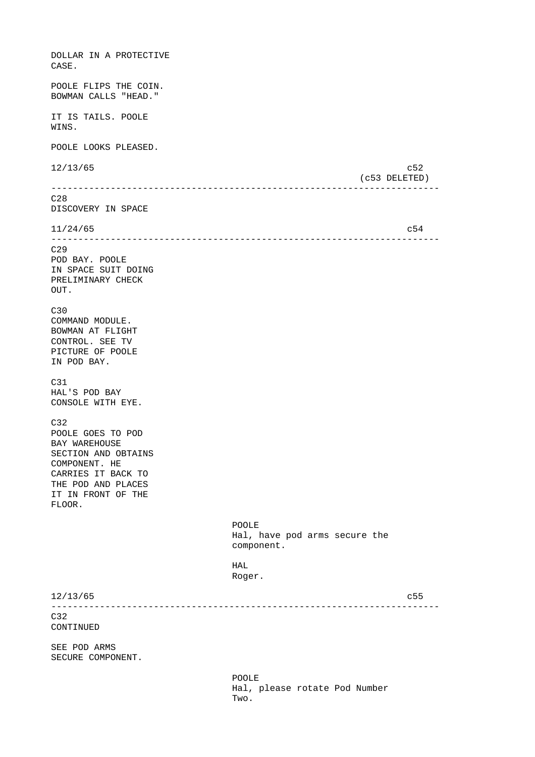DOLLAR IN A PROTECTIVE CASE. POOLE FLIPS THE COIN. BOWMAN CALLS "HEAD." IT IS TAILS. POOLE WINS. POOLE LOOKS PLEASED. 12/13/65 c52 (c53 DELETED) ------------------------------------------------------------------------ C28 DISCOVERY IN SPACE 11/24/65 c54 ------------------------------------------------------------------------ C29 POD BAY. POOLE IN SPACE SUIT DOING PRELIMINARY CHECK OUT. C30 COMMAND MODULE. BOWMAN AT FLIGHT CONTROL. SEE TV PICTURE OF POOLE IN POD BAY. C31 HAL'S POD BAY CONSOLE WITH EYE. C32 POOLE GOES TO POD BAY WAREHOUSE SECTION AND OBTAINS COMPONENT. HE CARRIES IT BACK TO THE POD AND PLACES IT IN FRONT OF THE FLOOR. POOLE Hal, have pod arms secure the component. HAL Roger. 12/13/65 c55 ------------------------------------------------------------------------ C32 CONTINUED SEE POD ARMS SECURE COMPONENT. POOLE Hal, please rotate Pod Number

Two.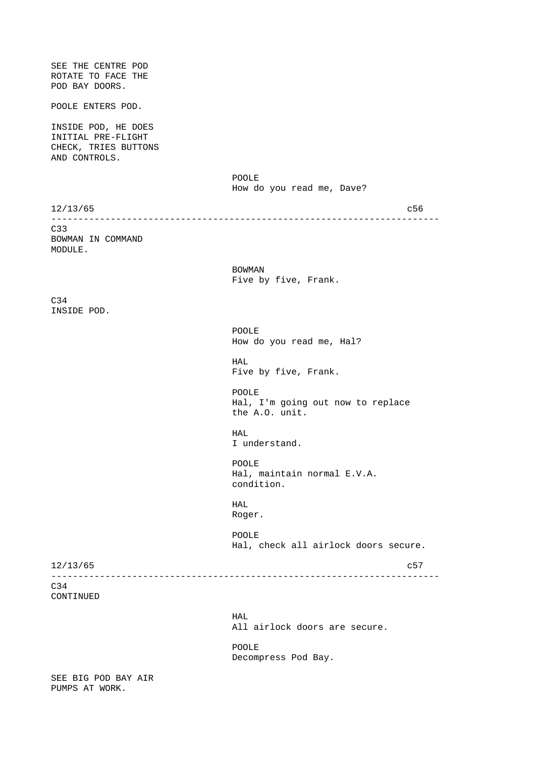| SEE THE CENTRE POD<br>ROTATE TO FACE THE<br>POD BAY DOORS.                         |                                                                     |
|------------------------------------------------------------------------------------|---------------------------------------------------------------------|
| POOLE ENTERS POD.                                                                  |                                                                     |
| INSIDE POD, HE DOES<br>INITIAL PRE-FLIGHT<br>CHECK, TRIES BUTTONS<br>AND CONTROLS. |                                                                     |
|                                                                                    | <b>POOLE</b><br>How do you read me, Dave?                           |
| 12/13/65                                                                           | c56                                                                 |
| C33<br>BOWMAN IN COMMAND<br>MODULE.                                                |                                                                     |
|                                                                                    | <b>BOWMAN</b><br>Five by five, Frank.                               |
| C34<br>INSIDE POD.                                                                 |                                                                     |
|                                                                                    | <b>POOLE</b><br>How do you read me, Hal?                            |
|                                                                                    | <b>HAL</b><br>Five by five, Frank.                                  |
|                                                                                    | <b>POOLE</b><br>Hal, I'm going out now to replace<br>the A.O. unit. |
|                                                                                    | <b>HAL</b><br>I understand.                                         |
|                                                                                    | POOLE<br>Hal, maintain normal E.V.A.<br>condition.                  |
|                                                                                    | <b>HAL</b><br>Roger.                                                |
|                                                                                    | <b>POOLE</b><br>Hal, check all airlock doors secure.                |
| 12/13/65                                                                           | c57                                                                 |
| C34<br>CONTINUED                                                                   |                                                                     |
|                                                                                    | <b>HAL</b><br>All airlock doors are secure.                         |
|                                                                                    | <b>POOLE</b><br>Decompress Pod Bay.                                 |
| SEE BIG POD BAY AIR<br>PUMPS AT WORK.                                              |                                                                     |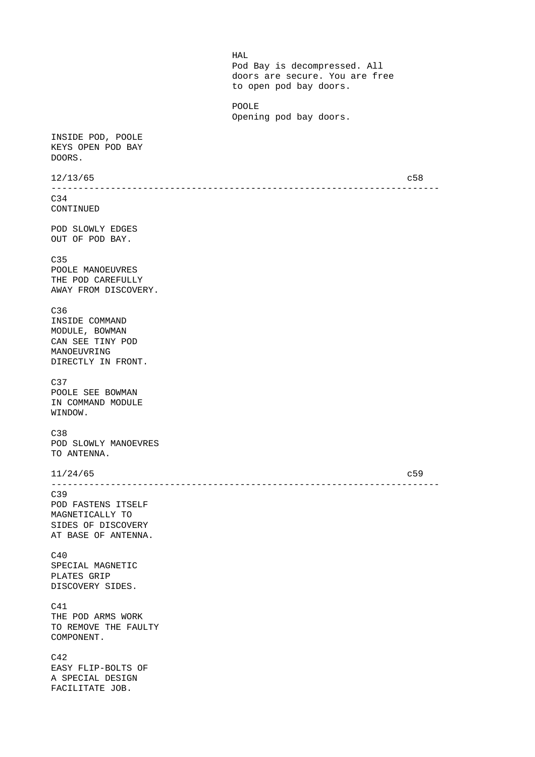HAL Pod Bay is decompressed. All doors are secure. You are free to open pod bay doors. POOLE Opening pod bay doors. INSIDE POD, POOLE KEYS OPEN POD BAY DOORS. 12/13/65 c58 ------------------------------------------------------------------------ C34 CONTINUED POD SLOWLY EDGES OUT OF POD BAY. C35 POOLE MANOEUVRES THE POD CAREFULLY AWAY FROM DISCOVERY. C36 INSIDE COMMAND MODULE, BOWMAN CAN SEE TINY POD MANOEUVRING DIRECTLY IN FRONT. C37 POOLE SEE BOWMAN IN COMMAND MODULE WINDOW. C38 POD SLOWLY MANOEVRES TO ANTENNA. 11/24/65 c59 ------------------------------------------------------------------------ C39 POD FASTENS ITSELF MAGNETICALLY TO SIDES OF DISCOVERY AT BASE OF ANTENNA. C40 SPECIAL MAGNETIC PLATES GRIP DISCOVERY SIDES. C41 THE POD ARMS WORK TO REMOVE THE FAULTY COMPONENT. C42 EASY FLIP-BOLTS OF A SPECIAL DESIGN FACILITATE JOB.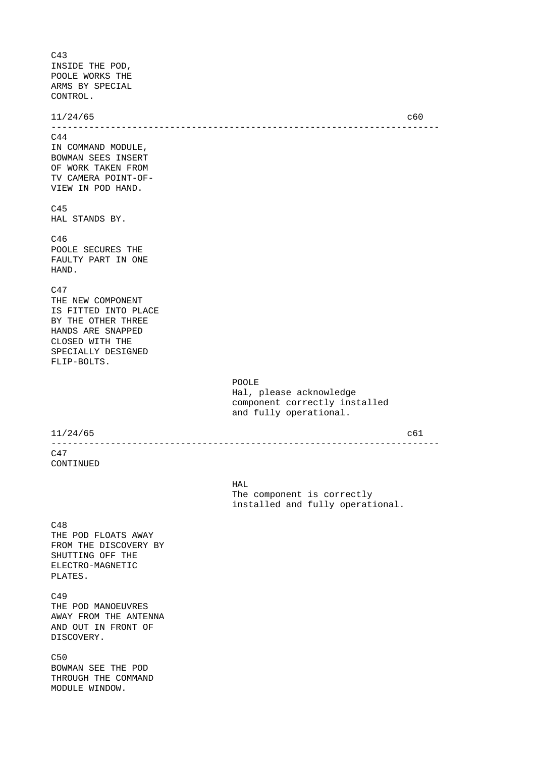C43 INSIDE THE POD, POOLE WORKS THE ARMS BY SPECIAL CONTROL.  $11/24/65$  c60 ------------------------------------------------------------------------  $C<sub>44</sub>$ IN COMMAND MODULE, BOWMAN SEES INSERT OF WORK TAKEN FROM TV CAMERA POINT-OF-VIEW IN POD HAND. C45 HAL STANDS BY. C46 POOLE SECURES THE FAULTY PART IN ONE HAND. C47 THE NEW COMPONENT IS FITTED INTO PLACE BY THE OTHER THREE HANDS ARE SNAPPED CLOSED WITH THE SPECIALLY DESIGNED FLIP-BOLTS. POOLE Hal, please acknowledge component correctly installed and fully operational. 11/24/65 c61 ------------------------------------------------------------------------ C47 CONTINUED HAL The component is correctly installed and fully operational. C48 THE POD FLOATS AWAY FROM THE DISCOVERY BY SHUTTING OFF THE ELECTRO-MAGNETIC PLATES. C49 THE POD MANOEUVRES AWAY FROM THE ANTENNA AND OUT IN FRONT OF DISCOVERY. C50 BOWMAN SEE THE POD THROUGH THE COMMAND MODULE WINDOW.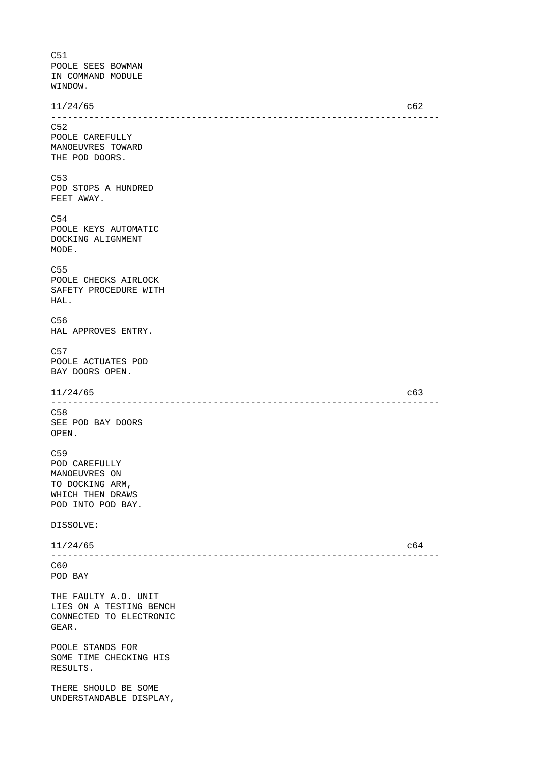C51 POOLE SEES BOWMAN IN COMMAND MODULE WINDOW. 11/24/65 c62 ------------------------------------------------------------------------ C52 POOLE CAREFULLY MANOEUVRES TOWARD THE POD DOORS. C53 POD STOPS A HUNDRED FEET AWAY. C54 POOLE KEYS AUTOMATIC DOCKING ALIGNMENT MODE. C55 POOLE CHECKS AIRLOCK SAFETY PROCEDURE WITH HAL. C56 HAL APPROVES ENTRY. C57 POOLE ACTUATES POD BAY DOORS OPEN. 11/24/65 c63 ------------------------------------------------------------------------ C58 SEE POD BAY DOORS OPEN. C59 POD CAREFULLY MANOEUVRES ON TO DOCKING ARM, WHICH THEN DRAWS POD INTO POD BAY. DISSOLVE: 11/24/65 c64 ------------------------------------------------------------------------ C60 POD BAY THE FAULTY A.O. UNIT LIES ON A TESTING BENCH CONNECTED TO ELECTRONIC GEAR. POOLE STANDS FOR SOME TIME CHECKING HIS RESULTS. THERE SHOULD BE SOME UNDERSTANDABLE DISPLAY,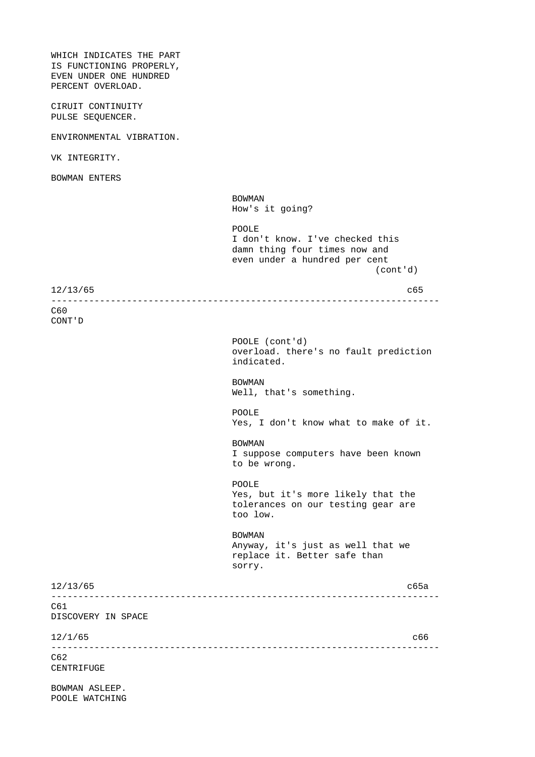WHICH INDICATES THE PART IS FUNCTIONING PROPERLY, EVEN UNDER ONE HUNDRED PERCENT OVERLOAD. CIRUIT CONTINUITY PULSE SEQUENCER. ENVIRONMENTAL VIBRATION. VK INTEGRITY. BOWMAN ENTERS BOWMAN How's it going? POOLE I don't know. I've checked this damn thing four times now and even under a hundred per cent (cont'd) 12/13/65 c65 ------------------------------------------------------------------------ C60 CONT'D POOLE (cont'd) overload. there's no fault prediction indicated. BOWMAN Well, that's something. POOLE Yes, I don't know what to make of it. BOWMAN I suppose computers have been known to be wrong. POOLE Yes, but it's more likely that the tolerances on our testing gear are too low. BOWMAN Anyway, it's just as well that we replace it. Better safe than sorry. 12/13/65 c65a ------------------------------------------------------------------------ C61 DISCOVERY IN SPACE  $12/1/65$  c66 ------------------------------------------------------------------------ C62 CENTRIFUGE BOWMAN ASLEEP. POOLE WATCHING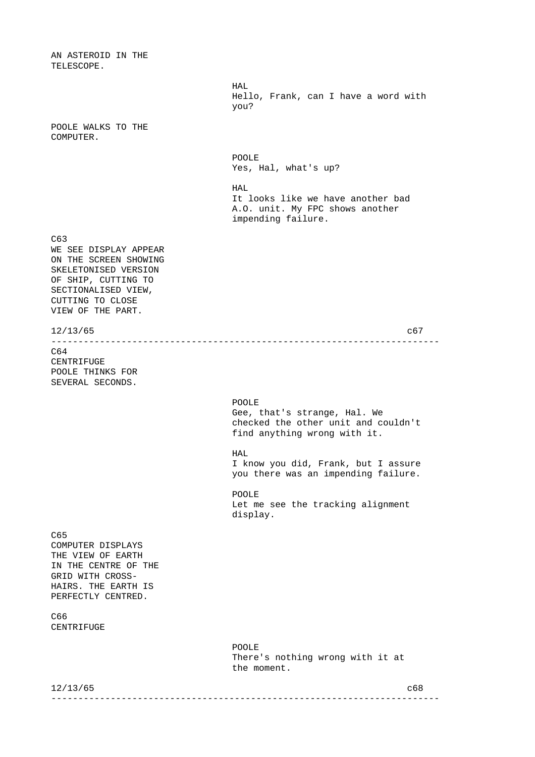AN ASTEROID IN THE TELESCOPE. HAL Hello, Frank, can I have a word with you? POOLE WALKS TO THE COMPUTER. POOLE Yes, Hal, what's up? HAL It looks like we have another bad A.O. unit. My FPC shows another impending failure. C63 WE SEE DISPLAY APPEAR ON THE SCREEN SHOWING SKELETONISED VERSION OF SHIP, CUTTING TO SECTIONALISED VIEW, CUTTING TO CLOSE VIEW OF THE PART.  $12/13/65$  c67 ------------------------------------------------------------------------ C64 CENTRIFUGE POOLE THINKS FOR SEVERAL SECONDS. POOLE Gee, that's strange, Hal. We checked the other unit and couldn't find anything wrong with it. HAL I know you did, Frank, but I assure you there was an impending failure. POOLE Let me see the tracking alignment display. C65 COMPUTER DISPLAYS THE VIEW OF EARTH IN THE CENTRE OF THE GRID WITH CROSS-HAIRS. THE EARTH IS PERFECTLY CENTRED. C66 CENTRIFUGE POOLE There's nothing wrong with it at the moment. 12/13/65 c68 ------------------------------------------------------------------------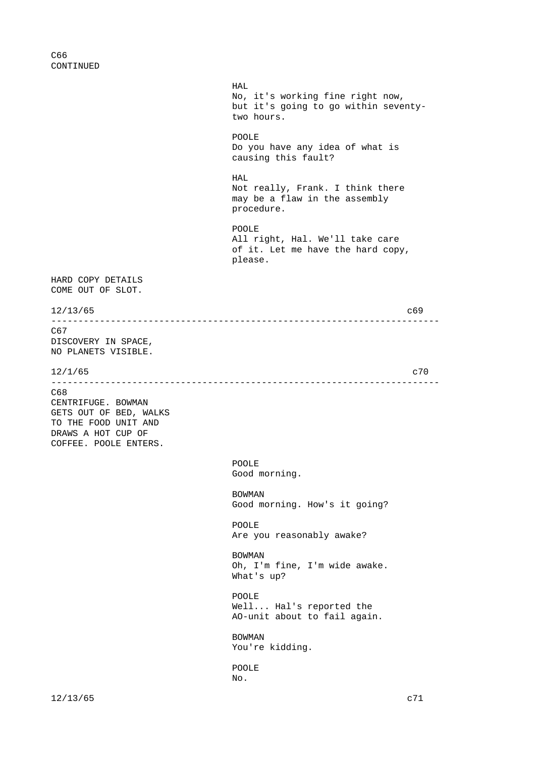HAL No, it's working fine right now, but it's going to go within seventy two hours. POOLE Do you have any idea of what is causing this fault? HAL Not really, Frank. I think there may be a flaw in the assembly procedure. POOLE All right, Hal. We'll take care of it. Let me have the hard copy, please. HARD COPY DETAILS COME OUT OF SLOT. 12/13/65 c69 ------------------------------------------------------------------------ C67 DISCOVERY IN SPACE, NO PLANETS VISIBLE. 12/1/65 c70 ------------------------------------------------------------------------ C68 CENTRIFUGE. BOWMAN GETS OUT OF BED, WALKS TO THE FOOD UNIT AND DRAWS A HOT CUP OF COFFEE. POOLE ENTERS. POOLE Good morning. BOWMAN Good morning. How's it going? POOLE Are you reasonably awake? BOWMAN Oh, I'm fine, I'm wide awake. What's up? POOLE Well... Hal's reported the AO-unit about to fail again. BOWMAN You're kidding. POOLE No.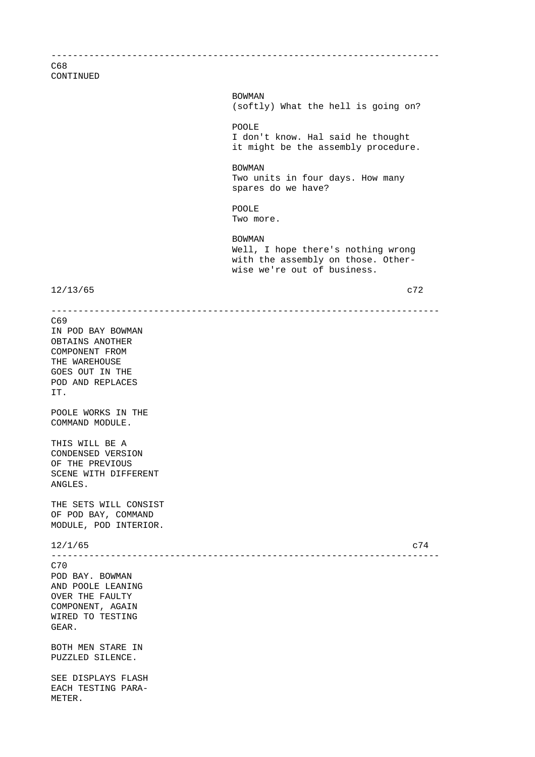C68 CONTINUED

C69

IT.

C70

 BOWMAN (softly) What the hell is going on? POOLE I don't know. Hal said he thought it might be the assembly procedure. BOWMAN Two units in four days. How many spares do we have? POOLE Two more. BOWMAN Well, I hope there's nothing wrong with the assembly on those. Other wise we're out of business. 12/13/65 c72 ------------------------------------------------------------------------ IN POD BAY BOWMAN OBTAINS ANOTHER COMPONENT FROM THE WAREHOUSE GOES OUT IN THE POD AND REPLACES POOLE WORKS IN THE COMMAND MODULE. THIS WILL BE A CONDENSED VERSION OF THE PREVIOUS SCENE WITH DIFFERENT ANGLES. THE SETS WILL CONSIST OF POD BAY, COMMAND MODULE, POD INTERIOR. 12/1/65 c74 ------------------------------------------------------------------------ POD BAY. BOWMAN AND POOLE LEANING OVER THE FAULTY COMPONENT, AGAIN WIRED TO TESTING GEAR. BOTH MEN STARE IN PUZZLED SILENCE. SEE DISPLAYS FLASH

------------------------------------------------------------------------

EACH TESTING PARA-METER.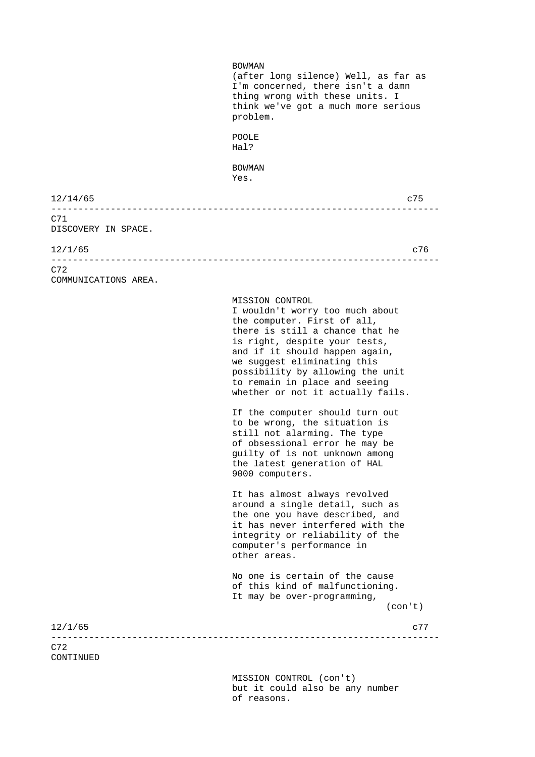BOWMAN (after long silence) Well, as far as I'm concerned, there isn't a damn thing wrong with these units. I think we've got a much more serious problem. POOLE Hal? **BOWMAN**  Yes. 12/14/65 c75 ------------------------------------------------------------------------ C71 DISCOVERY IN SPACE. 12/1/65 c76 ------------------------------------------------------------------------ C72 COMMUNICATIONS AREA. MISSION CONTROL I wouldn't worry too much about the computer. First of all, there is still a chance that he is right, despite your tests, and if it should happen again, we suggest eliminating this possibility by allowing the unit to remain in place and seeing whether or not it actually fails. If the computer should turn out to be wrong, the situation is still not alarming. The type of obsessional error he may be guilty of is not unknown among the latest generation of HAL 9000 computers. It has almost always revolved around a single detail, such as the one you have described, and it has never interfered with the integrity or reliability of the computer's performance in other areas. No one is certain of the cause of this kind of malfunctioning. It may be over-programming, (con't) 12/1/65 c77 ------------------------------------------------------------------------ C.72 CONTINUED MISSION CONTROL (con't) but it could also be any number

of reasons.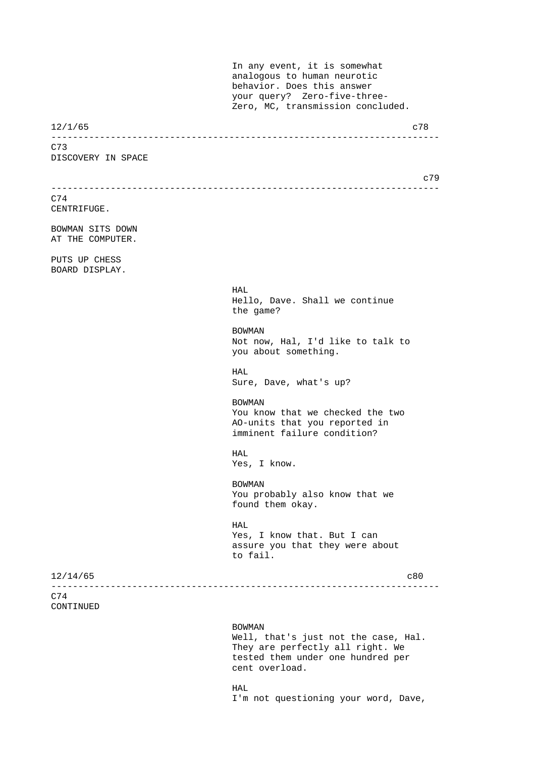In any event, it is somewhat analogous to human neurotic behavior. Does this answer your query? Zero-five-three- Zero, MC, transmission concluded. 12/1/65 c78 ------------------------------------------------------------------------ C73 DISCOVERY IN SPACE c79 ------------------------------------------------------------------------ C74 CENTRIFUGE. BOWMAN SITS DOWN AT THE COMPUTER. PUTS UP CHESS BOARD DISPLAY. HAL Hello, Dave. Shall we continue the game? BOWMAN Not now, Hal, I'd like to talk to you about something. HAL Sure, Dave, what's up? BOWMAN You know that we checked the two AO-units that you reported in imminent failure condition? HAL Yes, I know. BOWMAN You probably also know that we found them okay. HAL Yes, I know that. But I can assure you that they were about to fail.  $12/14/65$  c80 ------------------------------------------------------------------------ C74 **CONTINUED**  BOWMAN Well, that's just not the case, Hal. They are perfectly all right. We tested them under one hundred per cent overload. HAL I'm not questioning your word, Dave,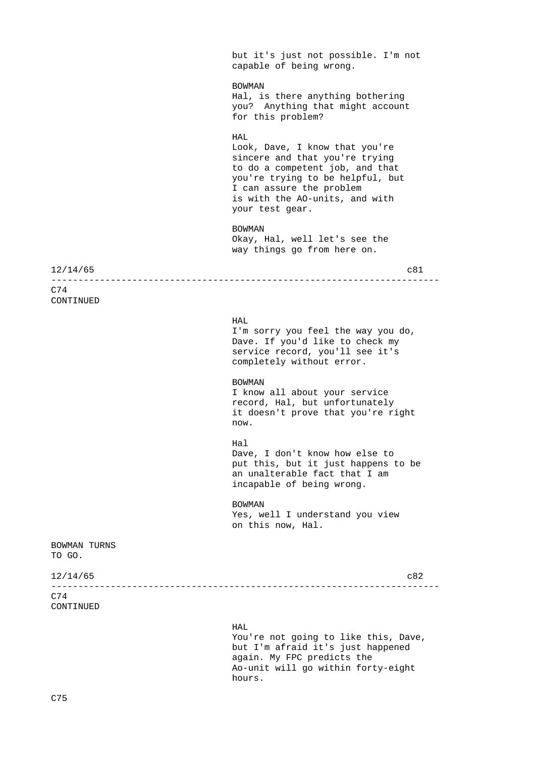|                               | but it's just not possible. I'm not<br>capable of being wrong.                                                                                                                                                                  |
|-------------------------------|---------------------------------------------------------------------------------------------------------------------------------------------------------------------------------------------------------------------------------|
|                               | <b>BOWMAN</b><br>Hal, is there anything bothering<br>you? Anything that might account<br>for this problem?                                                                                                                      |
|                               | HAL<br>Look, Dave, I know that you're<br>sincere and that you're trying<br>to do a competent job, and that<br>you're trying to be helpful, but<br>I can assure the problem<br>is with the AO-units, and with<br>your test gear. |
|                               | <b>BOWMAN</b><br>Okay, Hal, well let's see the<br>way things go from here on.                                                                                                                                                   |
| 12/14/65                      | c81                                                                                                                                                                                                                             |
| C74<br>CONTINUED              |                                                                                                                                                                                                                                 |
|                               | HAL.<br>I'm sorry you feel the way you do,<br>Dave. If you'd like to check my<br>service record, you'll see it's<br>completely without error.                                                                                   |
|                               | <b>BOWMAN</b><br>I know all about your service<br>record, Hal, but unfortunately<br>it doesn't prove that you're right<br>now.                                                                                                  |
|                               | Hal<br>Dave, I don't know how else to<br>put this, but it just happens to be<br>an unalterable fact that I am<br>incapable of being wrong.                                                                                      |
|                               | <b>BOWMAN</b><br>Yes, well I understand you view<br>on this now, Hal.                                                                                                                                                           |
| <b>BOWMAN TURNS</b><br>TO GO. |                                                                                                                                                                                                                                 |
| 12/14/65                      | c82                                                                                                                                                                                                                             |
| C74<br>CONTINUED              |                                                                                                                                                                                                                                 |
|                               | <b>HAL</b><br>You're not going to like this, Dave,<br>but I'm afraid it's just happened<br>again. My FPC predicts the<br>Ao-unit will go within forty-eight<br>hours.                                                           |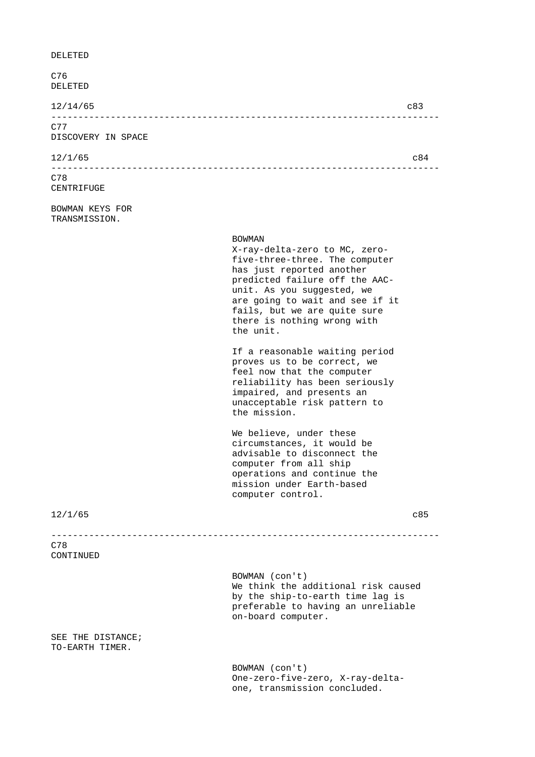|  |  | D |
|--|--|---|
|--|--|---|

| C76<br>DELETED                          |                                                                                                                                                                                                                                                                                              |     |
|-----------------------------------------|----------------------------------------------------------------------------------------------------------------------------------------------------------------------------------------------------------------------------------------------------------------------------------------------|-----|
| 12/14/65                                |                                                                                                                                                                                                                                                                                              | c83 |
| C77<br>DISCOVERY IN SPACE               |                                                                                                                                                                                                                                                                                              |     |
| 12/1/65                                 |                                                                                                                                                                                                                                                                                              | c84 |
| C78<br><b>CENTRIFUGE</b>                |                                                                                                                                                                                                                                                                                              |     |
| <b>BOWMAN KEYS FOR</b><br>TRANSMISSION. |                                                                                                                                                                                                                                                                                              |     |
|                                         | <b>BOWMAN</b><br>X-ray-delta-zero to MC, zero-<br>five-three-three. The computer<br>has just reported another<br>predicted failure off the AAC-<br>unit. As you suggested, we<br>are going to wait and see if it<br>fails, but we are quite sure<br>there is nothing wrong with<br>the unit. |     |
|                                         | If a reasonable waiting period<br>proves us to be correct, we<br>feel now that the computer<br>reliability has been seriously<br>impaired, and presents an<br>unacceptable risk pattern to<br>the mission.                                                                                   |     |
|                                         | We believe, under these<br>circumstances, it would be<br>advisable to disconnect the<br>computer from all ship<br>operations and continue the<br>mission under Earth-based<br>computer control.                                                                                              |     |
| 12/1/65                                 |                                                                                                                                                                                                                                                                                              | c85 |
| C78<br>CONTINUED                        |                                                                                                                                                                                                                                                                                              |     |
|                                         | BOWMAN (con't)<br>We think the additional risk caused<br>by the ship-to-earth time lag is<br>preferable to having an unreliable<br>on-board computer.                                                                                                                                        |     |
| SEE THE DISTANCE;<br>TO-EARTH TIMER.    |                                                                                                                                                                                                                                                                                              |     |
|                                         | BOWMAN (con't)<br>One-zero-five-zero, X-ray-delta-<br>one, transmission concluded.                                                                                                                                                                                                           |     |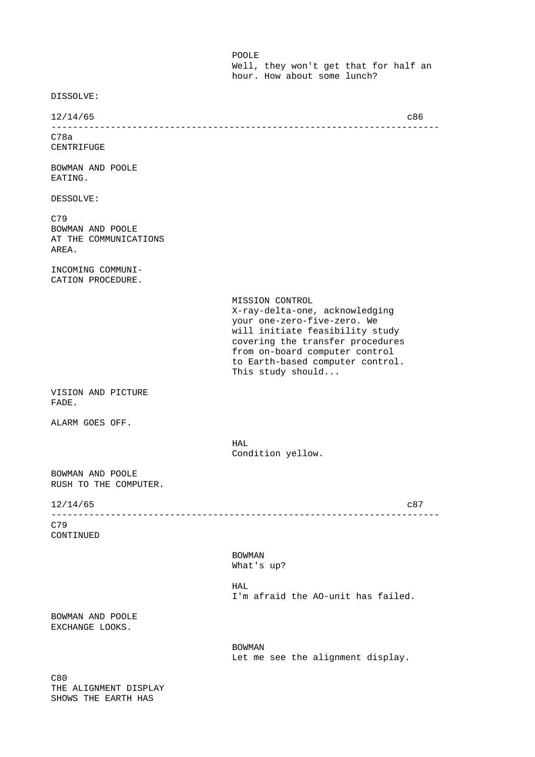POOLE Well, they won't get that for half an hour. How about some lunch? DISSOLVE: 12/14/65 c86 ------------------------------------------------------------------------ C78a CENTRIFUGE BOWMAN AND POOLE EATING. DESSOLVE: C79 BOWMAN AND POOLE AT THE COMMUNICATIONS AREA. INCOMING COMMUNI-CATION PROCEDURE. MISSION CONTROL X-ray-delta-one, acknowledging your one-zero-five-zero. We will initiate feasibility study covering the transfer procedures from on-board computer control to Earth-based computer control. This study should... VISION AND PICTURE FADE. ALARM GOES OFF. HAL Condition yellow. BOWMAN AND POOLE RUSH TO THE COMPUTER. 12/14/65 c87 ------------------------------------------------------------------------ C79 CONTINUED BOWMAN What's up? HAL I'm afraid the AO-unit has failed. BOWMAN AND POOLE EXCHANGE LOOKS. BOWMAN Let me see the alignment display. C80 THE ALIGNMENT DISPLAY SHOWS THE EARTH HAS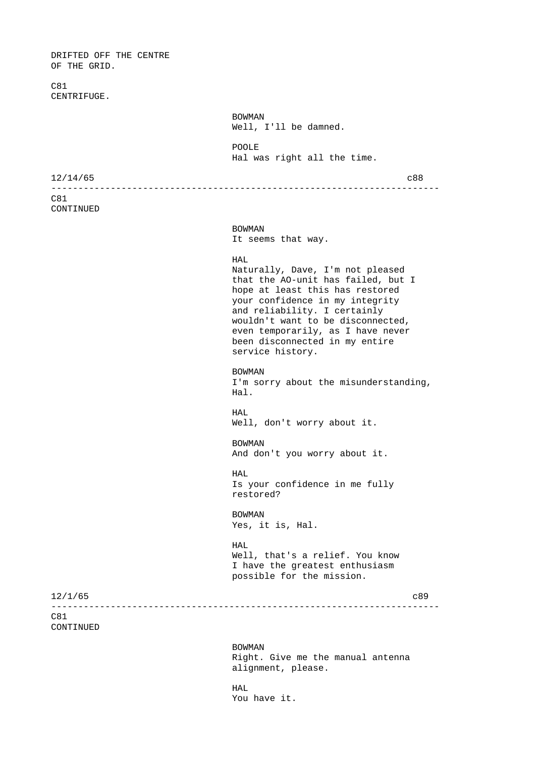DRIFTED OFF THE CENTRE OF THE GRID. C81 CENTRIFUGE. BOWMAN Well, I'll be damned. POOLE Hal was right all the time. 12/14/65 c88 ------------------------------------------------------------------------ C81 CONTINUED BOWMAN It seems that way. HAL Naturally, Dave, I'm not pleased that the AO-unit has failed, but I hope at least this has restored your confidence in my integrity and reliability. I certainly wouldn't want to be disconnected, even temporarily, as I have never been disconnected in my entire service history. BOWMAN I'm sorry about the misunderstanding, Hal. HAL Well, don't worry about it. BOWMAN And don't you worry about it. HAL Is your confidence in me fully restored? BOWMAN Yes, it is, Hal. HAL Well, that's a relief. You know I have the greatest enthusiasm possible for the mission. 12/1/65 c89 ------------------------------------------------------------------------ C81 CONTINUED BOWMAN Right. Give me the manual antenna

> HAL You have it.

alignment, please.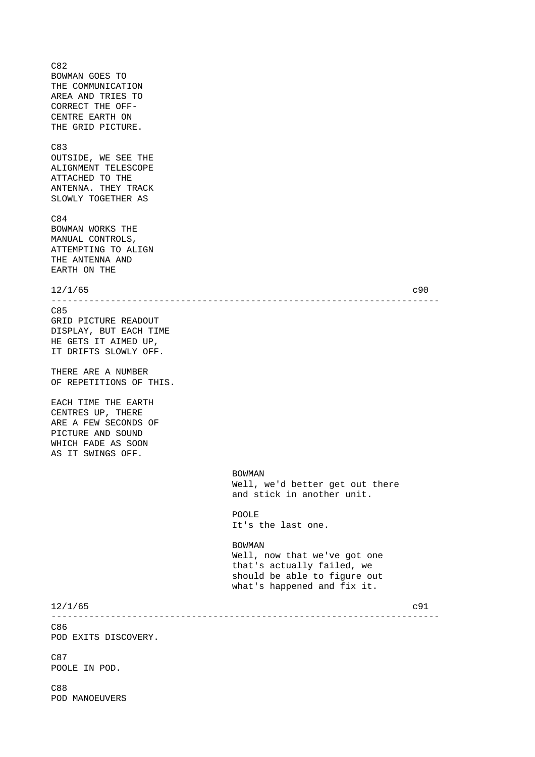C82 BOWMAN GOES TO THE COMMUNICATION AREA AND TRIES TO CORRECT THE OFF-CENTRE EARTH ON THE GRID PICTURE. C83 OUTSIDE, WE SEE THE ALIGNMENT TELESCOPE ATTACHED TO THE ANTENNA. THEY TRACK SLOWLY TOGETHER AS C84 BOWMAN WORKS THE MANUAL CONTROLS, ATTEMPTING TO ALIGN THE ANTENNA AND EARTH ON THE  $12/1/65$  c90 ------------------------------------------------------------------------ C85 GRID PICTURE READOUT DISPLAY, BUT EACH TIME HE GETS IT AIMED UP, IT DRIFTS SLOWLY OFF. THERE ARE A NUMBER OF REPETITIONS OF THIS. EACH TIME THE EARTH CENTRES UP, THERE ARE A FEW SECONDS OF PICTURE AND SOUND WHICH FADE AS SOON AS IT SWINGS OFF. BOWMAN Well, we'd better get out there and stick in another unit. POOLE It's the last one. BOWMAN Well, now that we've got one that's actually failed, we should be able to figure out what's happened and fix it.  $12/1/65$  c91 ------------------------------------------------------------------------ C86 POD EXITS DISCOVERY. C87 POOLE IN POD. C88 POD MANOEUVERS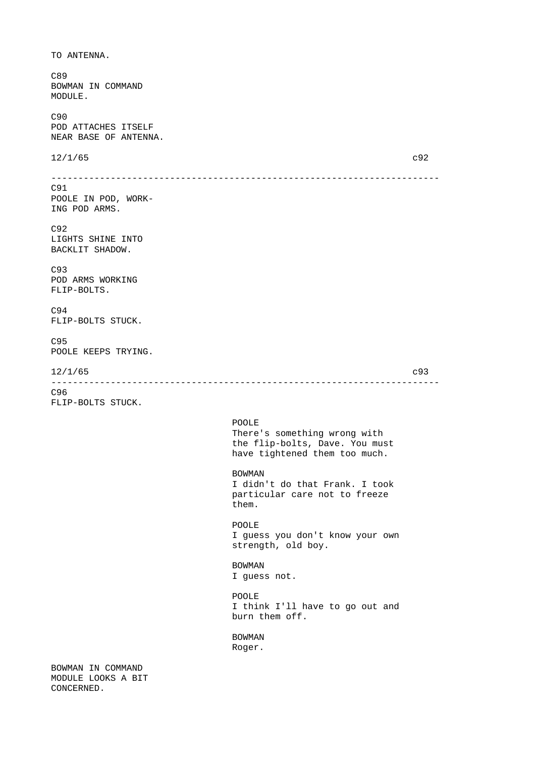TO ANTENNA. C89 BOWMAN IN COMMAND MODULE. C90 POD ATTACHES ITSELF NEAR BASE OF ANTENNA.  $12/1/65$  c92 ------------------------------------------------------------------------ C91 POOLE IN POD, WORK-ING POD ARMS. C92 LIGHTS SHINE INTO BACKLIT SHADOW. C93 POD ARMS WORKING FLIP-BOLTS. C94 FLIP-BOLTS STUCK. C95 POOLE KEEPS TRYING.  $12/1/65$  c93 ------------------------------------------------------------------------ C96 FLIP-BOLTS STUCK. POOLE There's something wrong with the flip-bolts, Dave. You must have tightened them too much. BOWMAN I didn't do that Frank. I took particular care not to freeze them. POOLE I guess you don't know your own strength, old boy. BOWMAN I guess not. POOLE I think I'll have to go out and burn them off. BOWMAN Roger. BOWMAN IN COMMAND MODULE LOOKS A BIT CONCERNED.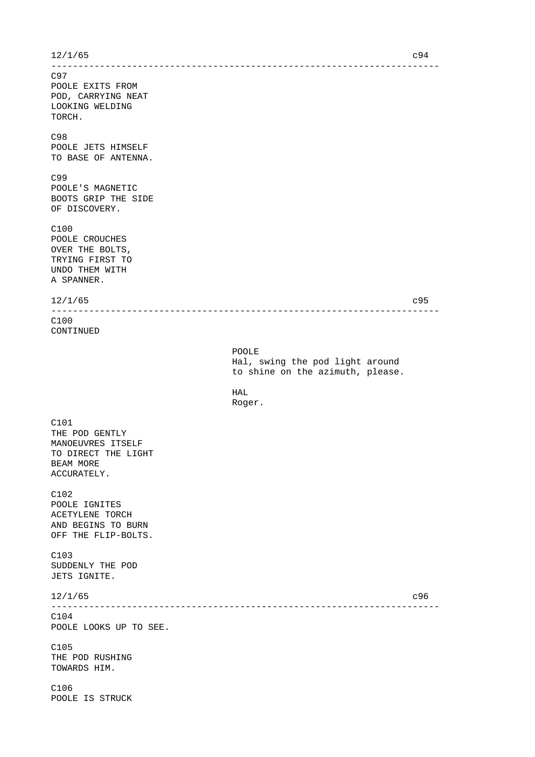| 12/1/65 | c94 |
|---------|-----|
|         |     |

------------------------------------------------------------------------ C97 POOLE EXITS FROM POD, CARRYING NEAT LOOKING WELDING TORCH. C98 POOLE JETS HIMSELF TO BASE OF ANTENNA. C99 POOLE'S MAGNETIC BOOTS GRIP THE SIDE OF DISCOVERY. C100 POOLE CROUCHES OVER THE BOLTS, TRYING FIRST TO UNDO THEM WITH A SPANNER.  $12/1/65$  c95 ------------------------------------------------------------------------ C100 **CONTINUED**  POOLE Hal, swing the pod light around to shine on the azimuth, please. HAL Roger. C101 THE POD GENTLY MANOEUVRES ITSELF TO DIRECT THE LIGHT BEAM MORE ACCURATELY. C102 POOLE IGNITES ACETYLENE TORCH AND BEGINS TO BURN OFF THE FLIP-BOLTS. C103 SUDDENLY THE POD JETS IGNITE.  $12/1/65$  c96 ------------------------------------------------------------------------ C104 POOLE LOOKS UP TO SEE. C105 THE POD RUSHING TOWARDS HIM. C106 POOLE IS STRUCK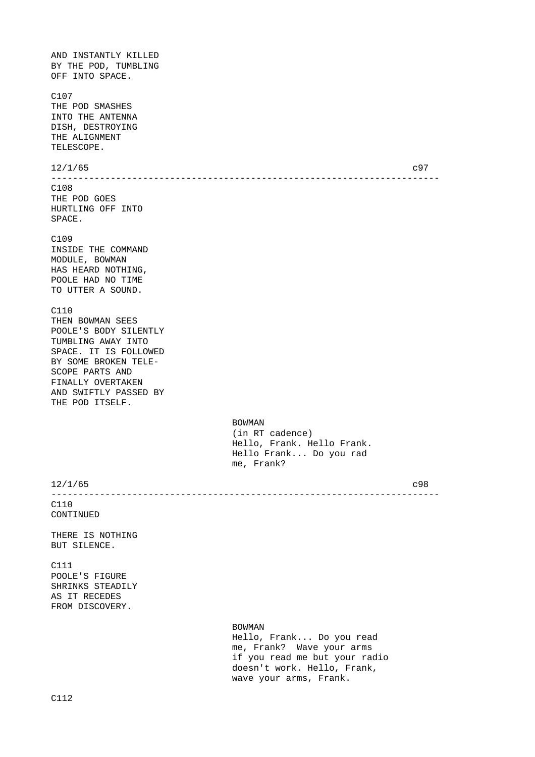AND INSTANTLY KILLED BY THE POD, TUMBLING OFF INTO SPACE. C107 THE POD SMASHES INTO THE ANTENNA DISH, DESTROYING THE ALIGNMENT TELESCOPE.  $12/1/65$  c97 ------------------------------------------------------------------------ C108 THE POD GOES HURTLING OFF INTO SPACE. C109 INSIDE THE COMMAND MODULE, BOWMAN HAS HEARD NOTHING, POOLE HAD NO TIME TO UTTER A SOUND. C110 THEN BOWMAN SEES POOLE'S BODY SILENTLY TUMBLING AWAY INTO SPACE. IT IS FOLLOWED BY SOME BROKEN TELE-SCOPE PARTS AND FINALLY OVERTAKEN AND SWIFTLY PASSED BY THE POD ITSELF. BOWMAN (in RT cadence) Hello, Frank. Hello Frank. Hello Frank... Do you rad me, Frank?  $12/1/65$  c98 ------------------------------------------------------------------------ C110 CONTINUED THERE IS NOTHING BUT SILENCE. C111 POOLE'S FIGURE SHRINKS STEADILY AS IT RECEDES FROM DISCOVERY. BOWMAN Hello, Frank... Do you read me, Frank? Wave your arms if you read me but your radio

> doesn't work. Hello, Frank, wave your arms, Frank.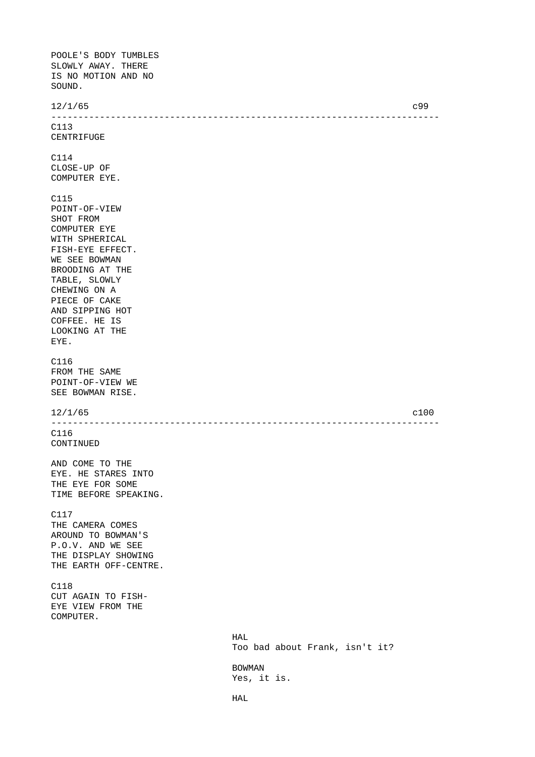POOLE'S BODY TUMBLES SLOWLY AWAY. THERE IS NO MOTION AND NO SOUND. 12/1/65 c99 ------------------------------------------------------------------------ C113 CENTRIFUGE C114 CLOSE-UP OF COMPUTER EYE. C115 POINT-OF-VIEW SHOT FROM COMPUTER EYE WITH SPHERICAL FISH-EYE EFFECT. WE SEE BOWMAN BROODING AT THE TABLE, SLOWLY CHEWING ON A PIECE OF CAKE AND SIPPING HOT COFFEE. HE IS LOOKING AT THE EYE. C116 FROM THE SAME POINT-OF-VIEW WE SEE BOWMAN RISE.  $12/1/65$  c100 ------------------------------------------------------------------------ C116 CONTINUED AND COME TO THE EYE. HE STARES INTO THE EYE FOR SOME TIME BEFORE SPEAKING. C117 THE CAMERA COMES AROUND TO BOWMAN'S P.O.V. AND WE SEE THE DISPLAY SHOWING THE EARTH OFF-CENTRE. C118 CUT AGAIN TO FISH-EYE VIEW FROM THE COMPUTER. HAL Too bad about Frank, isn't it? BOWMAN Yes, it is. HAL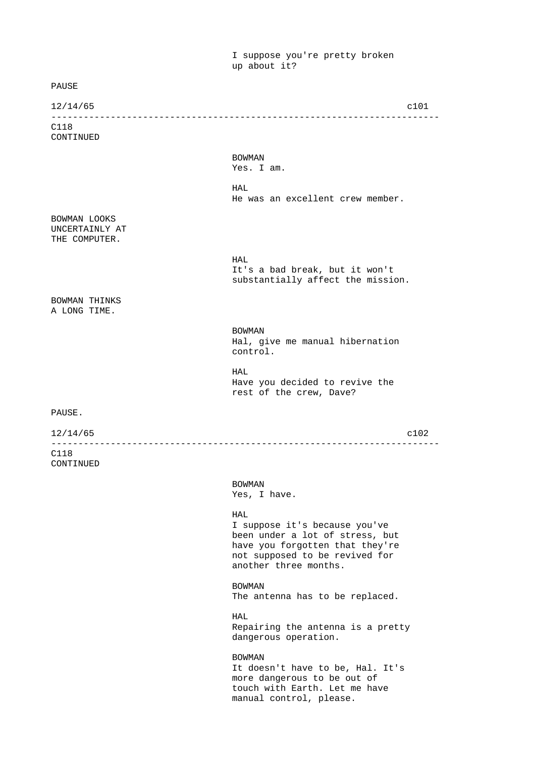|                                                        | I suppose you're pretty broken<br>up about it?                                                                                                                               |
|--------------------------------------------------------|------------------------------------------------------------------------------------------------------------------------------------------------------------------------------|
| <b>PAUSE</b>                                           |                                                                                                                                                                              |
| 12/14/65                                               | c101                                                                                                                                                                         |
| C <sub>118</sub><br>CONTINUED                          |                                                                                                                                                                              |
|                                                        | <b>BOWMAN</b><br>Yes. I am.                                                                                                                                                  |
|                                                        | HAL.<br>He was an excellent crew member.                                                                                                                                     |
| <b>BOWMAN LOOKS</b><br>UNCERTAINLY AT<br>THE COMPUTER. |                                                                                                                                                                              |
|                                                        | <b>HAL</b><br>It's a bad break, but it won't<br>substantially affect the mission.                                                                                            |
| <b>BOWMAN THINKS</b><br>A LONG TIME.                   |                                                                                                                                                                              |
|                                                        | <b>BOWMAN</b><br>Hal, give me manual hibernation<br>control.                                                                                                                 |
|                                                        | <b>HAL</b><br>Have you decided to revive the<br>rest of the crew, Dave?                                                                                                      |
| PAUSE.                                                 |                                                                                                                                                                              |
| 12/14/65                                               | c <sub>102</sub>                                                                                                                                                             |
| C118<br>CONTINUED                                      |                                                                                                                                                                              |
|                                                        | <b>BOWMAN</b><br>Yes, I have.                                                                                                                                                |
|                                                        | <b>HAL</b><br>I suppose it's because you've<br>been under a lot of stress, but<br>have you forgotten that they're<br>not supposed to be revived for<br>another three months. |
|                                                        | <b>BOWMAN</b><br>The antenna has to be replaced.                                                                                                                             |
|                                                        | <b>HAL</b><br>Repairing the antenna is a pretty<br>dangerous operation.                                                                                                      |
|                                                        | <b>BOWMAN</b><br>It doesn't have to be, Hal. It's<br>more dangerous to be out of<br>touch with Earth. Let me have<br>manual control, please.                                 |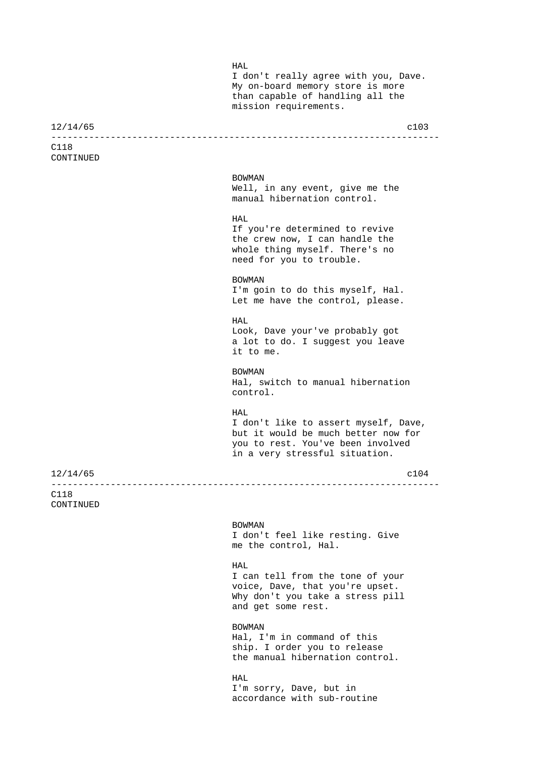HAL I don't really agree with you, Dave. My on-board memory store is more than capable of handling all the mission requirements.  $12/14/65$  c103 ------------------------------------------------------------------------ C118 CONTINUED BOWMAN Well, in any event, give me the manual hibernation control. HAL If you're determined to revive the crew now, I can handle the whole thing myself. There's no need for you to trouble. BOWMAN I'm goin to do this myself, Hal. Let me have the control, please. HAL Look, Dave your've probably got a lot to do. I suggest you leave it to me. BOWMAN Hal, switch to manual hibernation control. HAL I don't like to assert myself, Dave, but it would be much better now for you to rest. You've been involved in a very stressful situation.  $12/14/65$  c104 ------------------------------------------------------------------------ C118 CONTINUED BOWMAN I don't feel like resting. Give me the control, Hal. HAL I can tell from the tone of your voice, Dave, that you're upset. Why don't you take a stress pill and get some rest. BOWMAN Hal, I'm in command of this ship. I order you to release the manual hibernation control. **HAL** I'm sorry, Dave, but in

accordance with sub-routine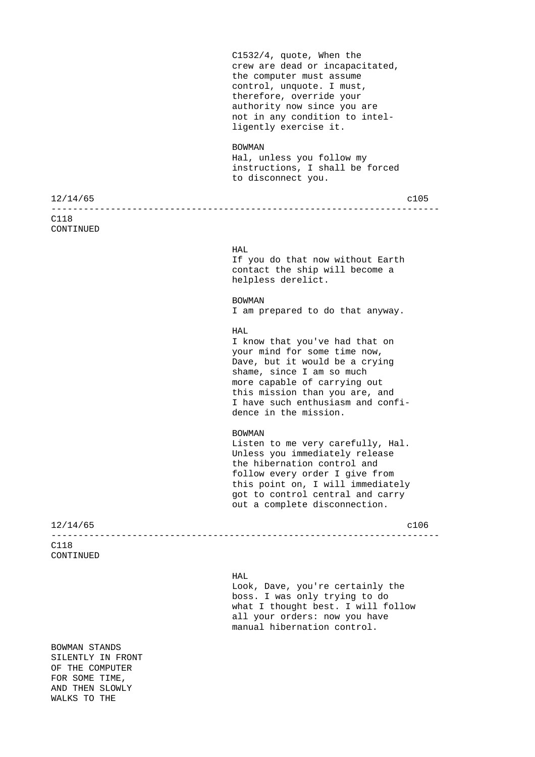C1532/4, quote, When the crew are dead or incapacitated, the computer must assume control, unquote. I must, therefore, override your authority now since you are not in any condition to intel ligently exercise it. BOWMAN Hal, unless you follow my instructions, I shall be forced to disconnect you.  $12/14/65$  c105 ------------------------------------------------------------------------ C118 CONTINUED HAL If you do that now without Earth contact the ship will become a helpless derelict. BOWMAN I am prepared to do that anyway. HAL I know that you've had that on your mind for some time now, Dave, but it would be a crying shame, since I am so much more capable of carrying out this mission than you are, and I have such enthusiasm and confi dence in the mission. BOWMAN Listen to me very carefully, Hal. Unless you immediately release the hibernation control and follow every order I give from this point on, I will immediately got to control central and carry out a complete disconnection.  $12/14/65$  c106 ------------------------------------------------------------------------ C118 CONTINUED HAL Look, Dave, you're certainly the boss. I was only trying to do what I thought best. I will follow all your orders: now you have manual hibernation control. BOWMAN STANDS SILENTLY IN FRONT OF THE COMPUTER FOR SOME TIME, AND THEN SLOWLY

WALKS TO THE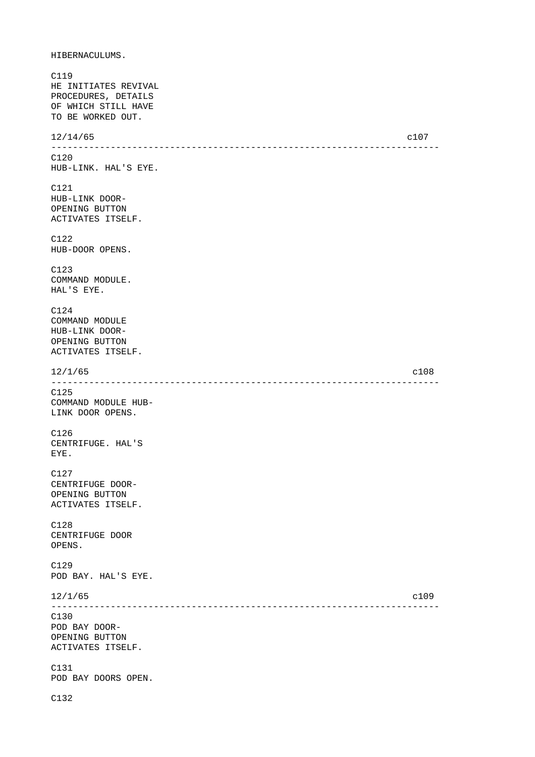HIBERNACULUMS.

C119 HE INITIATES REVIVAL PROCEDURES, DETAILS OF WHICH STILL HAVE TO BE WORKED OUT.  $12/14/65$  c107 ------------------------------------------------------------------------ C120 HUB-LINK. HAL'S EYE. C121 HUB-LINK DOOR-OPENING BUTTON ACTIVATES ITSELF. C122 HUB-DOOR OPENS. C123 COMMAND MODULE. HAL'S EYE. C124 COMMAND MODULE HUB-LINK DOOR-OPENING BUTTON ACTIVATES ITSELF.  $12/1/65$  c108 ------------------------------------------------------------------------ C125 COMMAND MODULE HUB-LINK DOOR OPENS. C126 CENTRIFUGE. HAL'S EYE. C127 CENTRIFUGE DOOR-OPENING BUTTON ACTIVATES ITSELF. C128 CENTRIFUGE DOOR OPENS. C129 POD BAY. HAL'S EYE. 12/1/65 c109 ------------------------------------------------------------------------ C130 POD BAY DOOR-OPENING BUTTON ACTIVATES ITSELF. C131 POD BAY DOORS OPEN. C132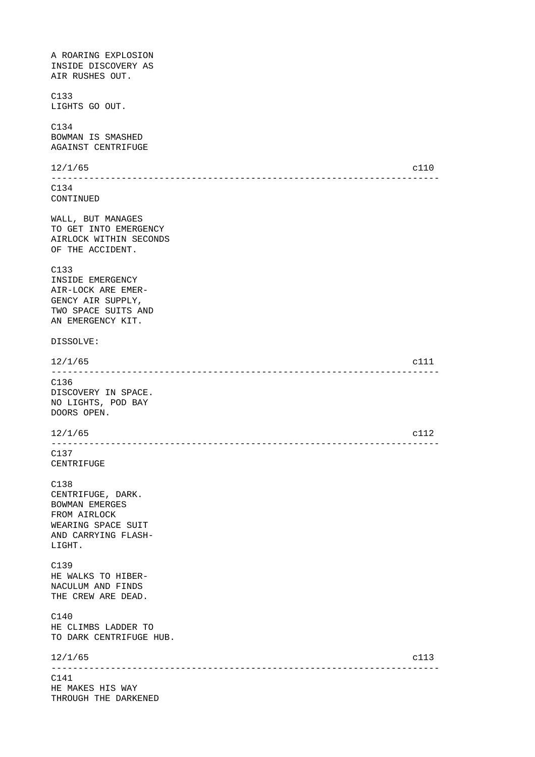A ROARING EXPLOSION INSIDE DISCOVERY AS AIR RUSHES OUT. C133 LIGHTS GO OUT. C134 BOWMAN IS SMASHED AGAINST CENTRIFUGE  $12/1/65$  c110 ------------------------------------------------------------------------ C134 CONTINUED WALL, BUT MANAGES TO GET INTO EMERGENCY AIRLOCK WITHIN SECONDS OF THE ACCIDENT. C133 INSIDE EMERGENCY AIR-LOCK ARE EMER-GENCY AIR SUPPLY, TWO SPACE SUITS AND AN EMERGENCY KIT. DISSOLVE: 12/1/65 c111 ------------------------------------------------------------------------ C136 DISCOVERY IN SPACE. NO LIGHTS, POD BAY DOORS OPEN. 12/1/65 c112 ------------------------------------------------------------------------ C137 CENTRIFUGE C138 CENTRIFUGE, DARK. BOWMAN EMERGES FROM AIRLOCK WEARING SPACE SUIT AND CARRYING FLASH-LIGHT. C139 HE WALKS TO HIBER-NACULUM AND FINDS THE CREW ARE DEAD. C140 HE CLIMBS LADDER TO TO DARK CENTRIFUGE HUB.  $12/1/65$  c113 ------------------------------------------------------------------------ C141 HE MAKES HIS WAY THROUGH THE DARKENED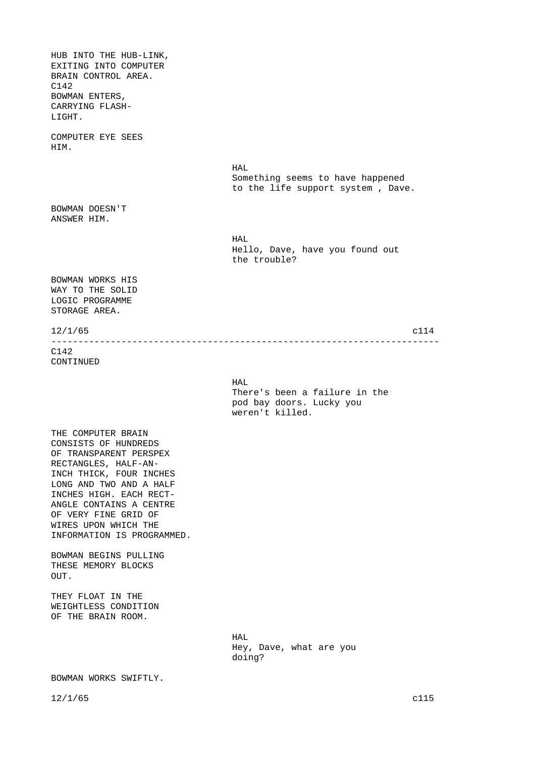HUB INTO THE HUB-LINK, EXITING INTO COMPUTER BRAIN CONTROL AREA. C142 BOWMAN ENTERS, CARRYING FLASH-LIGHT. COMPUTER EYE SEES HIM. HAL Something seems to have happened to the life support system , Dave. BOWMAN DOESN'T ANSWER HIM. HAL Hello, Dave, have you found out the trouble? BOWMAN WORKS HIS WAY TO THE SOLID LOGIC PROGRAMME STORAGE AREA. 12/1/65 c114 ------------------------------------------------------------------------ C142 CONTINUED HAL There's been a failure in the pod bay doors. Lucky you weren't killed. THE COMPUTER BRAIN CONSISTS OF HUNDREDS OF TRANSPARENT PERSPEX RECTANGLES, HALF-AN-INCH THICK, FOUR INCHES LONG AND TWO AND A HALF INCHES HIGH. EACH RECT-ANGLE CONTAINS A CENTRE OF VERY FINE GRID OF WIRES UPON WHICH THE INFORMATION IS PROGRAMMED. BOWMAN BEGINS PULLING THESE MEMORY BLOCKS OUT. THEY FLOAT IN THE WEIGHTLESS CONDITION OF THE BRAIN ROOM. HAL Hey, Dave, what are you doing? BOWMAN WORKS SWIFTLY.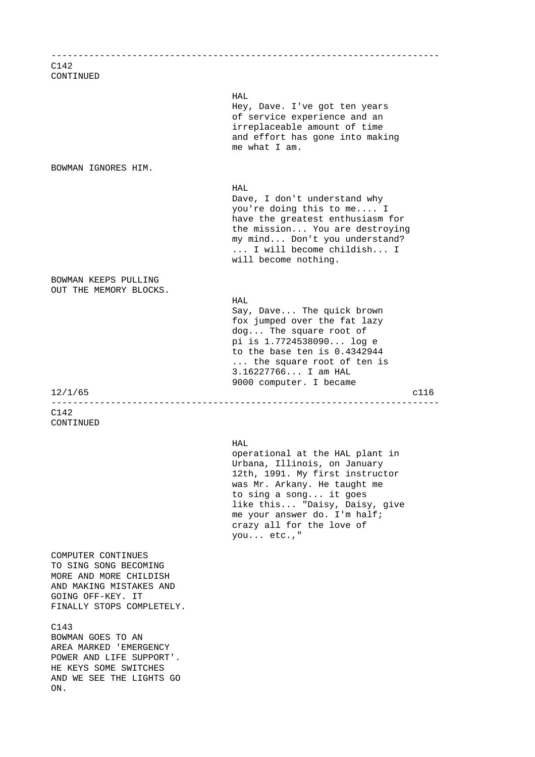------------------------------------------------------------------------  $C142$ CONTINUED HAL Hey, Dave. I've got ten years of service experience and an irreplaceable amount of time and effort has gone into making me what I am. BOWMAN IGNORES HIM. HAL Dave, I don't understand why you're doing this to me.... I have the greatest enthusiasm for the mission... You are destroying my mind... Don't you understand? ... I will become childish... I will become nothing. BOWMAN KEEPS PULLING OUT THE MEMORY BLOCKS. HAL Say, Dave... The quick brown fox jumped over the fat lazy dog... The square root of pi is 1.7724538090... log e to the base ten is 0.4342944 ... the square root of ten is 3.16227766... I am HAL 9000 computer. I became  $12/1/65$  c116 ------------------------------------------------------------------------ C142 CONTINUED **HAL**  operational at the HAL plant in Urbana, Illinois, on January 12th, 1991. My first instructor was Mr. Arkany. He taught me to sing a song... it goes like this... "Daisy, Daisy, give me your answer do. I'm half; crazy all for the love of you... etc.," COMPUTER CONTINUES TO SING SONG BECOMING MORE AND MORE CHILDISH AND MAKING MISTAKES AND GOING OFF-KEY. IT FINALLY STOPS COMPLETELY. C<sub>143</sub> BOWMAN GOES TO AN AREA MARKED 'EMERGENCY POWER AND LIFE SUPPORT'. HE KEYS SOME SWITCHES AND WE SEE THE LIGHTS GO ON.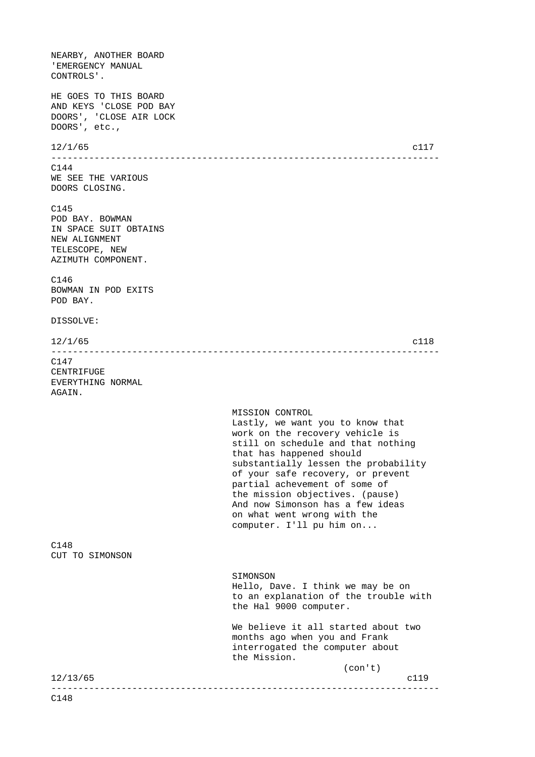NEARBY, ANOTHER BOARD 'EMERGENCY MANUAL CONTROLS'. HE GOES TO THIS BOARD AND KEYS 'CLOSE POD BAY DOORS', 'CLOSE AIR LOCK DOORS', etc., 12/1/65 c117 ------------------------------------------------------------------------ C144 WE SEE THE VARIOUS DOORS CLOSING. C145 POD BAY. BOWMAN IN SPACE SUIT OBTAINS NEW ALIGNMENT TELESCOPE, NEW AZIMUTH COMPONENT. C146 BOWMAN IN POD EXITS POD BAY. DISSOLVE:  $12/1/65$  c118 ------------------------------------------------------------------------ C147 CENTRIFUGE EVERYTHING NORMAL AGAIN. MISSION CONTROL Lastly, we want you to know that work on the recovery vehicle is still on schedule and that nothing that has happened should substantially lessen the probability of your safe recovery, or prevent partial achevement of some of the mission objectives. (pause) And now Simonson has a few ideas on what went wrong with the computer. I'll pu him on...  $C148$ CUT TO SIMONSON **SIMONSON**  Hello, Dave. I think we may be on to an explanation of the trouble with the Hal 9000 computer. We believe it all started about two months ago when you and Frank interrogated the computer about the Mission. (con't) 12/13/65 c119 ------------------------------------------------------------------------ C148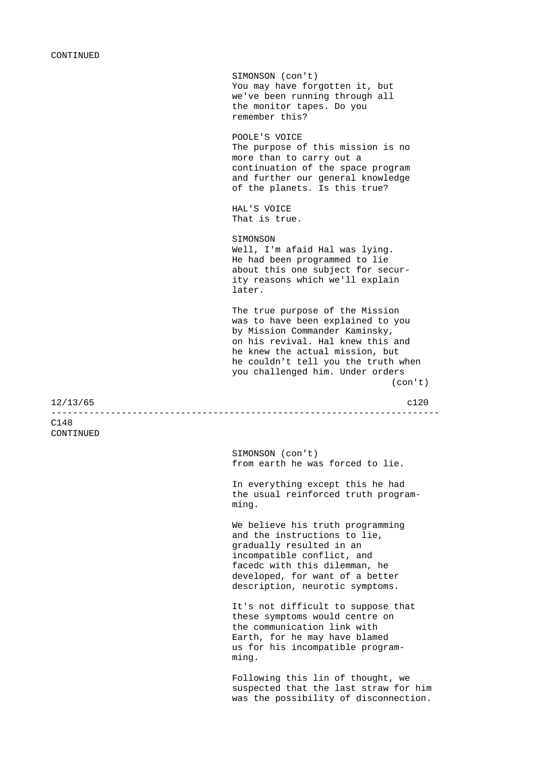You may have forgotten it, but we've been running through all the monitor tapes. Do you remember this? POOLE'S VOICE The purpose of this mission is no more than to carry out a continuation of the space program and further our general knowledge of the planets. Is this true? HAL'S VOICE That is true. **SIMONSON**  Well, I'm afaid Hal was lying. He had been programmed to lie about this one subject for secur ity reasons which we'll explain later. The true purpose of the Mission was to have been explained to you by Mission Commander Kaminsky, on his revival. Hal knew this and he knew the actual mission, but he couldn't tell you the truth when you challenged him. Under orders (con't) 12/13/65 c120 ------------------------------------------------------------------------ C<sub>148</sub> CONTINUED SIMONSON (con't) from earth he was forced to lie. In everything except this he had the usual reinforced truth program ming. We believe his truth programming and the instructions to lie, gradually resulted in an incompatible conflict, and facedc with this dilemman, he developed, for want of a better description, neurotic symptoms. It's not difficult to suppose that these symptoms would centre on the communication link with Earth, for he may have blamed us for his incompatible program ming. Following this lin of thought, we suspected that the last straw for him

was the possibility of disconnection.

SIMONSON (con't)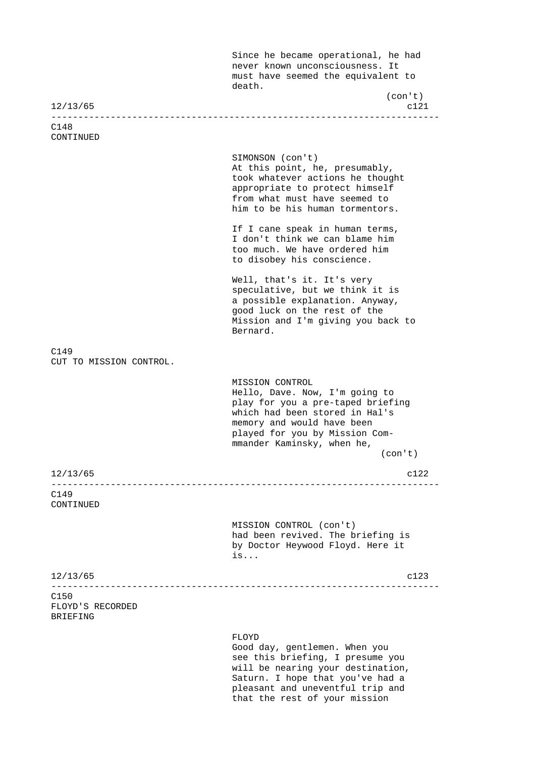Since he became operational, he had never known unconsciousness. It must have seemed the equivalent to death. (con't) 12/13/65 c121 ------------------------------------------------------------------------  $C148$ CONTINUED SIMONSON (con't) At this point, he, presumably, took whatever actions he thought appropriate to protect himself from what must have seemed to him to be his human tormentors. If I cane speak in human terms, I don't think we can blame him too much. We have ordered him to disobey his conscience. Well, that's it. It's very speculative, but we think it is a possible explanation. Anyway, good luck on the rest of the Mission and I'm giving you back to Bernard. C149 CUT TO MISSION CONTROL. MISSION CONTROL Hello, Dave. Now, I'm going to play for you a pre-taped briefing which had been stored in Hal's memory and would have been played for you by Mission Com mmander Kaminsky, when he, (con't) 12/13/65 c122 ------------------------------------------------------------------------ C<sub>149</sub> CONTINUED MISSION CONTROL (con't) had been revived. The briefing is by Doctor Heywood Floyd. Here it is... 12/13/65 c123 ------------------------------------------------------------------------ C150 FLOYD'S RECORDED **BRIFFING**  FLOYD Good day, gentlemen. When you see this briefing, I presume you will be nearing your destination, Saturn. I hope that you've had a pleasant and uneventful trip and that the rest of your mission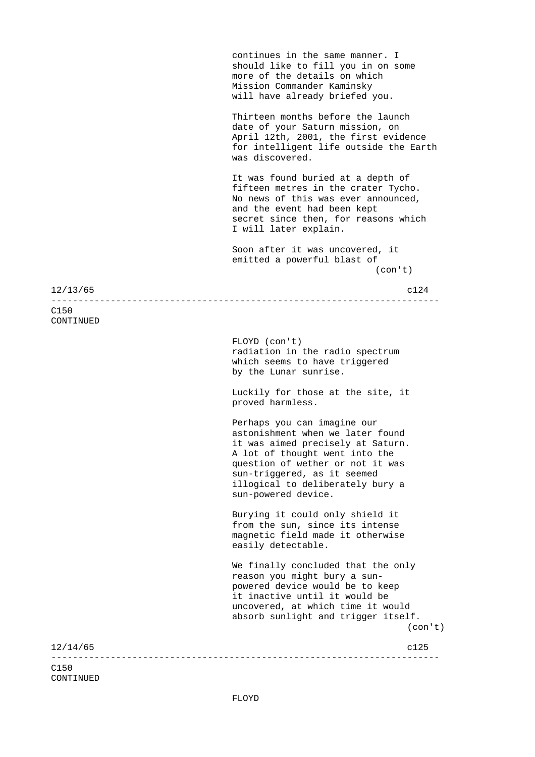|                   | continues in the same manner. I<br>should like to fill you in on some<br>more of the details on which<br>Mission Commander Kaminsky<br>will have already briefed you.                                                                                                |
|-------------------|----------------------------------------------------------------------------------------------------------------------------------------------------------------------------------------------------------------------------------------------------------------------|
|                   | Thirteen months before the launch<br>date of your Saturn mission, on<br>April 12th, 2001, the first evidence<br>for intelligent life outside the Earth<br>was discovered.                                                                                            |
|                   | It was found buried at a depth of<br>fifteen metres in the crater Tycho.<br>No news of this was ever announced,<br>and the event had been kept<br>secret since then, for reasons which<br>I will later explain.                                                      |
|                   | Soon after it was uncovered, it<br>emitted a powerful blast of<br>(con't)                                                                                                                                                                                            |
| 12/13/65          | c124                                                                                                                                                                                                                                                                 |
| C150<br>CONTINUED |                                                                                                                                                                                                                                                                      |
|                   | FLOYD (con't)<br>radiation in the radio spectrum<br>which seems to have triggered<br>by the Lunar sunrise.                                                                                                                                                           |
|                   | Luckily for those at the site, it<br>proved harmless.                                                                                                                                                                                                                |
|                   | Perhaps you can imagine our<br>astonishment when we later found<br>it was aimed precisely at Saturn.<br>A lot of thought went into the<br>question of wether or not it was<br>sun-triggered, as it seemed<br>illogical to deliberately bury a<br>sun-powered device. |
|                   | Burying it could only shield it<br>from the sun, since its intense<br>magnetic field made it otherwise<br>easily detectable.                                                                                                                                         |
|                   | We finally concluded that the only<br>reason you might bury a sun-<br>powered device would be to keep<br>it inactive until it would be<br>uncovered, at which time it would<br>absorb sunlight and trigger itself.<br>(con't)                                        |
| 12/14/65          | c125                                                                                                                                                                                                                                                                 |
| C150<br>CONTINUED |                                                                                                                                                                                                                                                                      |

FLOYD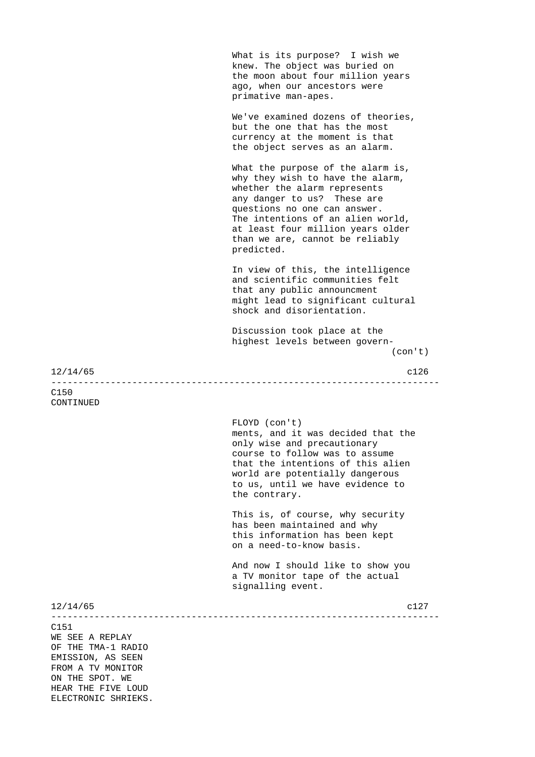|                                                                                                                                                         | What is its purpose? I wish we<br>knew. The object was buried on<br>the moon about four million years<br>ago, when our ancestors were<br>primative man-apes.                                                                                                                                    |
|---------------------------------------------------------------------------------------------------------------------------------------------------------|-------------------------------------------------------------------------------------------------------------------------------------------------------------------------------------------------------------------------------------------------------------------------------------------------|
|                                                                                                                                                         | We've examined dozens of theories,<br>but the one that has the most<br>currency at the moment is that<br>the object serves as an alarm.                                                                                                                                                         |
|                                                                                                                                                         | What the purpose of the alarm is,<br>why they wish to have the alarm,<br>whether the alarm represents<br>any danger to us? These are<br>questions no one can answer.<br>The intentions of an alien world,<br>at least four million years older<br>than we are, cannot be reliably<br>predicted. |
|                                                                                                                                                         | In view of this, the intelligence<br>and scientific communities felt<br>that any public announcment<br>might lead to significant cultural<br>shock and disorientation.                                                                                                                          |
|                                                                                                                                                         | Discussion took place at the<br>highest levels between govern-<br>(con't)                                                                                                                                                                                                                       |
| 12/14/65                                                                                                                                                | c126                                                                                                                                                                                                                                                                                            |
| C150<br>CONTINUED                                                                                                                                       |                                                                                                                                                                                                                                                                                                 |
|                                                                                                                                                         | FLOYD (con't)<br>ments, and it was decided that the<br>only wise and precautionary<br>course to follow was to assume<br>that the intentions of this alien<br>world are potentially dangerous<br>to us, until we have evidence to<br>the contrary.                                               |
|                                                                                                                                                         | This is, of course, why security<br>has been maintained and why<br>this information has been kept<br>on a need-to-know basis.                                                                                                                                                                   |
|                                                                                                                                                         | And now I should like to show you<br>a TV monitor tape of the actual<br>signalling event.                                                                                                                                                                                                       |
| 12/14/65                                                                                                                                                | c127                                                                                                                                                                                                                                                                                            |
| C151<br>WE SEE A REPLAY<br>OF THE TMA-1 RADIO<br>EMISSION, AS SEEN<br>FROM A TV MONITOR<br>ON THE SPOT. WE<br>HEAR THE FIVE LOUD<br>ELECTRONIC SHRIEKS. |                                                                                                                                                                                                                                                                                                 |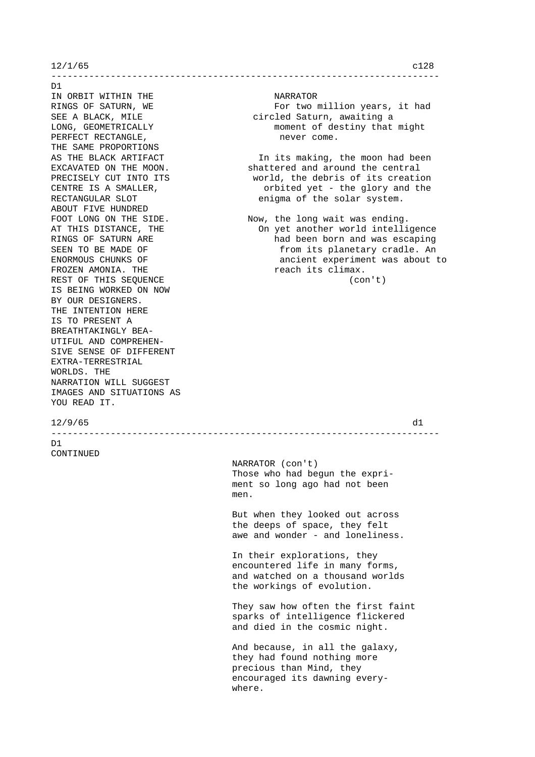$12/1/65$  c128 ------------------------------------------------------------------------ D1 IN ORBIT WITHIN THE **NARRATOR** RINGS OF SATURN, WE For two million years, it had SEE A BLACK, MILE circled Saturn, awaiting a<br>LONG, GEOMETRICALLY circled Saturn, awaiting a moment of destiny that might<br>never come. PERFECT RECTANGLE, THE SAME PROPORTIONS<br>AS THE BLACK ARTIFACT AS THE BLACK ARTIFACT The state of the moon had been in its making, the moon had been in the central and around the central shattered and around the central PRECISELY CUT INTO ITS world, the debris of its creation CENTRE IS A SMALLER, The set orbited yet - the glory and the RECTANGULAR SLOT **EXAMPLE 2018** enigma of the solar system. ABOUT FIVE HUNDRED FOOT LONG ON THE SIDE. Now, the long wait was ending. AT THIS DISTANCE, THE **ORIGAL SET ASSESSED** On yet another world intelligence RINGS OF SATURN ARE had been born and was escaping SEEN TO BE MADE OF **the contract of the set of the from** its planetary cradle. An ENORMOUS CHUNKS OF ancient experiment was about to<br>FROZEN AMONIA. THE FROZEN and the climax. FROZEN AMONIA. THE reach its climax.<br>REST OF THIS SEOUENCE reach its climax. (con't) REST OF THIS SEQUENCE IS BEING WORKED ON NOW BY OUR DESIGNERS. THE INTENTION HERE IS TO PRESENT A BREATHTAKINGLY BEA-UTIFUL AND COMPREHEN-SIVE SENSE OF DIFFERENT EXTRA-TERRESTRIAL WORLDS. THE NARRATION WILL SUGGEST IMAGES AND SITUATIONS AS YOU READ IT.  $12/9/65$  d1 ------------------------------------------------------------------------ D1 CONTINUED NARRATOR (con't) Those who had begun the expri ment so long ago had not been men. But when they looked out across the deeps of space, they felt awe and wonder - and loneliness. In their explorations, they encountered life in many forms, and watched on a thousand worlds the workings of evolution. They saw how often the first faint sparks of intelligence flickered and died in the cosmic night. And because, in all the galaxy, they had found nothing more precious than Mind, they encouraged its dawning every where.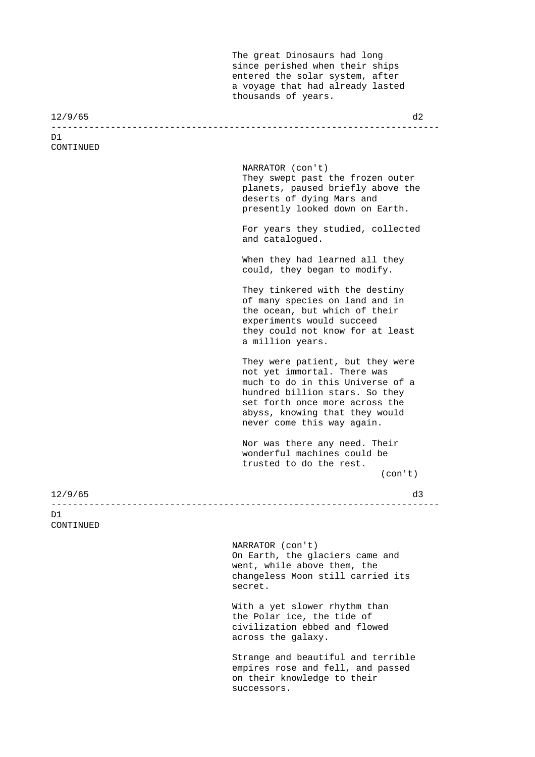|                 | The great Dinosaurs had long<br>since perished when their ships<br>entered the solar system, after<br>a voyage that had already lasted<br>thousands of years.                                                                           |
|-----------------|-----------------------------------------------------------------------------------------------------------------------------------------------------------------------------------------------------------------------------------------|
| 12/9/65         | d2                                                                                                                                                                                                                                      |
| D1<br>CONTINUED |                                                                                                                                                                                                                                         |
|                 | NARRATOR (con't)<br>They swept past the frozen outer<br>planets, paused briefly above the<br>deserts of dying Mars and<br>presently looked down on Earth.                                                                               |
|                 | For years they studied, collected<br>and catalogued.                                                                                                                                                                                    |
|                 | When they had learned all they<br>could, they began to modify.                                                                                                                                                                          |
|                 | They tinkered with the destiny<br>of many species on land and in<br>the ocean, but which of their<br>experiments would succeed<br>they could not know for at least<br>a million years.                                                  |
|                 | They were patient, but they were<br>not yet immortal. There was<br>much to do in this Universe of a<br>hundred billion stars. So they<br>set forth once more across the<br>abyss, knowing that they would<br>never come this way again. |
|                 | Nor was there any need. Their<br>wonderful machines could be<br>trusted to do the rest.<br>(con't)                                                                                                                                      |
| 12/9/65         | d3                                                                                                                                                                                                                                      |
| D1<br>CONTINUED |                                                                                                                                                                                                                                         |
|                 | NARRATOR (con't)<br>On Earth, the glaciers came and<br>went, while above them, the<br>changeless Moon still carried its<br>secret.                                                                                                      |
|                 | With a yet slower rhythm than<br>the Polar ice, the tide of<br>civilization ebbed and flowed<br>across the galaxy.                                                                                                                      |
|                 | Strange and beautiful and terrible<br>empires rose and fell, and passed<br>on their knowledge to their                                                                                                                                  |

successors.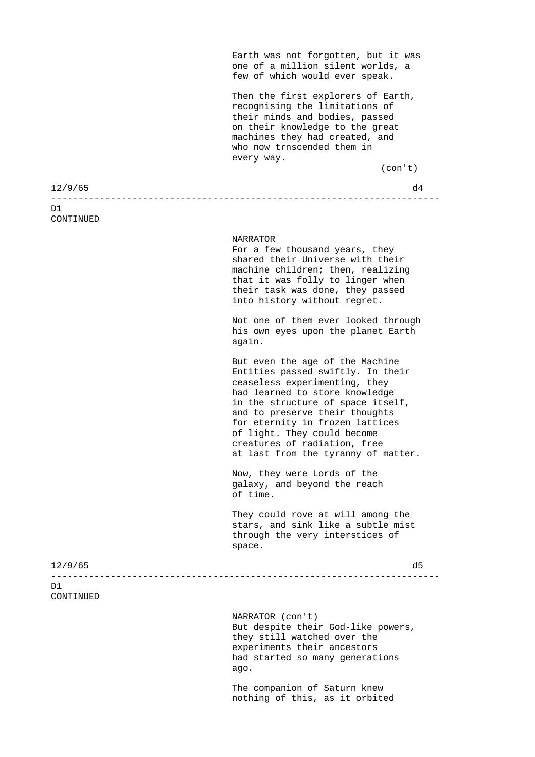Earth was not forgotten, but it was one of a million silent worlds, a few of which would ever speak. Then the first explorers of Earth, recognising the limitations of their minds and bodies, passed on their knowledge to the great machines they had created, and who now trnscended them in every way. (con't)  $12/9/65$  d4 ------------------------------------------------------------------------ D1 CONTINUED NARRATOR For a few thousand years, they shared their Universe with their machine children; then, realizing that it was folly to linger when their task was done, they passed into history without regret. Not one of them ever looked through his own eyes upon the planet Earth again. But even the age of the Machine Entities passed swiftly. In their ceaseless experimenting, they had learned to store knowledge in the structure of space itself, and to preserve their thoughts for eternity in frozen lattices of light. They could become creatures of radiation, free at last from the tyranny of matter. Now, they were Lords of the galaxy, and beyond the reach of time. They could rove at will among the stars, and sink like a subtle mist through the very interstices of space.  $12/9/65$  d5 ------------------------------------------------------------------------ D<sub>1</sub> CONTINUED NARRATOR (con't) But despite their God-like powers, they still watched over the experiments their ancestors had started so many generations ago. The companion of Saturn knew nothing of this, as it orbited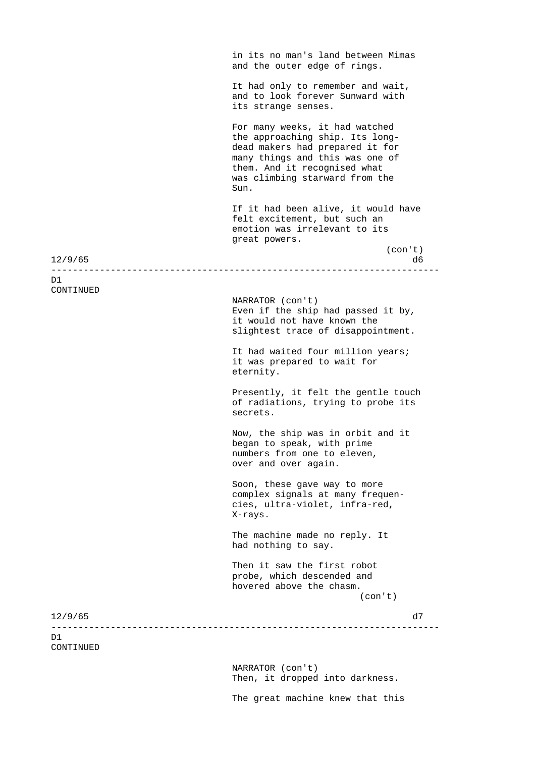|                 | in its no man's land between Mimas<br>and the outer edge of rings.                                                                                                                                                |
|-----------------|-------------------------------------------------------------------------------------------------------------------------------------------------------------------------------------------------------------------|
|                 | It had only to remember and wait,<br>and to look forever Sunward with<br>its strange senses.                                                                                                                      |
|                 | For many weeks, it had watched<br>the approaching ship. Its long-<br>dead makers had prepared it for<br>many things and this was one of<br>them. And it recognised what<br>was climbing starward from the<br>Sun. |
|                 | If it had been alive, it would have<br>felt excitement, but such an<br>emotion was irrelevant to its<br>great powers.<br>(con't)                                                                                  |
| 12/9/65         | d6                                                                                                                                                                                                                |
| D1.             |                                                                                                                                                                                                                   |
| CONTINUED       | NARRATOR (con't)<br>Even if the ship had passed it by,<br>it would not have known the<br>slightest trace of disappointment.                                                                                       |
|                 | It had waited four million years;<br>it was prepared to wait for<br>eternity.                                                                                                                                     |
|                 | Presently, it felt the gentle touch<br>of radiations, trying to probe its<br>secrets.                                                                                                                             |
|                 | Now, the ship was in orbit and it<br>began to speak, with prime<br>numbers from one to eleven,<br>over and over again.                                                                                            |
|                 | Soon, these gave way to more<br>complex signals at many frequen-<br>cies, ultra-violet, infra-red,<br>X-rays.                                                                                                     |
|                 | The machine made no reply. It<br>had nothing to say.                                                                                                                                                              |
|                 | Then it saw the first robot<br>probe, which descended and<br>hovered above the chasm.<br>(con't)                                                                                                                  |
| 12/9/65         | d7                                                                                                                                                                                                                |
| D1<br>CONTINUED |                                                                                                                                                                                                                   |
|                 | NARRATOR (con't)<br>Then, it dropped into darkness.                                                                                                                                                               |

The great machine knew that this